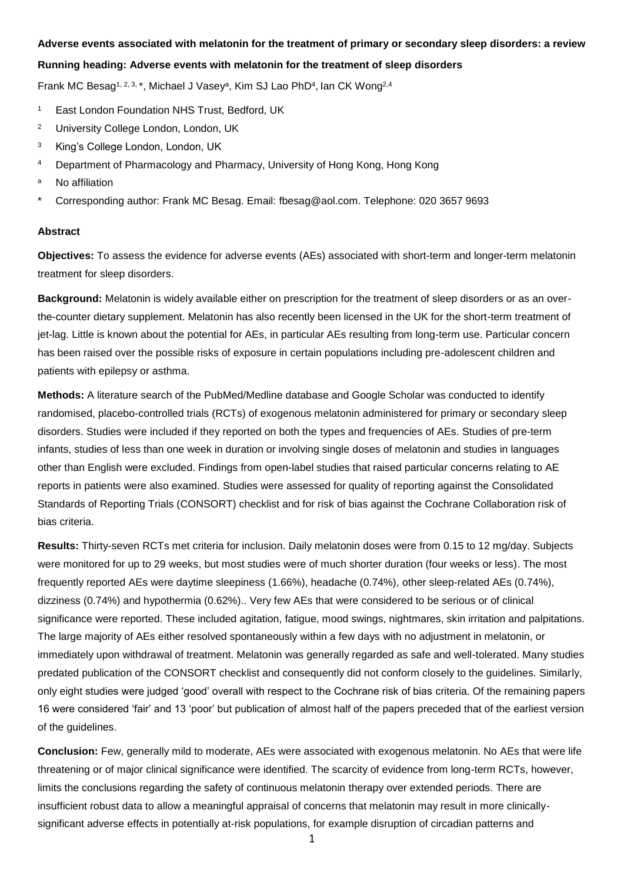#### **Adverse events associated with melatonin for the treatment of primary or secondary sleep disorders: a review**

### **Running heading: Adverse events with melatonin for the treatment of sleep disorders**

Frank MC Besag<sup>1, 2, 3, \*</sup>, Michael J Vasey<sup>a</sup>, Kim SJ Lao PhD<sup>4</sup>, Ian CK Wong<sup>2,4</sup>

- <sup>1</sup> East London Foundation NHS Trust, Bedford, UK
- <sup>2</sup> University College London, London, UK
- <sup>3</sup> King's College London, London, UK
- <sup>4</sup> Department of Pharmacology and Pharmacy, University of Hong Kong, Hong Kong
- a No affiliation
- \* Corresponding author: Frank MC Besag. Email: fbesag@aol.com. Telephone: 020 3657 9693

#### **Abstract**

**Objectives:** To assess the evidence for adverse events (AEs) associated with short-term and longer-term melatonin treatment for sleep disorders.

**Background:** Melatonin is widely available either on prescription for the treatment of sleep disorders or as an overthe-counter dietary supplement. Melatonin has also recently been licensed in the UK for the short-term treatment of jet-lag. Little is known about the potential for AEs, in particular AEs resulting from long-term use. Particular concern has been raised over the possible risks of exposure in certain populations including pre-adolescent children and patients with epilepsy or asthma.

**Methods:** A literature search of the PubMed/Medline database and Google Scholar was conducted to identify randomised, placebo-controlled trials (RCTs) of exogenous melatonin administered for primary or secondary sleep disorders. Studies were included if they reported on both the types and frequencies of AEs. Studies of pre-term infants, studies of less than one week in duration or involving single doses of melatonin and studies in languages other than English were excluded. Findings from open-label studies that raised particular concerns relating to AE reports in patients were also examined. Studies were assessed for quality of reporting against the Consolidated Standards of Reporting Trials (CONSORT) checklist and for risk of bias against the Cochrane Collaboration risk of bias criteria.

**Results:** Thirty-seven RCTs met criteria for inclusion. Daily melatonin doses were from 0.15 to 12 mg/day. Subjects were monitored for up to 29 weeks, but most studies were of much shorter duration (four weeks or less). The most frequently reported AEs were daytime sleepiness (1.66%), headache (0.74%), other sleep-related AEs (0.74%), dizziness (0.74%) and hypothermia (0.62%).. Very few AEs that were considered to be serious or of clinical significance were reported. These included agitation, fatigue, mood swings, nightmares, skin irritation and palpitations. The large majority of AEs either resolved spontaneously within a few days with no adjustment in melatonin, or immediately upon withdrawal of treatment. Melatonin was generally regarded as safe and well-tolerated. Many studies predated publication of the CONSORT checklist and consequently did not conform closely to the guidelines. Similarly, only eight studies were judged 'good' overall with respect to the Cochrane risk of bias criteria. Of the remaining papers 16 were considered 'fair' and 13 'poor' but publication of almost half of the papers preceded that of the earliest version of the guidelines.

**Conclusion:** Few, generally mild to moderate, AEs were associated with exogenous melatonin. No AEs that were life threatening or of major clinical significance were identified. The scarcity of evidence from long-term RCTs, however, limits the conclusions regarding the safety of continuous melatonin therapy over extended periods. There are insufficient robust data to allow a meaningful appraisal of concerns that melatonin may result in more clinicallysignificant adverse effects in potentially at-risk populations, for example disruption of circadian patterns and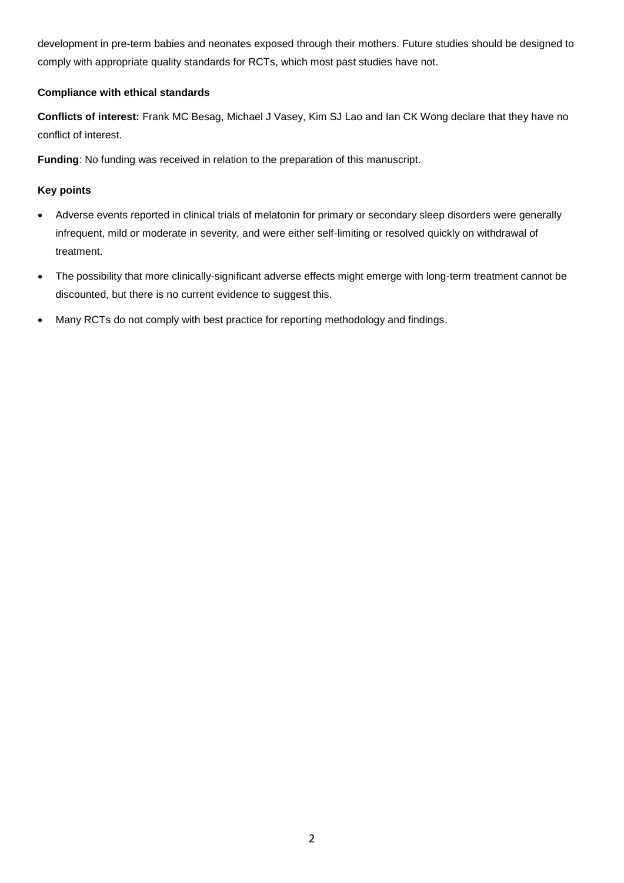development in pre-term babies and neonates exposed through their mothers. Future studies should be designed to comply with appropriate quality standards for RCTs, which most past studies have not.

# **Compliance with ethical standards**

**Conflicts of interest:** Frank MC Besag, Michael J Vasey, Kim SJ Lao and Ian CK Wong declare that they have no conflict of interest.

**Funding**: No funding was received in relation to the preparation of this manuscript.

# **Key points**

- Adverse events reported in clinical trials of melatonin for primary or secondary sleep disorders were generally infrequent, mild or moderate in severity, and were either self-limiting or resolved quickly on withdrawal of treatment.
- The possibility that more clinically-significant adverse effects might emerge with long-term treatment cannot be discounted, but there is no current evidence to suggest this.
- Many RCTs do not comply with best practice for reporting methodology and findings.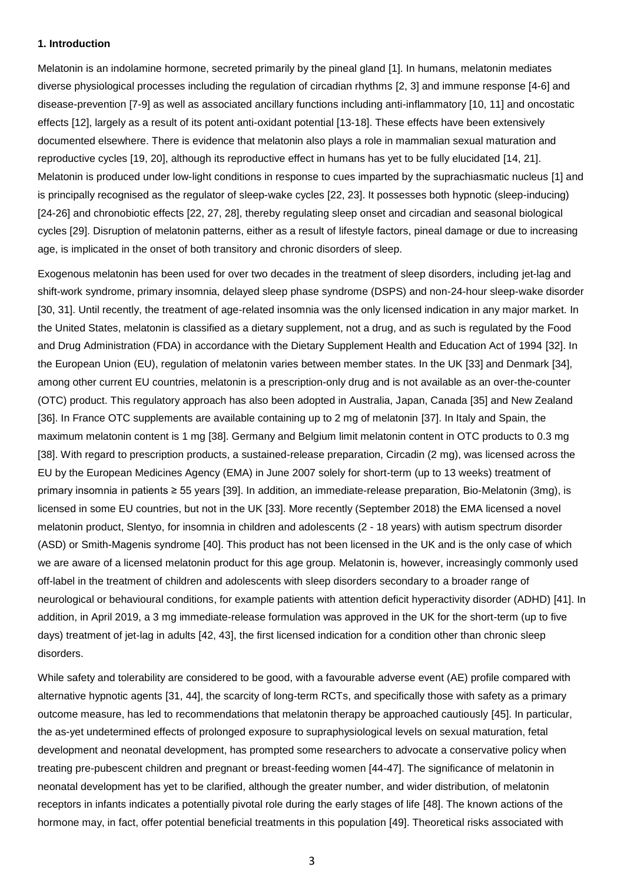#### **1. Introduction**

Melatonin is an indolamine hormone, secreted primarily by the pineal gland [1]. In humans, melatonin mediates diverse physiological processes including the regulation of circadian rhythms [2, 3] and immune response [4-6] and disease-prevention [7-9] as well as associated ancillary functions including anti-inflammatory [10, 11] and oncostatic effects [12], largely as a result of its potent anti-oxidant potential [13-18]. These effects have been extensively documented elsewhere. There is evidence that melatonin also plays a role in mammalian sexual maturation and reproductive cycles [19, 20], although its reproductive effect in humans has yet to be fully elucidated [14, 21]. Melatonin is produced under low-light conditions in response to cues imparted by the suprachiasmatic nucleus [1] and is principally recognised as the regulator of sleep-wake cycles [22, 23]. It possesses both hypnotic (sleep-inducing) [24-26] and chronobiotic effects [22, 27, 28], thereby regulating sleep onset and circadian and seasonal biological cycles [29]. Disruption of melatonin patterns, either as a result of lifestyle factors, pineal damage or due to increasing age, is implicated in the onset of both transitory and chronic disorders of sleep.

Exogenous melatonin has been used for over two decades in the treatment of sleep disorders, including jet-lag and shift-work syndrome, primary insomnia, delayed sleep phase syndrome (DSPS) and non-24-hour sleep-wake disorder [30, 31]. Until recently, the treatment of age-related insomnia was the only licensed indication in any major market. In the United States, melatonin is classified as a dietary supplement, not a drug, and as such is regulated by the Food and Drug Administration (FDA) in accordance with the Dietary Supplement Health and Education Act of 1994 [32]. In the European Union (EU), regulation of melatonin varies between member states. In the UK [33] and Denmark [34], among other current EU countries, melatonin is a prescription-only drug and is not available as an over-the-counter (OTC) product. This regulatory approach has also been adopted in Australia, Japan, Canada [35] and New Zealand [36]. In France OTC supplements are available containing up to 2 mg of melatonin [37]. In Italy and Spain, the maximum melatonin content is 1 mg [38]. Germany and Belgium limit melatonin content in OTC products to 0.3 mg [38]. With regard to prescription products, a sustained-release preparation, Circadin (2 mg), was licensed across the EU by the European Medicines Agency (EMA) in June 2007 solely for short-term (up to 13 weeks) treatment of primary insomnia in patients ≥ 55 years [39]. In addition, an immediate-release preparation, Bio-Melatonin (3mg), is licensed in some EU countries, but not in the UK [33]. More recently (September 2018) the EMA licensed a novel melatonin product, Slentyo, for insomnia in children and adolescents (2 - 18 years) with autism spectrum disorder (ASD) or Smith-Magenis syndrome [40]. This product has not been licensed in the UK and is the only case of which we are aware of a licensed melatonin product for this age group. Melatonin is, however, increasingly commonly used off-label in the treatment of children and adolescents with sleep disorders secondary to a broader range of neurological or behavioural conditions, for example patients with attention deficit hyperactivity disorder (ADHD) [41]. In addition, in April 2019, a 3 mg immediate-release formulation was approved in the UK for the short-term (up to five days) treatment of jet-lag in adults [42, 43], the first licensed indication for a condition other than chronic sleep disorders.

While safety and tolerability are considered to be good, with a favourable adverse event (AE) profile compared with alternative hypnotic agents [31, 44], the scarcity of long-term RCTs, and specifically those with safety as a primary outcome measure, has led to recommendations that melatonin therapy be approached cautiously [45]. In particular, the as-yet undetermined effects of prolonged exposure to supraphysiological levels on sexual maturation, fetal development and neonatal development, has prompted some researchers to advocate a conservative policy when treating pre-pubescent children and pregnant or breast-feeding women [44-47]. The significance of melatonin in neonatal development has yet to be clarified, although the greater number, and wider distribution, of melatonin receptors in infants indicates a potentially pivotal role during the early stages of life [48]. The known actions of the hormone may, in fact, offer potential beneficial treatments in this population [49]. Theoretical risks associated with

3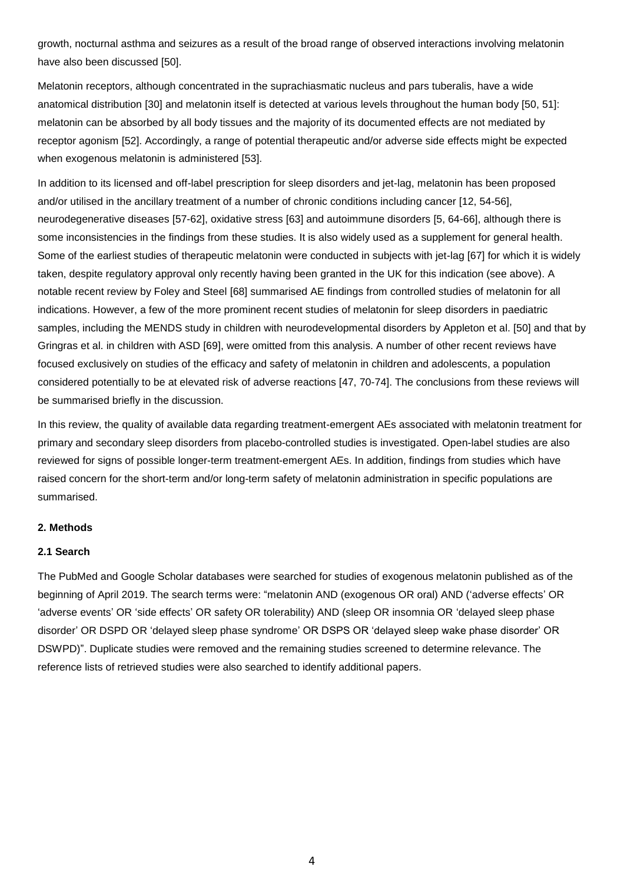growth, nocturnal asthma and seizures as a result of the broad range of observed interactions involving melatonin have also been discussed [50].

Melatonin receptors, although concentrated in the suprachiasmatic nucleus and pars tuberalis, have a wide anatomical distribution [30] and melatonin itself is detected at various levels throughout the human body [50, 51]: melatonin can be absorbed by all body tissues and the majority of its documented effects are not mediated by receptor agonism [52]. Accordingly, a range of potential therapeutic and/or adverse side effects might be expected when exogenous melatonin is administered [53].

In addition to its licensed and off-label prescription for sleep disorders and jet-lag, melatonin has been proposed and/or utilised in the ancillary treatment of a number of chronic conditions including cancer [12, 54-56], neurodegenerative diseases [57-62], oxidative stress [63] and autoimmune disorders [5, 64-66], although there is some inconsistencies in the findings from these studies. It is also widely used as a supplement for general health. Some of the earliest studies of therapeutic melatonin were conducted in subjects with jet-lag [67] for which it is widely taken, despite regulatory approval only recently having been granted in the UK for this indication (see above). A notable recent review by Foley and Steel [68] summarised AE findings from controlled studies of melatonin for all indications. However, a few of the more prominent recent studies of melatonin for sleep disorders in paediatric samples, including the MENDS study in children with neurodevelopmental disorders by Appleton et al. [50] and that by Gringras et al. in children with ASD [69], were omitted from this analysis. A number of other recent reviews have focused exclusively on studies of the efficacy and safety of melatonin in children and adolescents, a population considered potentially to be at elevated risk of adverse reactions [47, 70-74]. The conclusions from these reviews will be summarised briefly in the discussion.

In this review, the quality of available data regarding treatment-emergent AEs associated with melatonin treatment for primary and secondary sleep disorders from placebo-controlled studies is investigated. Open-label studies are also reviewed for signs of possible longer-term treatment-emergent AEs. In addition, findings from studies which have raised concern for the short-term and/or long-term safety of melatonin administration in specific populations are summarised.

#### **2. Methods**

#### **2.1 Search**

The PubMed and Google Scholar databases were searched for studies of exogenous melatonin published as of the beginning of April 2019. The search terms were: "melatonin AND (exogenous OR oral) AND ('adverse effects' OR 'adverse events' OR 'side effects' OR safety OR tolerability) AND (sleep OR insomnia OR 'delayed sleep phase disorder' OR DSPD OR 'delayed sleep phase syndrome' OR DSPS OR 'delayed sleep wake phase disorder' OR DSWPD)". Duplicate studies were removed and the remaining studies screened to determine relevance. The reference lists of retrieved studies were also searched to identify additional papers.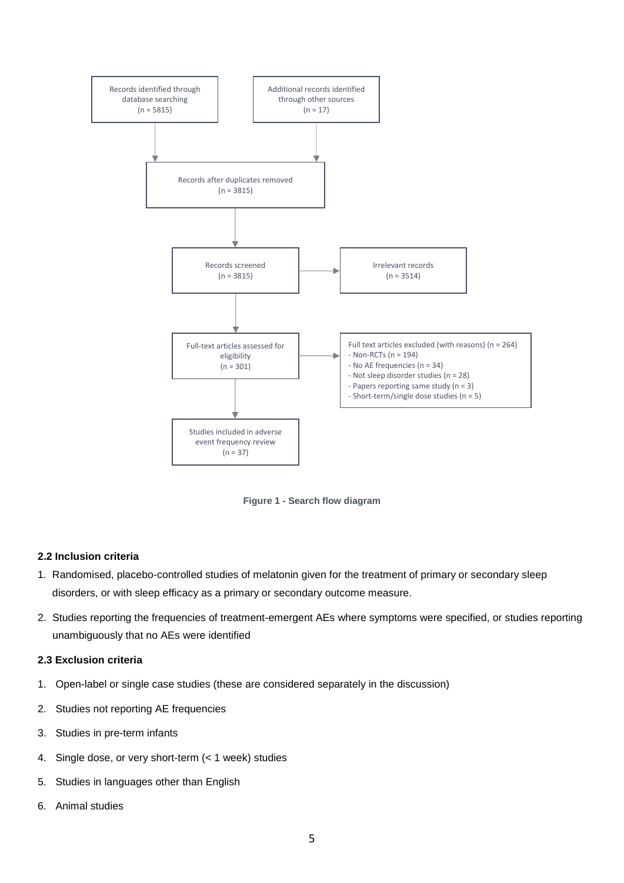

**Figure 1 - Search flow diagram**

## **2.2 Inclusion criteria**

- 1. Randomised, placebo-controlled studies of melatonin given for the treatment of primary or secondary sleep disorders, or with sleep efficacy as a primary or secondary outcome measure.
- 2. Studies reporting the frequencies of treatment-emergent AEs where symptoms were specified, or studies reporting unambiguously that no AEs were identified

### **2.3 Exclusion criteria**

- 1. Open-label or single case studies (these are considered separately in the discussion)
- 2. Studies not reporting AE frequencies
- 3. Studies in pre-term infants
- 4. Single dose, or very short-term (< 1 week) studies
- 5. Studies in languages other than English
- 6. Animal studies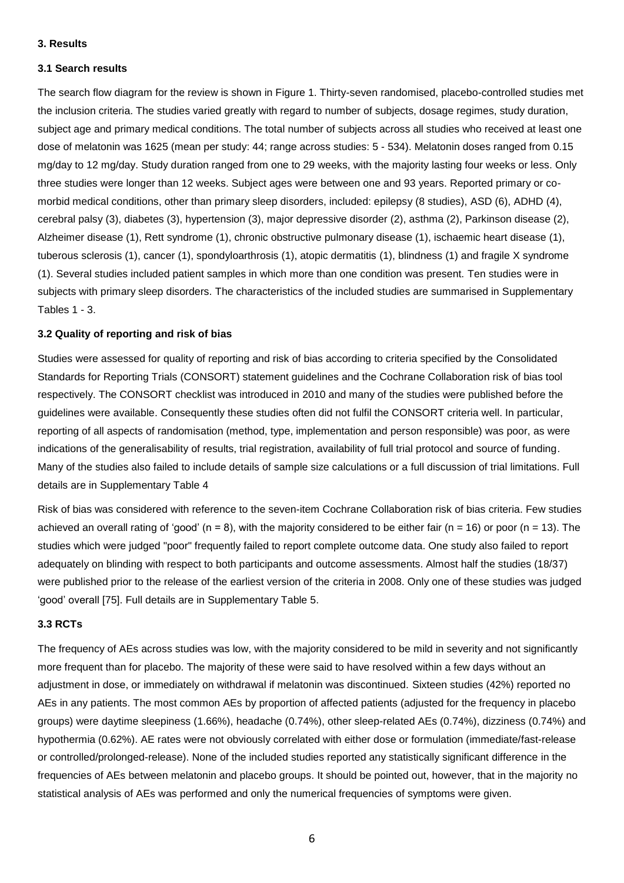#### **3. Results**

#### **3.1 Search results**

The search flow diagram for the review is shown in Figure 1. Thirty-seven randomised, placebo-controlled studies met the inclusion criteria. The studies varied greatly with regard to number of subjects, dosage regimes, study duration, subject age and primary medical conditions. The total number of subjects across all studies who received at least one dose of melatonin was 1625 (mean per study: 44; range across studies: 5 - 534). Melatonin doses ranged from 0.15 mg/day to 12 mg/day. Study duration ranged from one to 29 weeks, with the majority lasting four weeks or less. Only three studies were longer than 12 weeks. Subject ages were between one and 93 years. Reported primary or comorbid medical conditions, other than primary sleep disorders, included: epilepsy (8 studies), ASD (6), ADHD (4), cerebral palsy (3), diabetes (3), hypertension (3), major depressive disorder (2), asthma (2), Parkinson disease (2), Alzheimer disease (1), Rett syndrome (1), chronic obstructive pulmonary disease (1), ischaemic heart disease (1), tuberous sclerosis (1), cancer (1), spondyloarthrosis (1), atopic dermatitis (1), blindness (1) and fragile X syndrome (1). Several studies included patient samples in which more than one condition was present. Ten studies were in subjects with primary sleep disorders. The characteristics of the included studies are summarised in Supplementary Tables 1 - 3.

#### **3.2 Quality of reporting and risk of bias**

Studies were assessed for quality of reporting and risk of bias according to criteria specified by the Consolidated Standards for Reporting Trials (CONSORT) statement guidelines and the Cochrane Collaboration risk of bias tool respectively. The CONSORT checklist was introduced in 2010 and many of the studies were published before the guidelines were available. Consequently these studies often did not fulfil the CONSORT criteria well. In particular, reporting of all aspects of randomisation (method, type, implementation and person responsible) was poor, as were indications of the generalisability of results, trial registration, availability of full trial protocol and source of funding. Many of the studies also failed to include details of sample size calculations or a full discussion of trial limitations. Full details are in Supplementary Table 4

Risk of bias was considered with reference to the seven-item Cochrane Collaboration risk of bias criteria. Few studies achieved an overall rating of 'good' ( $n = 8$ ), with the majority considered to be either fair ( $n = 16$ ) or poor ( $n = 13$ ). The studies which were judged "poor" frequently failed to report complete outcome data. One study also failed to report adequately on blinding with respect to both participants and outcome assessments. Almost half the studies (18/37) were published prior to the release of the earliest version of the criteria in 2008. Only one of these studies was judged 'good' overall [75]. Full details are in Supplementary Table 5.

### **3.3 RCTs**

The frequency of AEs across studies was low, with the majority considered to be mild in severity and not significantly more frequent than for placebo. The majority of these were said to have resolved within a few days without an adjustment in dose, or immediately on withdrawal if melatonin was discontinued. Sixteen studies (42%) reported no AEs in any patients. The most common AEs by proportion of affected patients (adjusted for the frequency in placebo groups) were daytime sleepiness (1.66%), headache (0.74%), other sleep-related AEs (0.74%), dizziness (0.74%) and hypothermia (0.62%). AE rates were not obviously correlated with either dose or formulation (immediate/fast-release or controlled/prolonged-release). None of the included studies reported any statistically significant difference in the frequencies of AEs between melatonin and placebo groups. It should be pointed out, however, that in the majority no statistical analysis of AEs was performed and only the numerical frequencies of symptoms were given.

6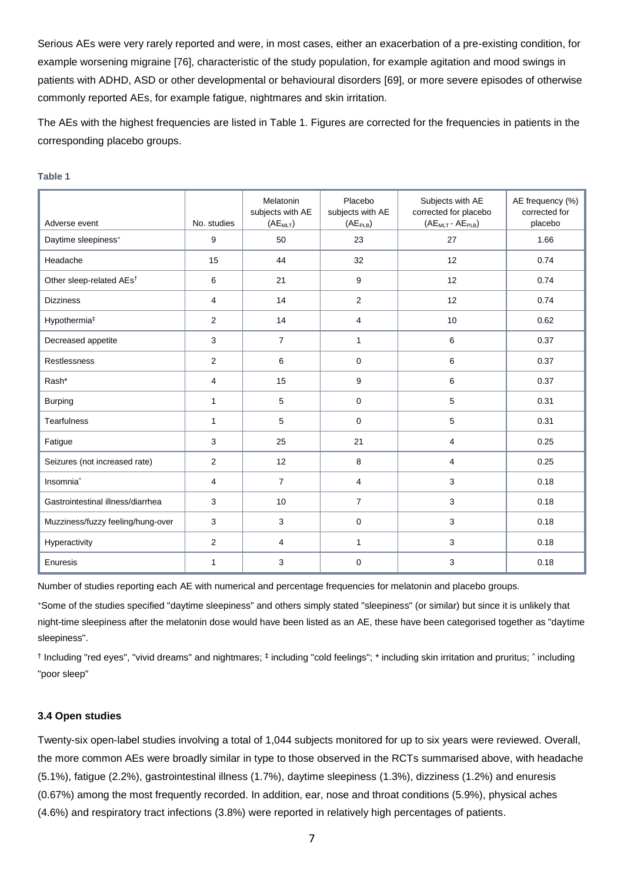Serious AEs were very rarely reported and were, in most cases, either an exacerbation of a pre-existing condition, for example worsening migraine [76], characteristic of the study population, for example agitation and mood swings in patients with ADHD, ASD or other developmental or behavioural disorders [69], or more severe episodes of otherwise commonly reported AEs, for example fatigue, nightmares and skin irritation.

The AEs with the highest frequencies are listed in Table 1. Figures are corrected for the frequencies in patients in the corresponding placebo groups.

| Adverse event                        | No. studies    | Melatonin<br>subjects with AE<br>(AE <sub>MLT</sub> ) | Placebo<br>subjects with AE<br>(AE <sub>PLB</sub> ) | Subjects with AE<br>corrected for placebo<br>(AE <sub>MLT</sub> - AE <sub>PLB</sub> ) | AE frequency (%)<br>corrected for<br>placebo |
|--------------------------------------|----------------|-------------------------------------------------------|-----------------------------------------------------|---------------------------------------------------------------------------------------|----------------------------------------------|
| Daytime sleepiness <sup>+</sup>      | 9              | 50                                                    | 23                                                  | 27                                                                                    | 1.66                                         |
| Headache                             | 15             | 44                                                    | 32                                                  | 12                                                                                    | 0.74                                         |
| Other sleep-related AEs <sup>t</sup> | 6              | 21                                                    | 9                                                   | 12                                                                                    | 0.74                                         |
| <b>Dizziness</b>                     | 4              | 14                                                    | 2                                                   | 12                                                                                    | 0.74                                         |
| Hypothermia <sup>#</sup>             | 2              | 14                                                    | 4                                                   | 10                                                                                    | 0.62                                         |
| Decreased appetite                   | 3              | $\overline{7}$                                        | $\mathbf{1}$                                        | 6                                                                                     | 0.37                                         |
| Restlessness                         | $\overline{2}$ | 6                                                     | $\mathbf 0$                                         | 6                                                                                     | 0.37                                         |
| Rash*                                | 4              | 15                                                    | 9                                                   | 6                                                                                     | 0.37                                         |
| <b>Burping</b>                       | $\mathbf{1}$   | 5                                                     | $\mathbf 0$                                         | 5                                                                                     | 0.31                                         |
| <b>Tearfulness</b>                   | 1              | 5                                                     | $\mathbf 0$                                         | 5                                                                                     | 0.31                                         |
| Fatigue                              | 3              | 25                                                    | 21                                                  | 4                                                                                     | 0.25                                         |
| Seizures (not increased rate)        | 2              | 12                                                    | 8                                                   | 4                                                                                     | 0.25                                         |
| Insomnia <sup>^</sup>                | 4              | $\overline{7}$                                        | 4                                                   | 3                                                                                     | 0.18                                         |
| Gastrointestinal illness/diarrhea    | 3              | 10                                                    | $\overline{7}$                                      | 3                                                                                     | 0.18                                         |
| Muzziness/fuzzy feeling/hung-over    | 3              | 3                                                     | $\mathbf 0$                                         | 3                                                                                     | 0.18                                         |
| Hyperactivity                        | 2              | 4                                                     | 1                                                   | 3                                                                                     | 0.18                                         |
| Enuresis                             | $\mathbf{1}$   | 3                                                     | $\mathbf 0$                                         | 3                                                                                     | 0.18                                         |

#### **Table 1**

Number of studies reporting each AE with numerical and percentage frequencies for melatonin and placebo groups.

<sup>+</sup>Some of the studies specified "daytime sleepiness" and others simply stated "sleepiness" (or similar) but since it is unlikely that night-time sleepiness after the melatonin dose would have been listed as an AE, these have been categorised together as "daytime sleepiness".

t Including "red eyes", "vivid dreams" and nightmares; ‡including "cold feelings"; \* including skin irritation and pruritus; ^ including "poor sleep"

## **3.4 Open studies**

Twenty-six open-label studies involving a total of 1,044 subjects monitored for up to six years were reviewed. Overall, the more common AEs were broadly similar in type to those observed in the RCTs summarised above, with headache (5.1%), fatigue (2.2%), gastrointestinal illness (1.7%), daytime sleepiness (1.3%), dizziness (1.2%) and enuresis (0.67%) among the most frequently recorded. In addition, ear, nose and throat conditions (5.9%), physical aches (4.6%) and respiratory tract infections (3.8%) were reported in relatively high percentages of patients.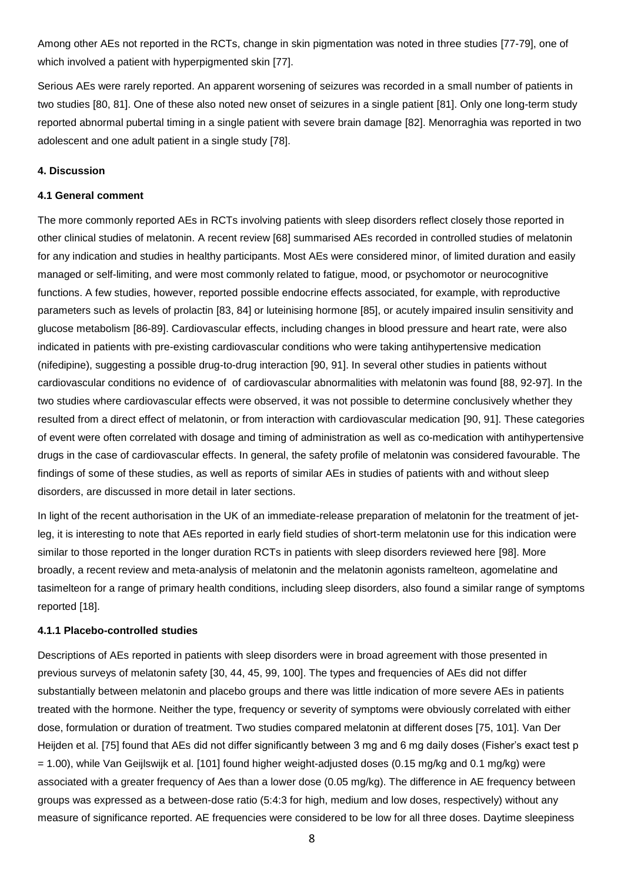Among other AEs not reported in the RCTs, change in skin pigmentation was noted in three studies [77-79], one of which involved a patient with hyperpigmented skin [77].

Serious AEs were rarely reported. An apparent worsening of seizures was recorded in a small number of patients in two studies [80, 81]. One of these also noted new onset of seizures in a single patient [81]. Only one long-term study reported abnormal pubertal timing in a single patient with severe brain damage [82]. Menorraghia was reported in two adolescent and one adult patient in a single study [78].

#### **4. Discussion**

#### **4.1 General comment**

The more commonly reported AEs in RCTs involving patients with sleep disorders reflect closely those reported in other clinical studies of melatonin. A recent review [68] summarised AEs recorded in controlled studies of melatonin for any indication and studies in healthy participants. Most AEs were considered minor, of limited duration and easily managed or self-limiting, and were most commonly related to fatigue, mood, or psychomotor or neurocognitive functions. A few studies, however, reported possible endocrine effects associated, for example, with reproductive parameters such as levels of prolactin [83, 84] or luteinising hormone [85], or acutely impaired insulin sensitivity and glucose metabolism [86-89]. Cardiovascular effects, including changes in blood pressure and heart rate, were also indicated in patients with pre-existing cardiovascular conditions who were taking antihypertensive medication (nifedipine), suggesting a possible drug-to-drug interaction [90, 91]. In several other studies in patients without cardiovascular conditions no evidence of of cardiovascular abnormalities with melatonin was found [88, 92-97]. In the two studies where cardiovascular effects were observed, it was not possible to determine conclusively whether they resulted from a direct effect of melatonin, or from interaction with cardiovascular medication [90, 91]. These categories of event were often correlated with dosage and timing of administration as well as co-medication with antihypertensive drugs in the case of cardiovascular effects. In general, the safety profile of melatonin was considered favourable. The findings of some of these studies, as well as reports of similar AEs in studies of patients with and without sleep disorders, are discussed in more detail in later sections.

In light of the recent authorisation in the UK of an immediate-release preparation of melatonin for the treatment of jetleg, it is interesting to note that AEs reported in early field studies of short-term melatonin use for this indication were similar to those reported in the longer duration RCTs in patients with sleep disorders reviewed here [98]. More broadly, a recent review and meta-analysis of melatonin and the melatonin agonists ramelteon, agomelatine and tasimelteon for a range of primary health conditions, including sleep disorders, also found a similar range of symptoms reported [18].

#### **4.1.1 Placebo-controlled studies**

Descriptions of AEs reported in patients with sleep disorders were in broad agreement with those presented in previous surveys of melatonin safety [30, 44, 45, 99, 100]. The types and frequencies of AEs did not differ substantially between melatonin and placebo groups and there was little indication of more severe AEs in patients treated with the hormone. Neither the type, frequency or severity of symptoms were obviously correlated with either dose, formulation or duration of treatment. Two studies compared melatonin at different doses [75, 101]. Van Der Heijden et al. [75] found that AEs did not differ significantly between 3 mg and 6 mg daily doses (Fisher's exact test p = 1.00), while Van Geijlswijk et al. [101] found higher weight-adjusted doses (0.15 mg/kg and 0.1 mg/kg) were associated with a greater frequency of Aes than a lower dose (0.05 mg/kg). The difference in AE frequency between groups was expressed as a between-dose ratio (5:4:3 for high, medium and low doses, respectively) without any measure of significance reported. AE frequencies were considered to be low for all three doses. Daytime sleepiness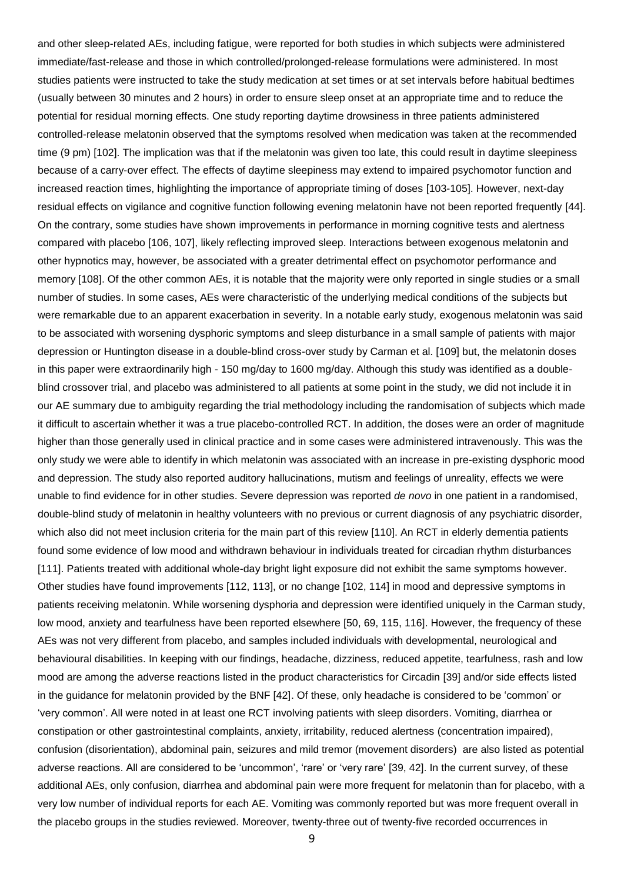and other sleep-related AEs, including fatigue, were reported for both studies in which subjects were administered immediate/fast-release and those in which controlled/prolonged-release formulations were administered. In most studies patients were instructed to take the study medication at set times or at set intervals before habitual bedtimes (usually between 30 minutes and 2 hours) in order to ensure sleep onset at an appropriate time and to reduce the potential for residual morning effects. One study reporting daytime drowsiness in three patients administered controlled-release melatonin observed that the symptoms resolved when medication was taken at the recommended time (9 pm) [102]. The implication was that if the melatonin was given too late, this could result in daytime sleepiness because of a carry-over effect. The effects of daytime sleepiness may extend to impaired psychomotor function and increased reaction times, highlighting the importance of appropriate timing of doses [103-105]. However, next-day residual effects on vigilance and cognitive function following evening melatonin have not been reported frequently [44]. On the contrary, some studies have shown improvements in performance in morning cognitive tests and alertness compared with placebo [106, 107], likely reflecting improved sleep. Interactions between exogenous melatonin and other hypnotics may, however, be associated with a greater detrimental effect on psychomotor performance and memory [108]. Of the other common AEs, it is notable that the majority were only reported in single studies or a small number of studies. In some cases, AEs were characteristic of the underlying medical conditions of the subjects but were remarkable due to an apparent exacerbation in severity. In a notable early study, exogenous melatonin was said to be associated with worsening dysphoric symptoms and sleep disturbance in a small sample of patients with major depression or Huntington disease in a double-blind cross-over study by Carman et al. [109] but, the melatonin doses in this paper were extraordinarily high - 150 mg/day to 1600 mg/day. Although this study was identified as a doubleblind crossover trial, and placebo was administered to all patients at some point in the study, we did not include it in our AE summary due to ambiguity regarding the trial methodology including the randomisation of subjects which made it difficult to ascertain whether it was a true placebo-controlled RCT. In addition, the doses were an order of magnitude higher than those generally used in clinical practice and in some cases were administered intravenously. This was the only study we were able to identify in which melatonin was associated with an increase in pre-existing dysphoric mood and depression. The study also reported auditory hallucinations, mutism and feelings of unreality, effects we were unable to find evidence for in other studies. Severe depression was reported *de novo* in one patient in a randomised, double-blind study of melatonin in healthy volunteers with no previous or current diagnosis of any psychiatric disorder, which also did not meet inclusion criteria for the main part of this review [110]. An RCT in elderly dementia patients found some evidence of low mood and withdrawn behaviour in individuals treated for circadian rhythm disturbances [111]. Patients treated with additional whole-day bright light exposure did not exhibit the same symptoms however. Other studies have found improvements [112, 113], or no change [102, 114] in mood and depressive symptoms in patients receiving melatonin. While worsening dysphoria and depression were identified uniquely in the Carman study, low mood, anxiety and tearfulness have been reported elsewhere [50, 69, 115, 116]. However, the frequency of these AEs was not very different from placebo, and samples included individuals with developmental, neurological and behavioural disabilities. In keeping with our findings, headache, dizziness, reduced appetite, tearfulness, rash and low mood are among the adverse reactions listed in the product characteristics for Circadin [39] and/or side effects listed in the guidance for melatonin provided by the BNF [42]. Of these, only headache is considered to be 'common' or 'very common'. All were noted in at least one RCT involving patients with sleep disorders. Vomiting, diarrhea or constipation or other gastrointestinal complaints, anxiety, irritability, reduced alertness (concentration impaired), confusion (disorientation), abdominal pain, seizures and mild tremor (movement disorders) are also listed as potential adverse reactions. All are considered to be 'uncommon', 'rare' or 'very rare' [39, 42]. In the current survey, of these additional AEs, only confusion, diarrhea and abdominal pain were more frequent for melatonin than for placebo, with a very low number of individual reports for each AE. Vomiting was commonly reported but was more frequent overall in the placebo groups in the studies reviewed. Moreover, twenty-three out of twenty-five recorded occurrences in

9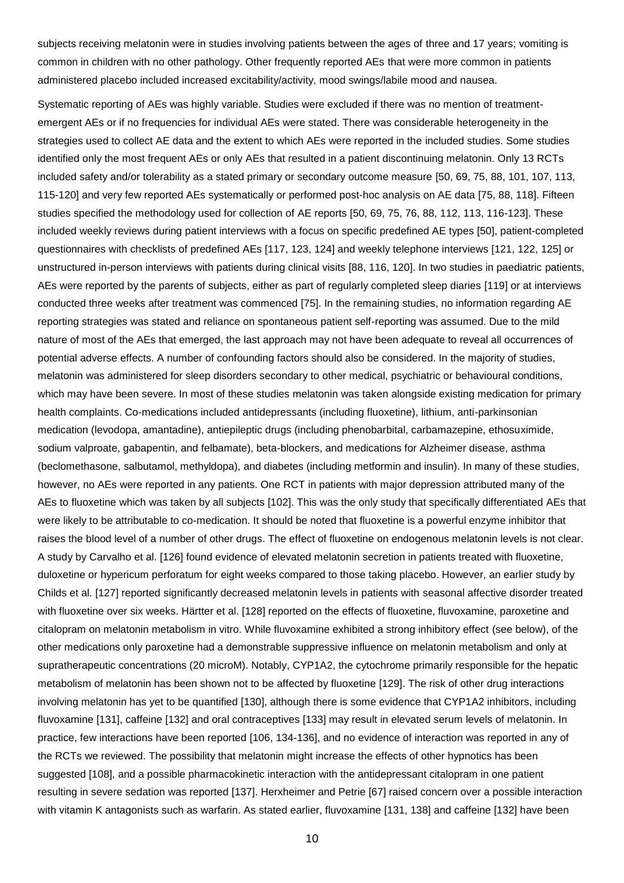subjects receiving melatonin were in studies involving patients between the ages of three and 17 years; vomiting is common in children with no other pathology. Other frequently reported AEs that were more common in patients administered placebo included increased excitability/activity, mood swings/labile mood and nausea.

Systematic reporting of AEs was highly variable. Studies were excluded if there was no mention of treatmentemergent AEs or if no frequencies for individual AEs were stated. There was considerable heterogeneity in the strategies used to collect AE data and the extent to which AEs were reported in the included studies. Some studies identified only the most frequent AEs or only AEs that resulted in a patient discontinuing melatonin. Only 13 RCTs included safety and/or tolerability as a stated primary or secondary outcome measure [50, 69, 75, 88, 101, 107, 113, 115-120] and very few reported AEs systematically or performed post-hoc analysis on AE data [75, 88, 118]. Fifteen studies specified the methodology used for collection of AE reports [50, 69, 75, 76, 88, 112, 113, 116-123]. These included weekly reviews during patient interviews with a focus on specific predefined AE types [50], patient-completed questionnaires with checklists of predefined AEs [117, 123, 124] and weekly telephone interviews [121, 122, 125] or unstructured in-person interviews with patients during clinical visits [88, 116, 120]. In two studies in paediatric patients, AEs were reported by the parents of subjects, either as part of regularly completed sleep diaries [119] or at interviews conducted three weeks after treatment was commenced [75]. In the remaining studies, no information regarding AE reporting strategies was stated and reliance on spontaneous patient self-reporting was assumed. Due to the mild nature of most of the AEs that emerged, the last approach may not have been adequate to reveal all occurrences of potential adverse effects. A number of confounding factors should also be considered. In the majority of studies, melatonin was administered for sleep disorders secondary to other medical, psychiatric or behavioural conditions, which may have been severe. In most of these studies melatonin was taken alongside existing medication for primary health complaints. Co-medications included antidepressants (including fluoxetine), lithium, anti-parkinsonian medication (levodopa, amantadine), antiepileptic drugs (including phenobarbital, carbamazepine, ethosuximide, sodium valproate, gabapentin, and felbamate), beta-blockers, and medications for Alzheimer disease, asthma (beclomethasone, salbutamol, methyldopa), and diabetes (including metformin and insulin). In many of these studies, however, no AEs were reported in any patients. One RCT in patients with major depression attributed many of the AEs to fluoxetine which was taken by all subjects [102]. This was the only study that specifically differentiated AEs that were likely to be attributable to co-medication. It should be noted that fluoxetine is a powerful enzyme inhibitor that raises the blood level of a number of other drugs. The effect of fluoxetine on endogenous melatonin levels is not clear. A study by Carvalho et al. [126] found evidence of elevated melatonin secretion in patients treated with fluoxetine, duloxetine or hypericum perforatum for eight weeks compared to those taking placebo. However, an earlier study by Childs et al. [127] reported significantly decreased melatonin levels in patients with seasonal affective disorder treated with fluoxetine over six weeks. Härtter et al. [128] reported on the effects of fluoxetine, fluvoxamine, paroxetine and citalopram on melatonin metabolism in vitro. While fluvoxamine exhibited a strong inhibitory effect (see below), of the other medications only paroxetine had a demonstrable suppressive influence on melatonin metabolism and only at supratherapeutic concentrations (20 microM). Notably, CYP1A2, the cytochrome primarily responsible for the hepatic metabolism of melatonin has been shown not to be affected by fluoxetine [129]. The risk of other drug interactions involving melatonin has yet to be quantified [130], although there is some evidence that CYP1A2 inhibitors, including fluvoxamine [131], caffeine [132] and oral contraceptives [133] may result in elevated serum levels of melatonin. In practice, few interactions have been reported [106, 134-136], and no evidence of interaction was reported in any of the RCTs we reviewed. The possibility that melatonin might increase the effects of other hypnotics has been suggested [108], and a possible pharmacokinetic interaction with the antidepressant citalopram in one patient resulting in severe sedation was reported [137]. Herxheimer and Petrie [67] raised concern over a possible interaction with vitamin K antagonists such as warfarin. As stated earlier, fluvoxamine [131, 138] and caffeine [132] have been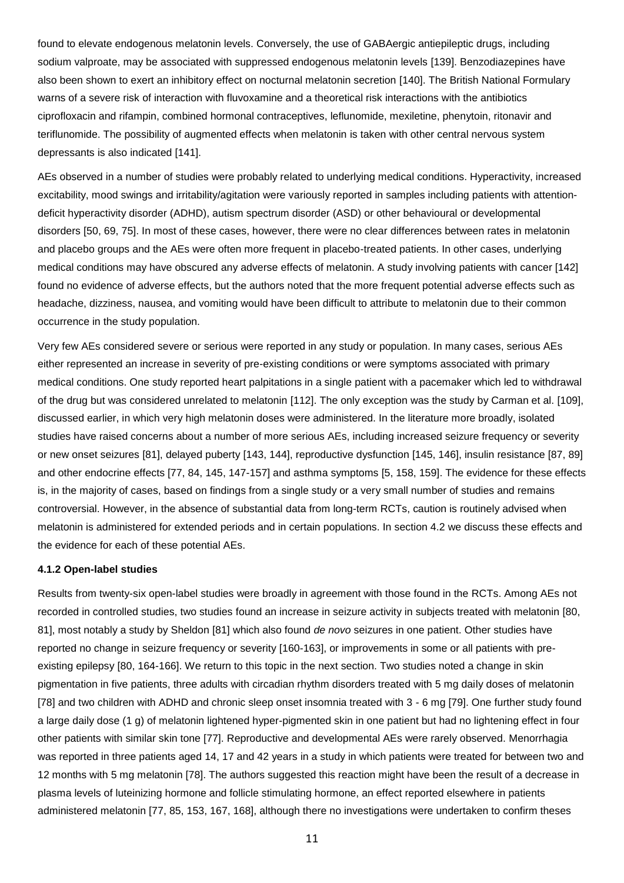found to elevate endogenous melatonin levels. Conversely, the use of GABAergic antiepileptic drugs, including sodium valproate, may be associated with suppressed endogenous melatonin levels [139]. Benzodiazepines have also been shown to exert an inhibitory effect on nocturnal melatonin secretion [140]. The British National Formulary warns of a severe risk of interaction with fluvoxamine and a theoretical risk interactions with the antibiotics ciprofloxacin and rifampin, combined hormonal contraceptives, leflunomide, mexiletine, phenytoin, ritonavir and teriflunomide. The possibility of augmented effects when melatonin is taken with other central nervous system depressants is also indicated [141].

AEs observed in a number of studies were probably related to underlying medical conditions. Hyperactivity, increased excitability, mood swings and irritability/agitation were variously reported in samples including patients with attentiondeficit hyperactivity disorder (ADHD), autism spectrum disorder (ASD) or other behavioural or developmental disorders [50, 69, 75]. In most of these cases, however, there were no clear differences between rates in melatonin and placebo groups and the AEs were often more frequent in placebo-treated patients. In other cases, underlying medical conditions may have obscured any adverse effects of melatonin. A study involving patients with cancer [142] found no evidence of adverse effects, but the authors noted that the more frequent potential adverse effects such as headache, dizziness, nausea, and vomiting would have been difficult to attribute to melatonin due to their common occurrence in the study population.

Very few AEs considered severe or serious were reported in any study or population. In many cases, serious AEs either represented an increase in severity of pre-existing conditions or were symptoms associated with primary medical conditions. One study reported heart palpitations in a single patient with a pacemaker which led to withdrawal of the drug but was considered unrelated to melatonin [112]. The only exception was the study by Carman et al. [109], discussed earlier, in which very high melatonin doses were administered. In the literature more broadly, isolated studies have raised concerns about a number of more serious AEs, including increased seizure frequency or severity or new onset seizures [81], delayed puberty [143, 144], reproductive dysfunction [145, 146], insulin resistance [87, 89] and other endocrine effects [77, 84, 145, 147-157] and asthma symptoms [5, 158, 159]. The evidence for these effects is, in the majority of cases, based on findings from a single study or a very small number of studies and remains controversial. However, in the absence of substantial data from long-term RCTs, caution is routinely advised when melatonin is administered for extended periods and in certain populations. In section 4.2 we discuss these effects and the evidence for each of these potential AEs.

#### **4.1.2 Open-label studies**

Results from twenty-six open-label studies were broadly in agreement with those found in the RCTs. Among AEs not recorded in controlled studies, two studies found an increase in seizure activity in subjects treated with melatonin [80, 81], most notably a study by Sheldon [81] which also found *de novo* seizures in one patient. Other studies have reported no change in seizure frequency or severity [160-163], or improvements in some or all patients with preexisting epilepsy [80, 164-166]. We return to this topic in the next section. Two studies noted a change in skin pigmentation in five patients, three adults with circadian rhythm disorders treated with 5 mg daily doses of melatonin [78] and two children with ADHD and chronic sleep onset insomnia treated with 3 - 6 mg [79]. One further study found a large daily dose (1 g) of melatonin lightened hyper-pigmented skin in one patient but had no lightening effect in four other patients with similar skin tone [77]. Reproductive and developmental AEs were rarely observed. Menorrhagia was reported in three patients aged 14, 17 and 42 years in a study in which patients were treated for between two and 12 months with 5 mg melatonin [78]. The authors suggested this reaction might have been the result of a decrease in plasma levels of luteinizing hormone and follicle stimulating hormone, an effect reported elsewhere in patients administered melatonin [77, 85, 153, 167, 168], although there no investigations were undertaken to confirm theses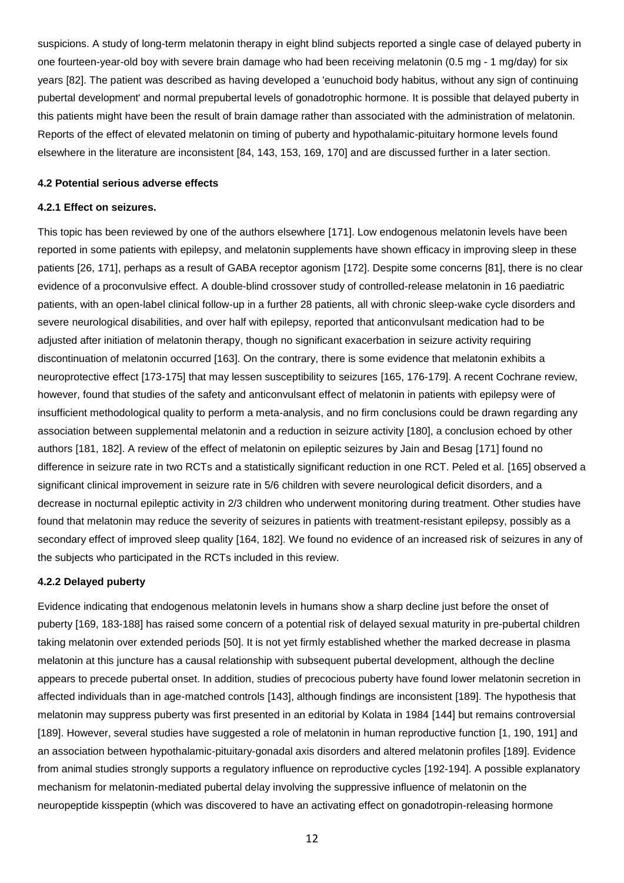suspicions. A study of long-term melatonin therapy in eight blind subjects reported a single case of delayed puberty in one fourteen-year-old boy with severe brain damage who had been receiving melatonin (0.5 mg - 1 mg/day) for six years [82]. The patient was described as having developed a 'eunuchoid body habitus, without any sign of continuing pubertal development' and normal prepubertal levels of gonadotrophic hormone. It is possible that delayed puberty in this patients might have been the result of brain damage rather than associated with the administration of melatonin. Reports of the effect of elevated melatonin on timing of puberty and hypothalamic-pituitary hormone levels found elsewhere in the literature are inconsistent [84, 143, 153, 169, 170] and are discussed further in a later section.

#### **4.2 Potential serious adverse effects**

#### **4.2.1 Effect on seizures.**

This topic has been reviewed by one of the authors elsewhere [171]. Low endogenous melatonin levels have been reported in some patients with epilepsy, and melatonin supplements have shown efficacy in improving sleep in these patients [26, 171], perhaps as a result of GABA receptor agonism [172]. Despite some concerns [81], there is no clear evidence of a proconvulsive effect. A double-blind crossover study of controlled-release melatonin in 16 paediatric patients, with an open-label clinical follow-up in a further 28 patients, all with chronic sleep-wake cycle disorders and severe neurological disabilities, and over half with epilepsy, reported that anticonvulsant medication had to be adjusted after initiation of melatonin therapy, though no significant exacerbation in seizure activity requiring discontinuation of melatonin occurred [163]. On the contrary, there is some evidence that melatonin exhibits a neuroprotective effect [173-175] that may lessen susceptibility to seizures [165, 176-179]. A recent Cochrane review, however, found that studies of the safety and anticonvulsant effect of melatonin in patients with epilepsy were of insufficient methodological quality to perform a meta-analysis, and no firm conclusions could be drawn regarding any association between supplemental melatonin and a reduction in seizure activity [180], a conclusion echoed by other authors [181, 182]. A review of the effect of melatonin on epileptic seizures by Jain and Besag [171] found no difference in seizure rate in two RCTs and a statistically significant reduction in one RCT. Peled et al. [165] observed a significant clinical improvement in seizure rate in 5/6 children with severe neurological deficit disorders, and a decrease in nocturnal epileptic activity in 2/3 children who underwent monitoring during treatment. Other studies have found that melatonin may reduce the severity of seizures in patients with treatment-resistant epilepsy, possibly as a secondary effect of improved sleep quality [164, 182]. We found no evidence of an increased risk of seizures in any of the subjects who participated in the RCTs included in this review.

#### **4.2.2 Delayed puberty**

Evidence indicating that endogenous melatonin levels in humans show a sharp decline just before the onset of puberty [169, 183-188] has raised some concern of a potential risk of delayed sexual maturity in pre-pubertal children taking melatonin over extended periods [50]. It is not yet firmly established whether the marked decrease in plasma melatonin at this juncture has a causal relationship with subsequent pubertal development, although the decline appears to precede pubertal onset. In addition, studies of precocious puberty have found lower melatonin secretion in affected individuals than in age-matched controls [143], although findings are inconsistent [189]. The hypothesis that melatonin may suppress puberty was first presented in an editorial by Kolata in 1984 [144] but remains controversial [189]. However, several studies have suggested a role of melatonin in human reproductive function [1, 190, 191] and an association between hypothalamic-pituitary-gonadal axis disorders and altered melatonin profiles [189]. Evidence from animal studies strongly supports a regulatory influence on reproductive cycles [192-194]. A possible explanatory mechanism for melatonin-mediated pubertal delay involving the suppressive influence of melatonin on the neuropeptide kisspeptin (which was discovered to have an activating effect on gonadotropin-releasing hormone

12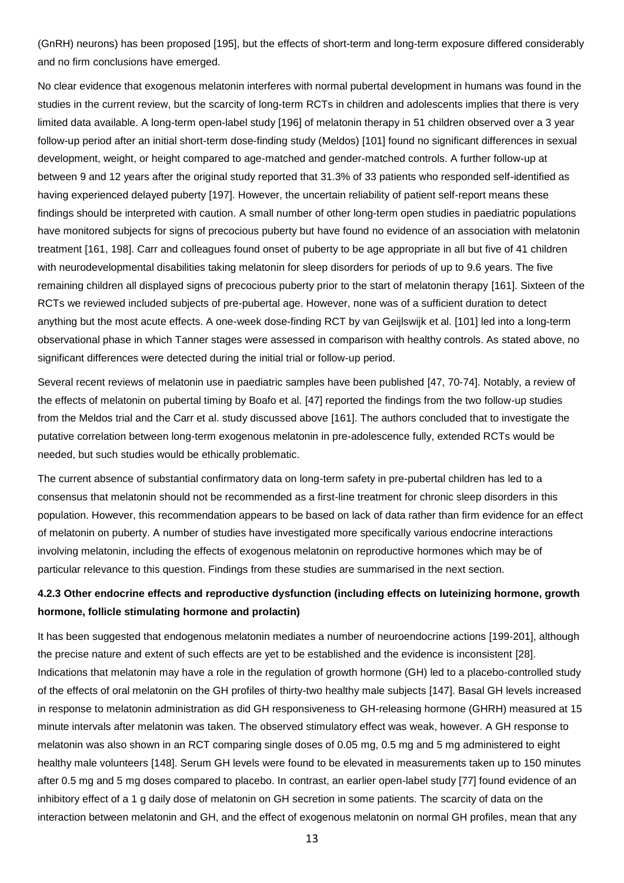(GnRH) neurons) has been proposed [195], but the effects of short-term and long-term exposure differed considerably and no firm conclusions have emerged.

No clear evidence that exogenous melatonin interferes with normal pubertal development in humans was found in the studies in the current review, but the scarcity of long-term RCTs in children and adolescents implies that there is very limited data available. A long-term open-label study [196] of melatonin therapy in 51 children observed over a 3 year follow-up period after an initial short-term dose-finding study (Meldos) [101] found no significant differences in sexual development, weight, or height compared to age-matched and gender-matched controls. A further follow-up at between 9 and 12 years after the original study reported that 31.3% of 33 patients who responded self-identified as having experienced delayed puberty [197]. However, the uncertain reliability of patient self-report means these findings should be interpreted with caution. A small number of other long-term open studies in paediatric populations have monitored subjects for signs of precocious puberty but have found no evidence of an association with melatonin treatment [161, 198]. Carr and colleagues found onset of puberty to be age appropriate in all but five of 41 children with neurodevelopmental disabilities taking melatonin for sleep disorders for periods of up to 9.6 years. The five remaining children all displayed signs of precocious puberty prior to the start of melatonin therapy [161]. Sixteen of the RCTs we reviewed included subjects of pre-pubertal age. However, none was of a sufficient duration to detect anything but the most acute effects. A one-week dose-finding RCT by van Geijlswijk et al. [101] led into a long-term observational phase in which Tanner stages were assessed in comparison with healthy controls. As stated above, no significant differences were detected during the initial trial or follow-up period.

Several recent reviews of melatonin use in paediatric samples have been published [47, 70-74]. Notably, a review of the effects of melatonin on pubertal timing by Boafo et al. [47] reported the findings from the two follow-up studies from the Meldos trial and the Carr et al. study discussed above [161]. The authors concluded that to investigate the putative correlation between long-term exogenous melatonin in pre-adolescence fully, extended RCTs would be needed, but such studies would be ethically problematic.

The current absence of substantial confirmatory data on long-term safety in pre-pubertal children has led to a consensus that melatonin should not be recommended as a first-line treatment for chronic sleep disorders in this population. However, this recommendation appears to be based on lack of data rather than firm evidence for an effect of melatonin on puberty. A number of studies have investigated more specifically various endocrine interactions involving melatonin, including the effects of exogenous melatonin on reproductive hormones which may be of particular relevance to this question. Findings from these studies are summarised in the next section.

# **4.2.3 Other endocrine effects and reproductive dysfunction (including effects on luteinizing hormone, growth hormone, follicle stimulating hormone and prolactin)**

It has been suggested that endogenous melatonin mediates a number of neuroendocrine actions [199-201], although the precise nature and extent of such effects are yet to be established and the evidence is inconsistent [28]. Indications that melatonin may have a role in the regulation of growth hormone (GH) led to a placebo-controlled study of the effects of oral melatonin on the GH profiles of thirty-two healthy male subjects [147]. Basal GH levels increased in response to melatonin administration as did GH responsiveness to GH-releasing hormone (GHRH) measured at 15 minute intervals after melatonin was taken. The observed stimulatory effect was weak, however. A GH response to melatonin was also shown in an RCT comparing single doses of 0.05 mg, 0.5 mg and 5 mg administered to eight healthy male volunteers [148]. Serum GH levels were found to be elevated in measurements taken up to 150 minutes after 0.5 mg and 5 mg doses compared to placebo. In contrast, an earlier open-label study [77] found evidence of an inhibitory effect of a 1 g daily dose of melatonin on GH secretion in some patients. The scarcity of data on the interaction between melatonin and GH, and the effect of exogenous melatonin on normal GH profiles, mean that any

13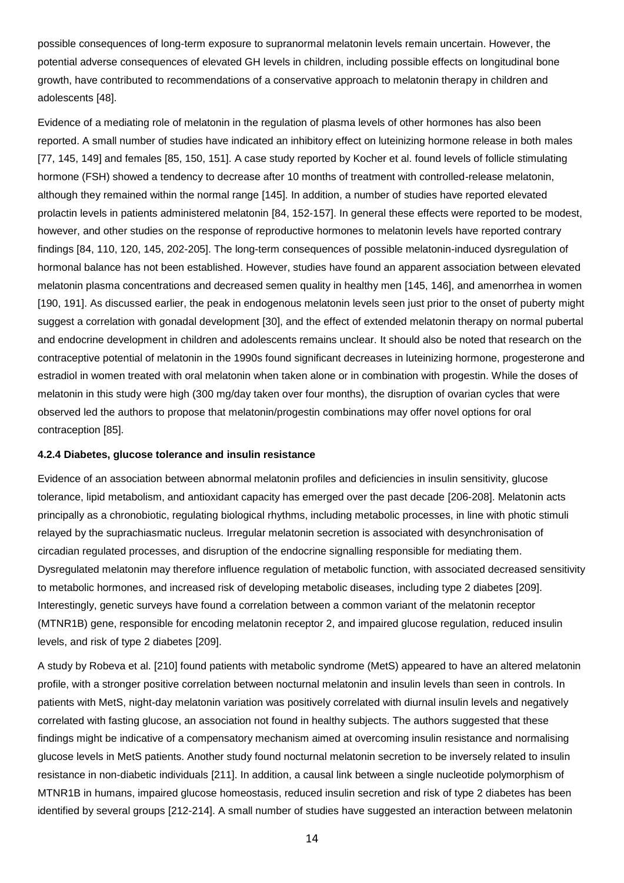possible consequences of long-term exposure to supranormal melatonin levels remain uncertain. However, the potential adverse consequences of elevated GH levels in children, including possible effects on longitudinal bone growth, have contributed to recommendations of a conservative approach to melatonin therapy in children and adolescents [48].

Evidence of a mediating role of melatonin in the regulation of plasma levels of other hormones has also been reported. A small number of studies have indicated an inhibitory effect on luteinizing hormone release in both males [77, 145, 149] and females [85, 150, 151]. A case study reported by Kocher et al. found levels of follicle stimulating hormone (FSH) showed a tendency to decrease after 10 months of treatment with controlled-release melatonin, although they remained within the normal range [145]. In addition, a number of studies have reported elevated prolactin levels in patients administered melatonin [84, 152-157]. In general these effects were reported to be modest, however, and other studies on the response of reproductive hormones to melatonin levels have reported contrary findings [84, 110, 120, 145, 202-205]. The long-term consequences of possible melatonin-induced dysregulation of hormonal balance has not been established. However, studies have found an apparent association between elevated melatonin plasma concentrations and decreased semen quality in healthy men [145, 146], and amenorrhea in women [190, 191]. As discussed earlier, the peak in endogenous melatonin levels seen just prior to the onset of puberty might suggest a correlation with gonadal development [30], and the effect of extended melatonin therapy on normal pubertal and endocrine development in children and adolescents remains unclear. It should also be noted that research on the contraceptive potential of melatonin in the 1990s found significant decreases in luteinizing hormone, progesterone and estradiol in women treated with oral melatonin when taken alone or in combination with progestin. While the doses of melatonin in this study were high (300 mg/day taken over four months), the disruption of ovarian cycles that were observed led the authors to propose that melatonin/progestin combinations may offer novel options for oral contraception [85].

#### **4.2.4 Diabetes, glucose tolerance and insulin resistance**

Evidence of an association between abnormal melatonin profiles and deficiencies in insulin sensitivity, glucose tolerance, lipid metabolism, and antioxidant capacity has emerged over the past decade [206-208]. Melatonin acts principally as a chronobiotic, regulating biological rhythms, including metabolic processes, in line with photic stimuli relayed by the suprachiasmatic nucleus. Irregular melatonin secretion is associated with desynchronisation of circadian regulated processes, and disruption of the endocrine signalling responsible for mediating them. Dysregulated melatonin may therefore influence regulation of metabolic function, with associated decreased sensitivity to metabolic hormones, and increased risk of developing metabolic diseases, including type 2 diabetes [209]. Interestingly, genetic surveys have found a correlation between a common variant of the melatonin receptor (MTNR1B) gene, responsible for encoding melatonin receptor 2, and impaired glucose regulation, reduced insulin levels, and risk of type 2 diabetes [209].

A study by Robeva et al. [210] found patients with metabolic syndrome (MetS) appeared to have an altered melatonin profile, with a stronger positive correlation between nocturnal melatonin and insulin levels than seen in controls. In patients with MetS, night-day melatonin variation was positively correlated with diurnal insulin levels and negatively correlated with fasting glucose, an association not found in healthy subjects. The authors suggested that these findings might be indicative of a compensatory mechanism aimed at overcoming insulin resistance and normalising glucose levels in MetS patients. Another study found nocturnal melatonin secretion to be inversely related to insulin resistance in non-diabetic individuals [211]. In addition, a causal link between a single nucleotide polymorphism of MTNR1B in humans, impaired glucose homeostasis, reduced insulin secretion and risk of type 2 diabetes has been identified by several groups [212-214]. A small number of studies have suggested an interaction between melatonin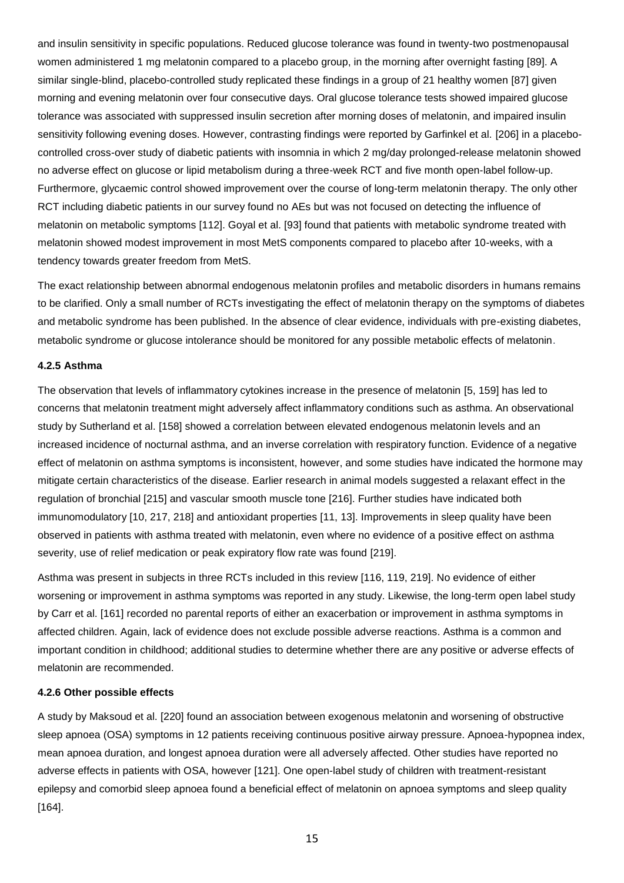and insulin sensitivity in specific populations. Reduced glucose tolerance was found in twenty-two postmenopausal women administered 1 mg melatonin compared to a placebo group, in the morning after overnight fasting [89]. A similar single-blind, placebo-controlled study replicated these findings in a group of 21 healthy women [87] given morning and evening melatonin over four consecutive days. Oral glucose tolerance tests showed impaired glucose tolerance was associated with suppressed insulin secretion after morning doses of melatonin, and impaired insulin sensitivity following evening doses. However, contrasting findings were reported by Garfinkel et al. [206] in a placebocontrolled cross-over study of diabetic patients with insomnia in which 2 mg/day prolonged-release melatonin showed no adverse effect on glucose or lipid metabolism during a three-week RCT and five month open-label follow-up. Furthermore, glycaemic control showed improvement over the course of long-term melatonin therapy. The only other RCT including diabetic patients in our survey found no AEs but was not focused on detecting the influence of melatonin on metabolic symptoms [112]. Goyal et al. [93] found that patients with metabolic syndrome treated with melatonin showed modest improvement in most MetS components compared to placebo after 10-weeks, with a tendency towards greater freedom from MetS.

The exact relationship between abnormal endogenous melatonin profiles and metabolic disorders in humans remains to be clarified. Only a small number of RCTs investigating the effect of melatonin therapy on the symptoms of diabetes and metabolic syndrome has been published. In the absence of clear evidence, individuals with pre-existing diabetes, metabolic syndrome or glucose intolerance should be monitored for any possible metabolic effects of melatonin.

## **4.2.5 Asthma**

The observation that levels of inflammatory cytokines increase in the presence of melatonin [5, 159] has led to concerns that melatonin treatment might adversely affect inflammatory conditions such as asthma. An observational study by Sutherland et al. [158] showed a correlation between elevated endogenous melatonin levels and an increased incidence of nocturnal asthma, and an inverse correlation with respiratory function. Evidence of a negative effect of melatonin on asthma symptoms is inconsistent, however, and some studies have indicated the hormone may mitigate certain characteristics of the disease. Earlier research in animal models suggested a relaxant effect in the regulation of bronchial [215] and vascular smooth muscle tone [216]. Further studies have indicated both immunomodulatory [10, 217, 218] and antioxidant properties [11, 13]. Improvements in sleep quality have been observed in patients with asthma treated with melatonin, even where no evidence of a positive effect on asthma severity, use of relief medication or peak expiratory flow rate was found [219].

Asthma was present in subjects in three RCTs included in this review [116, 119, 219]. No evidence of either worsening or improvement in asthma symptoms was reported in any study. Likewise, the long-term open label study by Carr et al. [161] recorded no parental reports of either an exacerbation or improvement in asthma symptoms in affected children. Again, lack of evidence does not exclude possible adverse reactions. Asthma is a common and important condition in childhood; additional studies to determine whether there are any positive or adverse effects of melatonin are recommended.

#### **4.2.6 Other possible effects**

A study by Maksoud et al. [220] found an association between exogenous melatonin and worsening of obstructive sleep apnoea (OSA) symptoms in 12 patients receiving continuous positive airway pressure. Apnoea-hypopnea index, mean apnoea duration, and longest apnoea duration were all adversely affected. Other studies have reported no adverse effects in patients with OSA, however [121]. One open-label study of children with treatment-resistant epilepsy and comorbid sleep apnoea found a beneficial effect of melatonin on apnoea symptoms and sleep quality [164].

15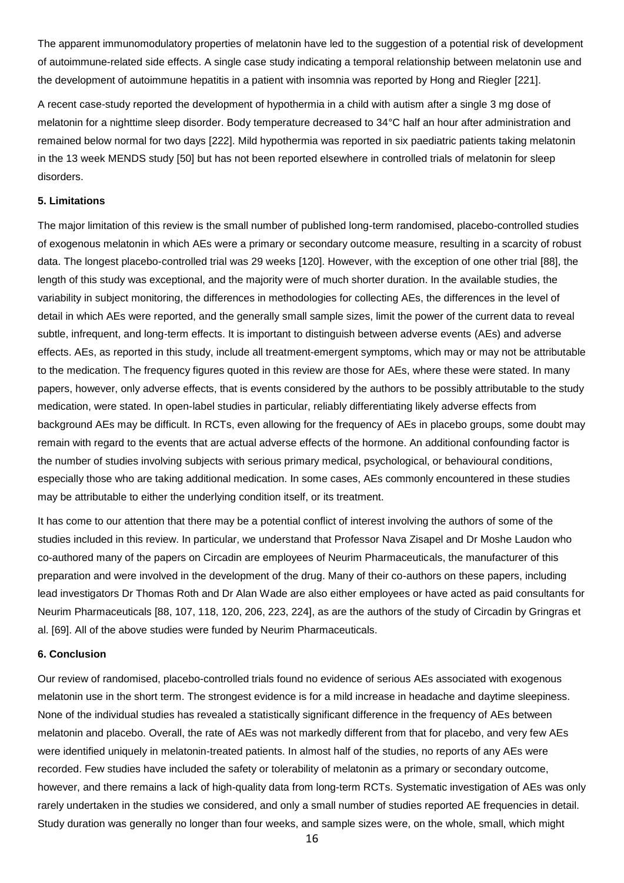The apparent immunomodulatory properties of melatonin have led to the suggestion of a potential risk of development of autoimmune-related side effects. A single case study indicating a temporal relationship between melatonin use and the development of autoimmune hepatitis in a patient with insomnia was reported by Hong and Riegler [221].

A recent case-study reported the development of hypothermia in a child with autism after a single 3 mg dose of melatonin for a nighttime sleep disorder. Body temperature decreased to 34°C half an hour after administration and remained below normal for two days [222]. Mild hypothermia was reported in six paediatric patients taking melatonin in the 13 week MENDS study [50] but has not been reported elsewhere in controlled trials of melatonin for sleep disorders.

### **5. Limitations**

The major limitation of this review is the small number of published long-term randomised, placebo-controlled studies of exogenous melatonin in which AEs were a primary or secondary outcome measure, resulting in a scarcity of robust data. The longest placebo-controlled trial was 29 weeks [120]. However, with the exception of one other trial [88], the length of this study was exceptional, and the majority were of much shorter duration. In the available studies, the variability in subject monitoring, the differences in methodologies for collecting AEs, the differences in the level of detail in which AEs were reported, and the generally small sample sizes, limit the power of the current data to reveal subtle, infrequent, and long-term effects. It is important to distinguish between adverse events (AEs) and adverse effects. AEs, as reported in this study, include all treatment-emergent symptoms, which may or may not be attributable to the medication. The frequency figures quoted in this review are those for AEs, where these were stated. In many papers, however, only adverse effects, that is events considered by the authors to be possibly attributable to the study medication, were stated. In open-label studies in particular, reliably differentiating likely adverse effects from background AEs may be difficult. In RCTs, even allowing for the frequency of AEs in placebo groups, some doubt may remain with regard to the events that are actual adverse effects of the hormone. An additional confounding factor is the number of studies involving subjects with serious primary medical, psychological, or behavioural conditions, especially those who are taking additional medication. In some cases, AEs commonly encountered in these studies may be attributable to either the underlying condition itself, or its treatment.

It has come to our attention that there may be a potential conflict of interest involving the authors of some of the studies included in this review. In particular, we understand that Professor Nava Zisapel and Dr Moshe Laudon who co-authored many of the papers on Circadin are employees of Neurim Pharmaceuticals, the manufacturer of this preparation and were involved in the development of the drug. Many of their co-authors on these papers, including lead investigators Dr Thomas Roth and Dr Alan Wade are also either employees or have acted as paid consultants for Neurim Pharmaceuticals [88, 107, 118, 120, 206, 223, 224], as are the authors of the study of Circadin by Gringras et al. [69]. All of the above studies were funded by Neurim Pharmaceuticals.

#### **6. Conclusion**

Our review of randomised, placebo-controlled trials found no evidence of serious AEs associated with exogenous melatonin use in the short term. The strongest evidence is for a mild increase in headache and daytime sleepiness. None of the individual studies has revealed a statistically significant difference in the frequency of AEs between melatonin and placebo. Overall, the rate of AEs was not markedly different from that for placebo, and very few AEs were identified uniquely in melatonin-treated patients. In almost half of the studies, no reports of any AEs were recorded. Few studies have included the safety or tolerability of melatonin as a primary or secondary outcome, however, and there remains a lack of high-quality data from long-term RCTs. Systematic investigation of AEs was only rarely undertaken in the studies we considered, and only a small number of studies reported AE frequencies in detail. Study duration was generally no longer than four weeks, and sample sizes were, on the whole, small, which might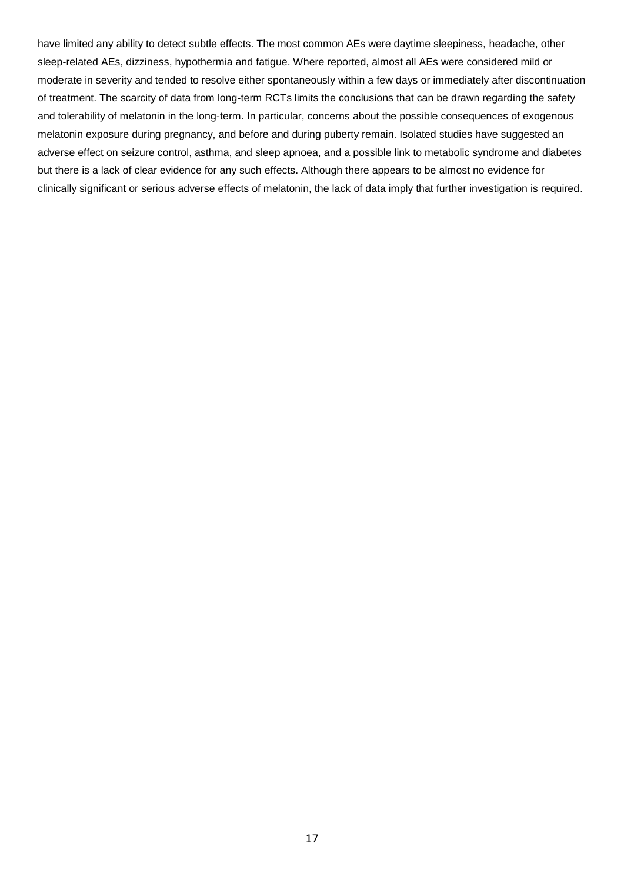have limited any ability to detect subtle effects. The most common AEs were daytime sleepiness, headache, other sleep-related AEs, dizziness, hypothermia and fatigue. Where reported, almost all AEs were considered mild or moderate in severity and tended to resolve either spontaneously within a few days or immediately after discontinuation of treatment. The scarcity of data from long-term RCTs limits the conclusions that can be drawn regarding the safety and tolerability of melatonin in the long-term. In particular, concerns about the possible consequences of exogenous melatonin exposure during pregnancy, and before and during puberty remain. Isolated studies have suggested an adverse effect on seizure control, asthma, and sleep apnoea, and a possible link to metabolic syndrome and diabetes but there is a lack of clear evidence for any such effects. Although there appears to be almost no evidence for clinically significant or serious adverse effects of melatonin, the lack of data imply that further investigation is required.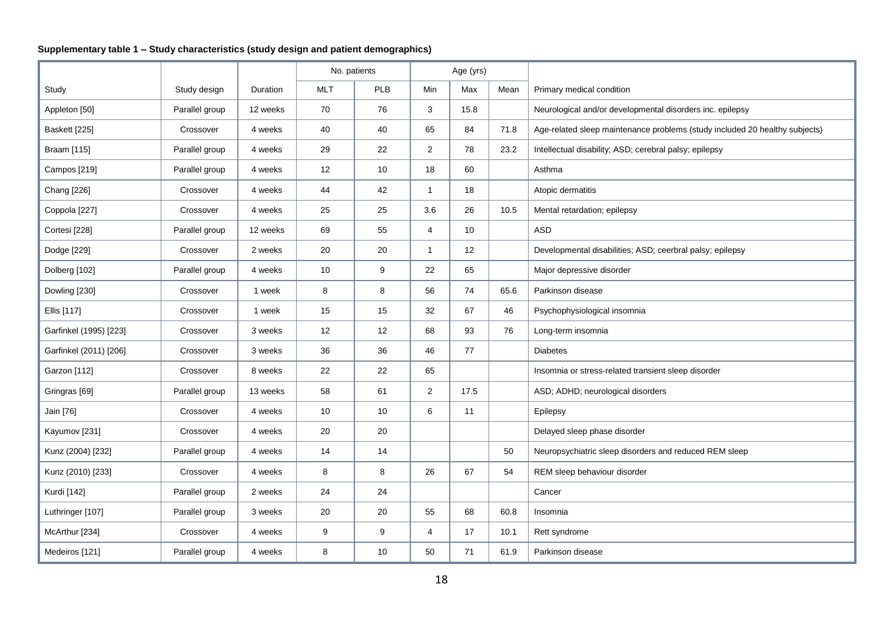# **Supplementary table 1 – Study characteristics (study design and patient demographics)**

|                        |                |          |            | No. patients |                | Age (yrs) |      |                                                                             |
|------------------------|----------------|----------|------------|--------------|----------------|-----------|------|-----------------------------------------------------------------------------|
| Study                  | Study design   | Duration | <b>MLT</b> | PLB          | Min            | Max       | Mean | Primary medical condition                                                   |
| Appleton [50]          | Parallel group | 12 weeks | 70         | 76           | 3              | 15.8      |      | Neurological and/or developmental disorders inc. epilepsy                   |
| Baskett [225]          | Crossover      | 4 weeks  | 40         | 40           | 65             | 84        | 71.8 | Age-related sleep maintenance problems (study included 20 healthy subjects) |
| Braam [115]            | Parallel group | 4 weeks  | 29         | 22           | $\overline{2}$ | 78        | 23.2 | Intellectual disability; ASD; cerebral palsy; epilepsy                      |
| Campos [219]           | Parallel group | 4 weeks  | 12         | $10$         | 18             | 60        |      | Asthma                                                                      |
| Chang [226]            | Crossover      | 4 weeks  | 44         | 42           | $\mathbf{1}$   | 18        |      | Atopic dermatitis                                                           |
| Coppola [227]          | Crossover      | 4 weeks  | 25         | 25           | 3.6            | 26        | 10.5 | Mental retardation; epilepsy                                                |
| Cortesi [228]          | Parallel group | 12 weeks | 69         | 55           | $\overline{4}$ | 10        |      | <b>ASD</b>                                                                  |
| Dodge [229]            | Crossover      | 2 weeks  | 20         | 20           | $\mathbf{1}$   | 12        |      | Developmental disabilities; ASD; ceerbral palsy; epilepsy                   |
| Dolberg [102]          | Parallel group | 4 weeks  | 10         | 9            | 22             | 65        |      | Major depressive disorder                                                   |
| Dowling [230]          | Crossover      | 1 week   | 8          | 8            | 56             | 74        | 65.6 | Parkinson disease                                                           |
| Ellis [117]            | Crossover      | 1 week   | 15         | 15           | 32             | 67        | 46   | Psychophysiological insomnia                                                |
| Garfinkel (1995) [223] | Crossover      | 3 weeks  | 12         | 12           | 68             | 93        | 76   | Long-term insomnia                                                          |
| Garfinkel (2011) [206] | Crossover      | 3 weeks  | 36         | 36           | 46             | 77        |      | <b>Diabetes</b>                                                             |
| Garzon [112]           | Crossover      | 8 weeks  | 22         | 22           | 65             |           |      | Insomnia or stress-related transient sleep disorder                         |
| Gringras [69]          | Parallel group | 13 weeks | 58         | 61           | $\overline{2}$ | 17.5      |      | ASD; ADHD; neurological disorders                                           |
| Jain [76]              | Crossover      | 4 weeks  | 10         | 10           | 6              | 11        |      | Epilepsy                                                                    |
| Kayumov [231]          | Crossover      | 4 weeks  | 20         | 20           |                |           |      | Delayed sleep phase disorder                                                |
| Kunz (2004) [232]      | Parallel group | 4 weeks  | 14         | 14           |                |           | 50   | Neuropsychiatric sleep disorders and reduced REM sleep                      |
| Kunz (2010) [233]      | Crossover      | 4 weeks  | 8          | 8            | 26             | 67        | 54   | REM sleep behaviour disorder                                                |
| Kurdi [142]            | Parallel group | 2 weeks  | 24         | 24           |                |           |      | Cancer                                                                      |
| Luthringer [107]       | Parallel group | 3 weeks  | 20         | 20           | 55             | 68        | 60.8 | Insomnia                                                                    |
| McArthur [234]         | Crossover      | 4 weeks  | 9          | 9            | 4              | 17        | 10.1 | Rett syndrome                                                               |
| Medeiros [121]         | Parallel group | 4 weeks  | 8          | 10           | 50             | 71        | 61.9 | Parkinson disease                                                           |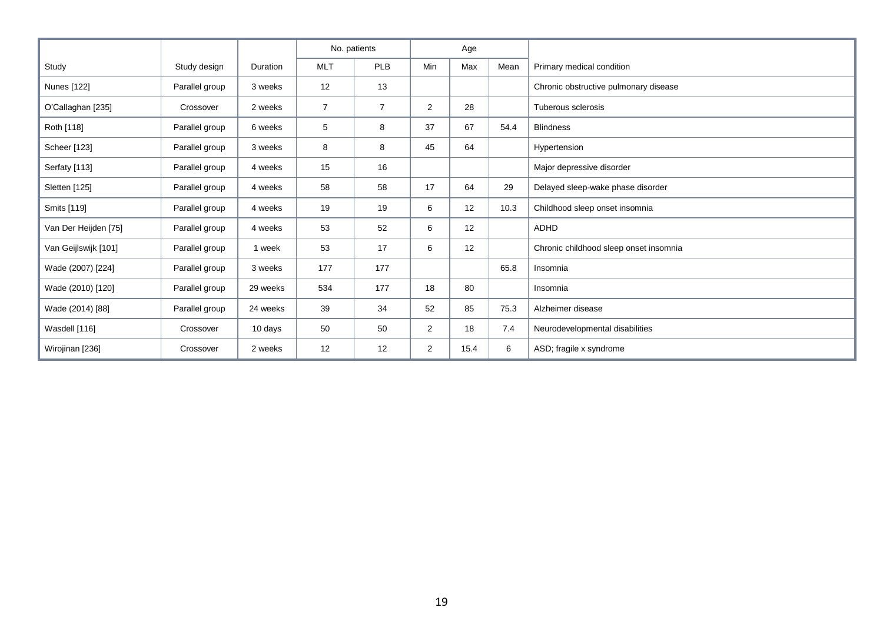|                      |                |          |                | No. patients   |                | Age  |      |                                        |
|----------------------|----------------|----------|----------------|----------------|----------------|------|------|----------------------------------------|
| Study                | Study design   | Duration | <b>MLT</b>     | PLB            | <b>Min</b>     | Max  | Mean | Primary medical condition              |
| Nunes [122]          | Parallel group | 3 weeks  | 12             | 13             |                |      |      | Chronic obstructive pulmonary disease  |
| O'Callaghan [235]    | Crossover      | 2 weeks  | $\overline{7}$ | $\overline{7}$ | $\overline{2}$ | 28   |      | Tuberous sclerosis                     |
| Roth [118]           | Parallel group | 6 weeks  | 5              | 8              | 37             | 67   | 54.4 | <b>Blindness</b>                       |
| Scheer [123]         | Parallel group | 3 weeks  | 8              | 8              | 45             | 64   |      | Hypertension                           |
| Serfaty [113]        | Parallel group | 4 weeks  | 15             | 16             |                |      |      | Major depressive disorder              |
| Sletten [125]        | Parallel group | 4 weeks  | 58             | 58             | 17             | 64   | 29   | Delayed sleep-wake phase disorder      |
| Smits [119]          | Parallel group | 4 weeks  | 19             | 19             | 6              | 12   | 10.3 | Childhood sleep onset insomnia         |
| Van Der Heijden [75] | Parallel group | 4 weeks  | 53             | 52             | 6              | 12   |      | ADHD                                   |
| Van Geijlswijk [101] | Parallel group | 1 week   | 53             | 17             | 6              | 12   |      | Chronic childhood sleep onset insomnia |
| Wade (2007) [224]    | Parallel group | 3 weeks  | 177            | 177            |                |      | 65.8 | Insomnia                               |
| Wade (2010) [120]    | Parallel group | 29 weeks | 534            | 177            | 18             | 80   |      | Insomnia                               |
| Wade (2014) [88]     | Parallel group | 24 weeks | 39             | 34             | 52             | 85   | 75.3 | Alzheimer disease                      |
| Wasdell [116]        | Crossover      | 10 days  | 50             | 50             | 2              | 18   | 7.4  | Neurodevelopmental disabilities        |
| Wirojinan [236]      | Crossover      | 2 weeks  | 12             | 12             | $\overline{2}$ | 15.4 | 6    | ASD; fragile x syndrome                |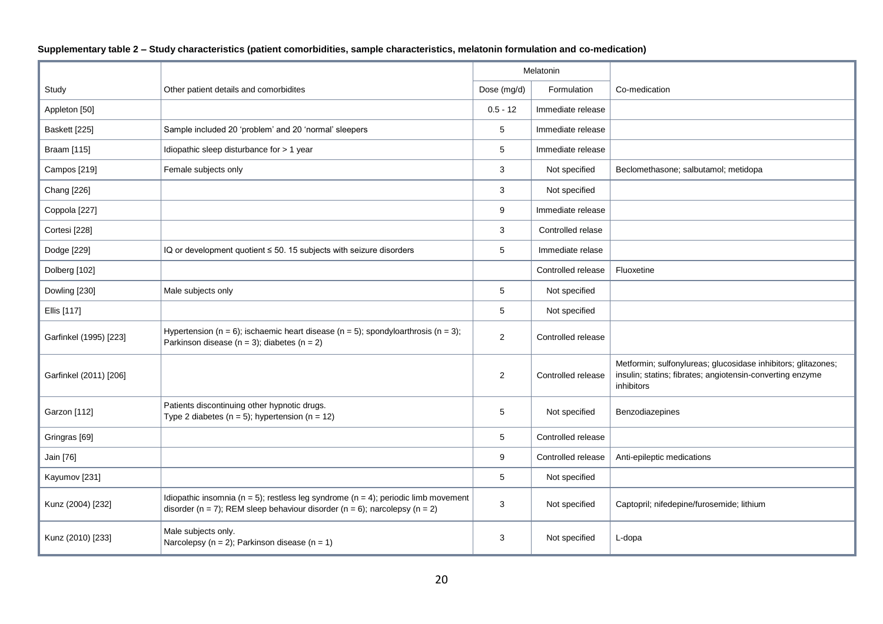|                        |                                                                                                                                                                                      |                | Melatonin          |                                                                                                                                          |
|------------------------|--------------------------------------------------------------------------------------------------------------------------------------------------------------------------------------|----------------|--------------------|------------------------------------------------------------------------------------------------------------------------------------------|
| Study                  | Other patient details and comorbidites                                                                                                                                               | Dose (mg/d)    | Formulation        | Co-medication                                                                                                                            |
| Appleton [50]          |                                                                                                                                                                                      | $0.5 - 12$     | Immediate release  |                                                                                                                                          |
| Baskett [225]          | Sample included 20 'problem' and 20 'normal' sleepers                                                                                                                                | 5              | Immediate release  |                                                                                                                                          |
| Braam [115]            | Idiopathic sleep disturbance for > 1 year                                                                                                                                            | 5              | Immediate release  |                                                                                                                                          |
| Campos [219]           | Female subjects only                                                                                                                                                                 | 3              | Not specified      | Beclomethasone; salbutamol; metidopa                                                                                                     |
| Chang [226]            |                                                                                                                                                                                      | 3              | Not specified      |                                                                                                                                          |
| Coppola [227]          |                                                                                                                                                                                      | 9              | Immediate release  |                                                                                                                                          |
| Cortesi [228]          |                                                                                                                                                                                      | 3              | Controlled relase  |                                                                                                                                          |
| Dodge [229]            | IQ or development quotient ≤ 50. 15 subjects with seizure disorders                                                                                                                  | 5              | Immediate relase   |                                                                                                                                          |
| Dolberg [102]          |                                                                                                                                                                                      |                | Controlled release | Fluoxetine                                                                                                                               |
| Dowling [230]          | Male subjects only                                                                                                                                                                   | 5              | Not specified      |                                                                                                                                          |
| Ellis [117]            |                                                                                                                                                                                      | 5              | Not specified      |                                                                                                                                          |
| Garfinkel (1995) [223] | Hypertension ( $n = 6$ ); ischaemic heart disease ( $n = 5$ ); spondyloarthrosis ( $n = 3$ );<br>Parkinson disease ( $n = 3$ ); diabetes ( $n = 2$ )                                 | $\overline{c}$ | Controlled release |                                                                                                                                          |
| Garfinkel (2011) [206] |                                                                                                                                                                                      | $\overline{2}$ | Controlled release | Metformin; sulfonylureas; glucosidase inhibitors; glitazones;<br>insulin; statins; fibrates; angiotensin-converting enzyme<br>inhibitors |
| Garzon [112]           | Patients discontinuing other hypnotic drugs.<br>Type 2 diabetes ( $n = 5$ ); hypertension ( $n = 12$ )                                                                               | 5              | Not specified      | Benzodiazepines                                                                                                                          |
| Gringras [69]          |                                                                                                                                                                                      | 5              | Controlled release |                                                                                                                                          |
| Jain [76]              |                                                                                                                                                                                      | 9              | Controlled release | Anti-epileptic medications                                                                                                               |
| Kayumov [231]          |                                                                                                                                                                                      | 5              | Not specified      |                                                                                                                                          |
| Kunz (2004) [232]      | Idiopathic insomnia ( $n = 5$ ); restless leg syndrome ( $n = 4$ ); periodic limb movement<br>disorder ( $n = 7$ ); REM sleep behaviour disorder ( $n = 6$ ); narcolepsy ( $n = 2$ ) | 3              | Not specified      | Captopril; nifedepine/furosemide; lithium                                                                                                |
| Kunz (2010) [233]      | Male subjects only.<br>Narcolepsy ( $n = 2$ ); Parkinson disease ( $n = 1$ )                                                                                                         | 3              | Not specified      | L-dopa                                                                                                                                   |

**Supplementary table 2 – Study characteristics (patient comorbidities, sample characteristics, melatonin formulation and co-medication)**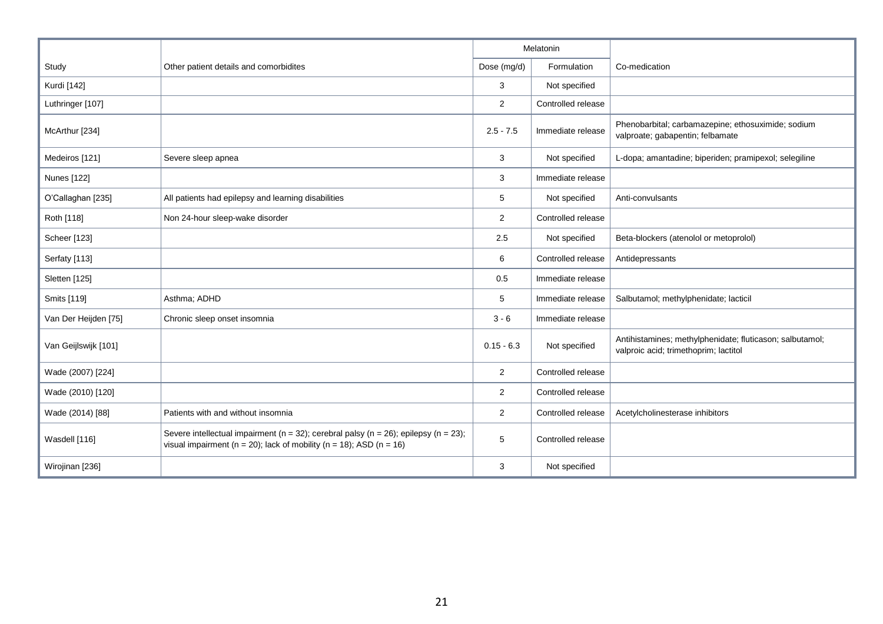|                      |                                                                                                                                                                                     |                 | Melatonin          |                                                                                                   |
|----------------------|-------------------------------------------------------------------------------------------------------------------------------------------------------------------------------------|-----------------|--------------------|---------------------------------------------------------------------------------------------------|
| Study                | Other patient details and comorbidites                                                                                                                                              | Dose (mg/d)     | Formulation        | Co-medication                                                                                     |
| Kurdi [142]          |                                                                                                                                                                                     | 3               | Not specified      |                                                                                                   |
| Luthringer [107]     |                                                                                                                                                                                     | $\overline{2}$  | Controlled release |                                                                                                   |
| McArthur [234]       |                                                                                                                                                                                     | $2.5 - 7.5$     | Immediate release  | Phenobarbital; carbamazepine; ethosuximide; sodium<br>valproate; gabapentin; felbamate            |
| Medeiros [121]       | Severe sleep apnea                                                                                                                                                                  | 3               | Not specified      | L-dopa; amantadine; biperiden; pramipexol; selegiline                                             |
| <b>Nunes</b> [122]   |                                                                                                                                                                                     | 3               | Immediate release  |                                                                                                   |
| O'Callaghan [235]    | All patients had epilepsy and learning disabilities                                                                                                                                 | 5               | Not specified      | Anti-convulsants                                                                                  |
| Roth [118]           | Non 24-hour sleep-wake disorder                                                                                                                                                     | $\overline{2}$  | Controlled release |                                                                                                   |
| Scheer [123]         |                                                                                                                                                                                     | 2.5             | Not specified      | Beta-blockers (atenolol or metoprolol)                                                            |
| Serfaty [113]        |                                                                                                                                                                                     | 6               | Controlled release | Antidepressants                                                                                   |
| Sletten [125]        |                                                                                                                                                                                     | 0.5             | Immediate release  |                                                                                                   |
| Smits [119]          | Asthma; ADHD                                                                                                                                                                        | 5               | Immediate release  | Salbutamol; methylphenidate; lacticil                                                             |
| Van Der Heijden [75] | Chronic sleep onset insomnia                                                                                                                                                        | $3 - 6$         | Immediate release  |                                                                                                   |
| Van Geijlswijk [101] |                                                                                                                                                                                     | $0.15 - 6.3$    | Not specified      | Antihistamines; methylphenidate; fluticason; salbutamol;<br>valproic acid; trimethoprim; lactitol |
| Wade (2007) [224]    |                                                                                                                                                                                     | $\overline{2}$  | Controlled release |                                                                                                   |
| Wade (2010) [120]    |                                                                                                                                                                                     | $\overline{2}$  | Controlled release |                                                                                                   |
| Wade (2014) [88]     | Patients with and without insomnia                                                                                                                                                  | $\overline{2}$  | Controlled release | Acetylcholinesterase inhibitors                                                                   |
| Wasdell [116]        | Severe intellectual impairment ( $n = 32$ ); cerebral palsy ( $n = 26$ ); epilepsy ( $n = 23$ );<br>visual impairment ( $n = 20$ ); lack of mobility ( $n = 18$ ); ASD ( $n = 16$ ) | $5\phantom{.0}$ | Controlled release |                                                                                                   |
| Wirojinan [236]      |                                                                                                                                                                                     | 3               | Not specified      |                                                                                                   |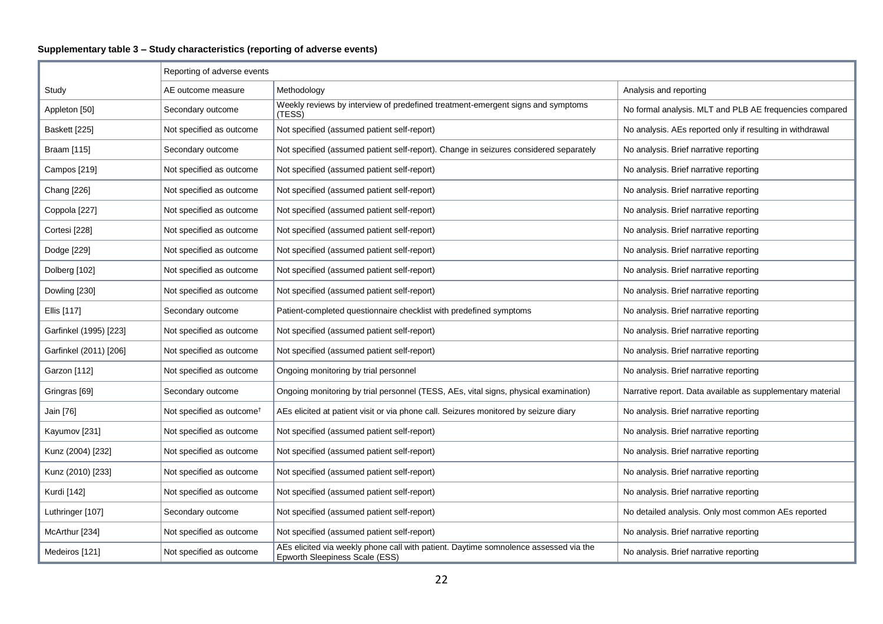# **Supplementary table 3 – Study characteristics (reporting of adverse events)**

|                        | Reporting of adverse events           |                                                                                                                        |                                                            |
|------------------------|---------------------------------------|------------------------------------------------------------------------------------------------------------------------|------------------------------------------------------------|
| Study                  | AE outcome measure                    | Methodology                                                                                                            | Analysis and reporting                                     |
| Appleton [50]          | Secondary outcome                     | Weekly reviews by interview of predefined treatment-emergent signs and symptoms<br>(TESS)                              | No formal analysis. MLT and PLB AE frequencies compared    |
| Baskett [225]          | Not specified as outcome              | Not specified (assumed patient self-report)                                                                            | No analysis. AEs reported only if resulting in withdrawal  |
| Braam [115]            | Secondary outcome                     | Not specified (assumed patient self-report). Change in seizures considered separately                                  | No analysis. Brief narrative reporting                     |
| Campos [219]           | Not specified as outcome              | Not specified (assumed patient self-report)                                                                            | No analysis. Brief narrative reporting                     |
| Chang [226]            | Not specified as outcome              | Not specified (assumed patient self-report)                                                                            | No analysis. Brief narrative reporting                     |
| Coppola [227]          | Not specified as outcome              | Not specified (assumed patient self-report)                                                                            | No analysis. Brief narrative reporting                     |
| Cortesi [228]          | Not specified as outcome              | Not specified (assumed patient self-report)                                                                            | No analysis. Brief narrative reporting                     |
| Dodge [229]            | Not specified as outcome              | Not specified (assumed patient self-report)                                                                            | No analysis. Brief narrative reporting                     |
| Dolberg [102]          | Not specified as outcome              | Not specified (assumed patient self-report)                                                                            | No analysis. Brief narrative reporting                     |
| Dowling [230]          | Not specified as outcome              | Not specified (assumed patient self-report)                                                                            | No analysis. Brief narrative reporting                     |
| Ellis [117]            | Secondary outcome                     | Patient-completed questionnaire checklist with predefined symptoms                                                     | No analysis. Brief narrative reporting                     |
| Garfinkel (1995) [223] | Not specified as outcome              | Not specified (assumed patient self-report)                                                                            | No analysis. Brief narrative reporting                     |
| Garfinkel (2011) [206] | Not specified as outcome              | Not specified (assumed patient self-report)                                                                            | No analysis. Brief narrative reporting                     |
| Garzon [112]           | Not specified as outcome              | Ongoing monitoring by trial personnel                                                                                  | No analysis. Brief narrative reporting                     |
| Gringras [69]          | Secondary outcome                     | Ongoing monitoring by trial personnel (TESS, AEs, vital signs, physical examination)                                   | Narrative report. Data available as supplementary material |
| Jain [76]              | Not specified as outcome <sup>†</sup> | AEs elicited at patient visit or via phone call. Seizures monitored by seizure diary                                   | No analysis. Brief narrative reporting                     |
| Kayumov [231]          | Not specified as outcome              | Not specified (assumed patient self-report)                                                                            | No analysis. Brief narrative reporting                     |
| Kunz (2004) [232]      | Not specified as outcome              | Not specified (assumed patient self-report)                                                                            | No analysis. Brief narrative reporting                     |
| Kunz (2010) [233]      | Not specified as outcome              | Not specified (assumed patient self-report)                                                                            | No analysis. Brief narrative reporting                     |
| Kurdi [142]            | Not specified as outcome              | Not specified (assumed patient self-report)                                                                            | No analysis. Brief narrative reporting                     |
| Luthringer [107]       | Secondary outcome                     | Not specified (assumed patient self-report)                                                                            | No detailed analysis. Only most common AEs reported        |
| McArthur [234]         | Not specified as outcome              | Not specified (assumed patient self-report)                                                                            | No analysis. Brief narrative reporting                     |
| Medeiros [121]         | Not specified as outcome              | AEs elicited via weekly phone call with patient. Daytime somnolence assessed via the<br>Epworth Sleepiness Scale (ESS) | No analysis. Brief narrative reporting                     |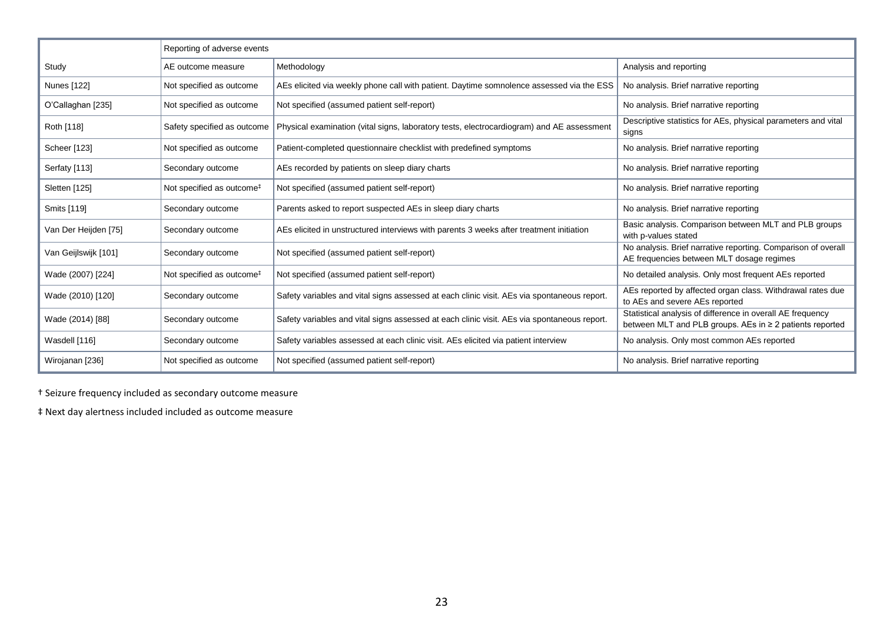|                      | Reporting of adverse events           |                                                                                             |                                                                                                                        |
|----------------------|---------------------------------------|---------------------------------------------------------------------------------------------|------------------------------------------------------------------------------------------------------------------------|
| Study                | AE outcome measure                    | Methodology                                                                                 | Analysis and reporting                                                                                                 |
| Nunes [122]          | Not specified as outcome              | AEs elicited via weekly phone call with patient. Daytime somnolence assessed via the ESS    | No analysis. Brief narrative reporting                                                                                 |
| O'Callaghan [235]    | Not specified as outcome              | Not specified (assumed patient self-report)                                                 | No analysis. Brief narrative reporting                                                                                 |
| Roth [118]           | Safety specified as outcome           | Physical examination (vital signs, laboratory tests, electrocardiogram) and AE assessment   | Descriptive statistics for AEs, physical parameters and vital<br>signs                                                 |
| Scheer [123]         | Not specified as outcome              | Patient-completed questionnaire checklist with predefined symptoms                          | No analysis. Brief narrative reporting                                                                                 |
| Serfaty [113]        | Secondary outcome                     | AEs recorded by patients on sleep diary charts                                              | No analysis. Brief narrative reporting                                                                                 |
| Sletten [125]        | Not specified as outcome <sup>#</sup> | Not specified (assumed patient self-report)                                                 | No analysis. Brief narrative reporting                                                                                 |
| Smits [119]          | Secondary outcome                     | Parents asked to report suspected AEs in sleep diary charts                                 | No analysis. Brief narrative reporting                                                                                 |
| Van Der Heijden [75] | Secondary outcome                     | AEs elicited in unstructured interviews with parents 3 weeks after treatment initiation     | Basic analysis. Comparison between MLT and PLB groups<br>with p-values stated                                          |
| Van Geijlswijk [101] | Secondary outcome                     | Not specified (assumed patient self-report)                                                 | No analysis. Brief narrative reporting. Comparison of overall<br>AE frequencies between MLT dosage regimes             |
| Wade (2007) [224]    | Not specified as outcome <sup>#</sup> | Not specified (assumed patient self-report)                                                 | No detailed analysis. Only most frequent AEs reported                                                                  |
| Wade (2010) [120]    | Secondary outcome                     | Safety variables and vital signs assessed at each clinic visit. AEs via spontaneous report. | AEs reported by affected organ class. Withdrawal rates due<br>to AEs and severe AEs reported                           |
| Wade (2014) [88]     | Secondary outcome                     | Safety variables and vital signs assessed at each clinic visit. AEs via spontaneous report. | Statistical analysis of difference in overall AE frequency<br>between MLT and PLB groups. AEs in ≥ 2 patients reported |
| Wasdell [116]        | Secondary outcome                     | Safety variables assessed at each clinic visit. AEs elicited via patient interview          | No analysis. Only most common AEs reported                                                                             |
| Wirojanan [236]      | Not specified as outcome              | Not specified (assumed patient self-report)                                                 | No analysis. Brief narrative reporting                                                                                 |

† Seizure frequency included as secondary outcome measure

‡ Next day alertness included included as outcome measure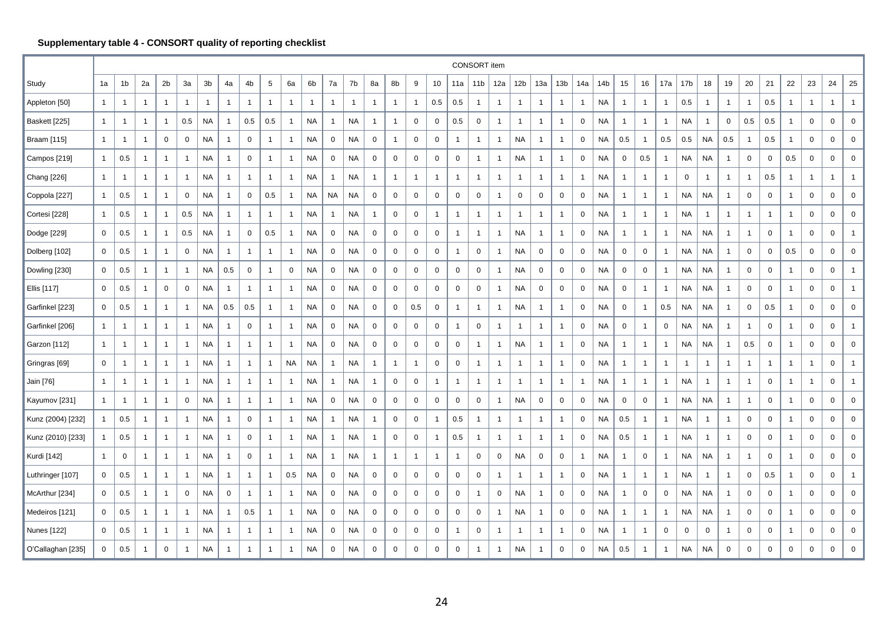# **Supplementary table 4 - CONSORT quality of reporting checklist**

|                   |              |                |                |                |                |                |                |                |                 |              |              |                |                |                |              |                |              |                | CONSORT item    |                     |                 |              |                 |              |                 |                |                |                |                 |                |                |                  |                |                |                  |              |                  |
|-------------------|--------------|----------------|----------------|----------------|----------------|----------------|----------------|----------------|-----------------|--------------|--------------|----------------|----------------|----------------|--------------|----------------|--------------|----------------|-----------------|---------------------|-----------------|--------------|-----------------|--------------|-----------------|----------------|----------------|----------------|-----------------|----------------|----------------|------------------|----------------|----------------|------------------|--------------|------------------|
| Study             | 1a           | 1b             | 2a             | 2 <sub>b</sub> | За             | 3b             | 4a             | 4b             | $5\phantom{.0}$ | 6a           | 6b           | 7a             | 7b             | 8a             | 8b           | 9              | 10           | 11a            | 11 <sub>b</sub> | 12a                 | 12 <sub>b</sub> | 13a          | 13 <sub>b</sub> | 14a          | 14 <sub>b</sub> | 15             | 16             | 17a            | 17 <sub>b</sub> | 18             | 19             | 20               | 21             | 22             | 23               | 24           | 25               |
| Appleton [50]     | $\mathbf{1}$ | $\overline{1}$ | $\mathbf{1}$   | $\overline{1}$ | $\mathbf{1}$   | $\overline{1}$ | $\mathbf{1}$   | $\mathbf{1}$   | $\overline{1}$  | $\mathbf{1}$ | $\mathbf{1}$ | $\mathbf{1}$   | $\overline{1}$ | $\mathbf{1}$   | $\mathbf{1}$ | $\overline{1}$ | 0.5          | 0.5            | $\overline{1}$  | $\mathbf{1}$        | $\overline{1}$  | -1           | $\overline{1}$  | $\mathbf{1}$ | <b>NA</b>       | $\overline{1}$ | $\mathbf{1}$   | $\overline{1}$ | 0.5             | $\overline{1}$ | $\mathbf{1}$   | $\mathbf{1}$     | 0.5            | $\mathbf{1}$   | $\mathbf{1}$     | $\mathbf{1}$ | $\mathbf{1}$     |
| Baskett [225]     | $\mathbf{1}$ | $\overline{1}$ | $\mathbf{1}$   | $\overline{1}$ | 0.5            | <b>NA</b>      | $\overline{1}$ | 0.5            | 0.5             | $\mathbf{1}$ | <b>NA</b>    | $\overline{1}$ | <b>NA</b>      | $\mathbf{1}$   | 1            | 0              | $\mathbf 0$  | 0.5            | $\overline{0}$  | $\mathbf{1}$        | $\mathbf{1}$    | 1            | $\overline{1}$  | $\mathbf 0$  | <b>NA</b>       | $\overline{1}$ | $\mathbf{1}$   | $\mathbf{1}$   | <b>NA</b>       | $\mathbf 1$    | $\mathbf 0$    | 0.5              | $0.5\,$        | $\mathbf{1}$   | $\mathbf 0$      | 0            | $\mathbf 0$      |
| Braam [115]       | $\mathbf{1}$ | -1             | $\mathbf{1}$   | $\mathbf 0$    | 0              | <b>NA</b>      | $\overline{1}$ | $\mathbf 0$    | $\overline{1}$  | $\mathbf{1}$ | NA           | $\mathbf 0$    | <b>NA</b>      | $\mathbf 0$    | $\mathbf{1}$ | 0              | $\mathbf 0$  | $\mathbf{1}$   | $\overline{1}$  | $\overline{1}$      | NA              | $\mathbf{1}$ | $\overline{1}$  | $\mathbf 0$  | NA              | 0.5            | $\overline{1}$ | 0.5            | 0.5             | NA             | 0.5            | $\overline{1}$   | 0.5            | $\mathbf{1}$   | $\boldsymbol{0}$ | 0            | $\mathbf 0$      |
| Campos [219]      | $\mathbf{1}$ | 0.5            | 1              | $\mathbf{1}$   | $\overline{1}$ | <b>NA</b>      | $\overline{1}$ | 0              | $\overline{1}$  | $\mathbf{1}$ | NA           | 0              | NA             | 0              | 0            | $\mathbf 0$    | 0            | 0              | $\overline{1}$  | $\overline{1}$      | NA              | 1            | $\overline{1}$  | 0            | NA              | $\mathbf 0$    | 0.5            | $\mathbf{1}$   | NA              | NA             | $\mathbf{1}$   | $\mathbf 0$      | 0              | 0.5            | $\mathbf 0$      | 0            | $\mathbf 0$      |
| Chang [226]       | $\mathbf{1}$ | -1             | 1              | $\overline{1}$ | $\mathbf 1$    | <b>NA</b>      | $\overline{1}$ | $\mathbf{1}$   | $\mathbf 1$     | $\mathbf{1}$ | <b>NA</b>    | 1              | <b>NA</b>      | $\overline{1}$ | $\mathbf{1}$ | $\overline{1}$ | $\mathbf 1$  | $\mathbf{1}$   | $\mathbf{1}$    | $\mathbf{1}$        | $\mathbf{1}$    | -1           | $\overline{1}$  | $\mathbf{1}$ | <b>NA</b>       | $\overline{1}$ | $\overline{1}$ | $\mathbf{1}$   | 0               | $\mathbf 1$    | $\mathbf{1}$   | $\mathbf{1}$     | 0.5            | $\overline{1}$ | $\mathbf{1}$     | $\mathbf{1}$ | $\mathbf{1}$     |
| Coppola [227]     | $\mathbf{1}$ | 0.5            | 1              | $\overline{1}$ | 0              | <b>NA</b>      | $\overline{1}$ | $\mathbf 0$    | 0.5             | $\mathbf{1}$ | NA           | NA             | NA             | 0              | 0            | 0              | 0            | $\mathbf 0$    | $\mathbf 0$     | $\overline{1}$      | $\mathbf 0$     | 0            | 0               | 0            | NA              | $\overline{1}$ | $\overline{1}$ | $\mathbf{1}$   | NA              | NA             | 1              | $\mathbf 0$      | 0              | $\overline{1}$ | $\mathbf 0$      | 0            | $\boldsymbol{0}$ |
| Cortesi [228]     | $\mathbf{1}$ | 0.5            | 1              | $\overline{1}$ | 0.5            | <b>NA</b>      | $\overline{1}$ | 1              | $\overline{1}$  | $\mathbf{1}$ | <b>NA</b>    | $\overline{1}$ | <b>NA</b>      | $\mathbf{1}$   | 0            | $\mathbf 0$    | $\mathbf{1}$ | $\mathbf{1}$   | $\overline{1}$  | $\mathbf{1}$        | $\overline{1}$  | $\mathbf{1}$ | $\overline{1}$  | $\mathbf 0$  | <b>NA</b>       | $\overline{1}$ | $\overline{1}$ | $\overline{1}$ | <b>NA</b>       | $\overline{1}$ | $\mathbf{1}$   | $\mathbf{1}$     | $\overline{1}$ | $\mathbf{1}$   | $\mathbf 0$      | 0            | $\mathbf 0$      |
| Dodge [229]       | 0            | 0.5            | 1              | $\overline{1}$ | 0.5            | <b>NA</b>      | $\overline{1}$ | 0              | 0.5             | $\mathbf{1}$ | <b>NA</b>    | $\mathbf 0$    | <b>NA</b>      | 0              | 0            | 0              | $\mathbf 0$  | $\mathbf{1}$   | $\mathbf{1}$    | $\mathbf{1}$        | <b>NA</b>       | -1           | $\overline{1}$  | $\mathbf 0$  | <b>NA</b>       | $\overline{1}$ | $\overline{1}$ | $\mathbf{1}$   | <b>NA</b>       | <b>NA</b>      | $\mathbf{1}$   | $\mathbf{1}$     | 0              | $\overline{1}$ | $\mathbf 0$      | 0            | $\mathbf{1}$     |
| Dolberg [102]     | 0            | 0.5            | 1              | $\overline{1}$ | $\mathbf 0$    | <b>NA</b>      | $\overline{1}$ | $\mathbf{1}$   | $\mathbf 1$     | $\mathbf{1}$ | <b>NA</b>    | $\mathbf 0$    | <b>NA</b>      | $\mathbf 0$    | 0            | $\mathbf 0$    | $\mathbf 0$  | $\mathbf{1}$   | $\mathbf 0$     | $\overline{1}$      | <b>NA</b>       | 0            | $\mathbf 0$     | 0            | <b>NA</b>       | $\mathbf 0$    | $\mathbf 0$    | $\overline{1}$ | NA              | NA             | $\mathbf{1}$   | $\mathbf 0$      | 0              | 0.5            | $\mathbf 0$      | $\mathbf 0$  | $\mathbf 0$      |
| Dowling [230]     | 0            | 0.5            | $\mathbf{1}$   | $\overline{1}$ | $\overline{1}$ | <b>NA</b>      | 0.5            | 0              | $\overline{1}$  | $\mathbf 0$  | <b>NA</b>    | $\mathbf 0$    | <b>NA</b>      | $\mathbf 0$    | $\mathbf 0$  | $\mathbf 0$    | $\mathbf 0$  | $\mathbf 0$    | $\mathsf 0$     | $\overline{1}$      | <b>NA</b>       | 0            | $\mathbf 0$     | $\mathbf 0$  | <b>NA</b>       | $\mathbf 0$    | $\mathbf 0$    | $\mathbf{1}$   | <b>NA</b>       | <b>NA</b>      | $\mathbf{1}$   | $\mathbf 0$      | $\mathbf 0$    | $\mathbf{1}$   | $\overline{0}$   | $\mathbf 0$  | $\mathbf{1}$     |
| Ellis [117]       | 0            | 0.5            | $\mathbf{1}$   | $\mathbf 0$    | 0              | <b>NA</b>      | $\overline{1}$ | 1              | $\overline{1}$  | $\mathbf{1}$ | NA           | $\mathbf 0$    | <b>NA</b>      | 0              | 0            | 0              | 0            | $\pmb{0}$      | $\mathsf 0$     | $\overline{1}$      | <b>NA</b>       | 0            | 0               | 0            | NA              | $\mathbf 0$    | $\overline{1}$ | $\mathbf{1}$   | NA              | NA             | $\mathbf{1}$   | $\pmb{0}$        | $\mathsf 0$    | $\mathbf{1}$   | $\overline{0}$   | 0            | $\mathbf{1}$     |
| Garfinkel [223]   | 0            | 0.5            | 1              | $\overline{1}$ | $\overline{1}$ | <b>NA</b>      | 0.5            | 0.5            | -1              | $\mathbf{1}$ | NA           | 0              | <b>NA</b>      | 0              | 0            | 0.5            | 0            | $\overline{1}$ | $\overline{1}$  | $\overline{1}$      | NA              | $\mathbf{1}$ | $\overline{1}$  | 0            | NA              | $\mathbf 0$    | $\overline{1}$ | 0.5            | NA              | NA             | 1              | $\mathbf 0$      | $0.5\,$        | $\overline{1}$ | 0                | 0            | $\mathbf 0$      |
| Garfinkel [206]   | $\mathbf{1}$ | -1             | $\mathbf{1}$   | $\overline{1}$ | $\mathbf{1}$   | <b>NA</b>      | $\overline{1}$ | $\mathbf 0$    | $\overline{1}$  | $\mathbf{1}$ | <b>NA</b>    | $\mathbf 0$    | <b>NA</b>      | 0              | 0            | 0              | 0            | $\overline{1}$ | $\mathbf 0$     | $\mathbf{1}$        | $\mathbf{1}$    | 1            | $\overline{1}$  | $\mathbf 0$  | <b>NA</b>       | $\mathbf 0$    | $\overline{1}$ | 0              | NA              | NA             | $\mathbf{1}$   | $\overline{1}$   | 0              | $\overline{1}$ | $\mathbf 0$      | $\mathbf 0$  | $\mathbf{1}$     |
| Garzon [112]      | $\mathbf{1}$ | -1             | $\mathbf{1}$   | $\overline{1}$ | $\overline{1}$ | <b>NA</b>      | $\mathbf{1}$   | $\mathbf{1}$   | $\mathbf 1$     | $\mathbf{1}$ | NA           | $\mathbf 0$    | <b>NA</b>      | 0              | 0            | 0              | $\mathbf 0$  | $\mathbf 0$    | $\overline{1}$  | $\overline{1}$      | NA              | -1           | $\overline{1}$  | 0            | <b>NA</b>       | $\overline{1}$ | $\mathbf{1}$   | $\mathbf{1}$   | NA              | NA             | 1              | 0.5              | $\mathbf 0$    | $\mathbf{1}$   | $\mathbf 0$      | 0            | $\mathbf 0$      |
| Gringras [69]     | 0            | -1             | $\mathbf{1}$   | $\overline{1}$ | $\overline{1}$ | <b>NA</b>      | $\overline{1}$ | 1              | $\overline{1}$  | <b>NA</b>    | <b>NA</b>    | $\overline{1}$ | <b>NA</b>      | $\mathbf{1}$   | $\mathbf{1}$ | $\mathbf{1}$   | $\mathbf 0$  | $\mathsf 0$    | $\overline{1}$  | $\mathbf{1}$        | $\mathbf{1}$    | -1           | $\overline{1}$  | $\mathbf 0$  | <b>NA</b>       | $\overline{1}$ | $\mathbf{1}$   | $\mathbf{1}$   | -1              | $\overline{1}$ | $\mathbf{1}$   | $\mathbf{1}$     | $\overline{1}$ | $\mathbf{1}$   | $\mathbf{1}$     | $\mathbf 0$  | $\mathbf{1}$     |
| Jain [76]         | $\mathbf{1}$ | $\overline{1}$ | $\mathbf{1}$   | $\overline{1}$ | $\overline{1}$ | <b>NA</b>      | $\overline{1}$ | $\mathbf{1}$   | $\overline{1}$  | $\mathbf{1}$ | NA           | -1             | <b>NA</b>      | $\mathbf{1}$   | 0            | 0              | $\mathbf{1}$ | $\overline{1}$ | $\overline{1}$  | $\mathbf{1}$        | $\overline{1}$  | $\mathbf{1}$ | $\overline{1}$  | $\mathbf{1}$ | NA              | $\overline{1}$ | $\overline{1}$ | $\overline{1}$ | <b>NA</b>       | $\overline{1}$ | $\mathbf{1}$   | $\mathbf{1}$     | $\mathbf 0$    | $\overline{1}$ | $\mathbf{1}$     | $\mathbf 0$  | $\mathbf{1}$     |
| Kayumov [231]     | -1           | $\overline{1}$ | $\mathbf{1}$   | $\overline{1}$ | $\mathbf 0$    | <b>NA</b>      | $\overline{1}$ | $\mathbf{1}$   | $\overline{1}$  | $\mathbf{1}$ | <b>NA</b>    | $\mathbf 0$    | <b>NA</b>      | 0              | $\mathbf 0$  | 0              | $\mathbf 0$  | $\mathbf 0$    | $\mathbf 0$     | $\overline{1}$      | <b>NA</b>       | 0            | 0               | $\mathbf 0$  | <b>NA</b>       | $\mathbf 0$    | $\mathbf 0$    | $\mathbf{1}$   | <b>NA</b>       | <b>NA</b>      | $\mathbf{1}$   | $\mathbf{1}$     | $\mathbf 0$    | $\overline{1}$ | $\mathbf 0$      | $\mathbf 0$  | $\mathbf 0$      |
| Kunz (2004) [232] | $\mathbf{1}$ | 0.5            | $\overline{1}$ | $\overline{1}$ | $\overline{1}$ | <b>NA</b>      | $\mathbf{1}$   | 0              | -1              | $\mathbf{1}$ | <b>NA</b>    | $\overline{1}$ | <b>NA</b>      | $\mathbf{1}$   | $\mathbf 0$  | $\mathbf 0$    | $\mathbf{1}$ | 0.5            | $\overline{1}$  | $\overline{1}$      | $\overline{1}$  | -1           | $\overline{1}$  | $\mathbf 0$  | <b>NA</b>       | 0.5            | $\mathbf{1}$   | $\mathbf{1}$   | <b>NA</b>       | -1             | $\overline{1}$ | $\mathbf 0$      | $\mathsf 0$    | $\mathbf{1}$   | $\mathbf 0$      | $\mathbf 0$  | $\mathbf 0$      |
| Kunz (2010) [233] | $\mathbf{1}$ | 0.5            | 1              | $\overline{1}$ | $\overline{1}$ | <b>NA</b>      | $\overline{1}$ | 0              | -1              | $\mathbf{1}$ | NA           | $\overline{1}$ | NA             | $\mathbf{1}$   | 0            | 0              | $\mathbf{1}$ | 0.5            | $\overline{1}$  | $\overline{1}$      | $\mathbf{1}$    | -1           | $\overline{1}$  | 0            | NA              | 0.5            | $\overline{1}$ | $\mathbf{1}$   | <b>NA</b>       | -1             | $\mathbf{1}$   | $\mathbf 0$      | 0              | $\mathbf{1}$   | $\mathbf 0$      | 0            | $\mathbf 0$      |
| Kurdi [142]       | $\mathbf{1}$ | 0              | 1              | $\overline{1}$ | $\overline{1}$ | <b>NA</b>      | $\overline{1}$ | 0              | $\mathbf 1$     | $\mathbf{1}$ | NA           | $\overline{1}$ | <b>NA</b>      | $\mathbf{1}$   | $\mathbf{1}$ | $\overline{1}$ | $\mathbf{1}$ | $\mathbf{1}$   | $\mathbf 0$     | $\mathbf 0$         | NA              | 0            | 0               | $\mathbf{1}$ | <b>NA</b>       | $\overline{1}$ | $\mathbf 0$    | $\overline{1}$ | NA              | NA             | 1              | $\mathbf{1}$     | $\mathbf 0$    | $\mathbf{1}$   | $\mathbf 0$      | 0            | $\mathbf 0$      |
| Luthringer [107]  | 0            | 0.5            | 1              | $\overline{1}$ | $\overline{1}$ | <b>NA</b>      | $\overline{1}$ | $\mathbf{1}$   | $\overline{1}$  | 0.5          | NA           | 0              | <b>NA</b>      | 0              | 0            | 0              | 0            | $\mathbf 0$    | $\mathbf 0$     | $\overline{1}$      | $\mathbf{1}$    | $\mathbf{1}$ | $\overline{1}$  | 0            | <b>NA</b>       | $\overline{1}$ | $\overline{1}$ | $\mathbf{1}$   | <b>NA</b>       | $\mathbf 1$    | $\mathbf{1}$   | $\mathbf 0$      | 0.5            | $\overline{1}$ | $\mathbf 0$      | $\mathbf 0$  | $\mathbf{1}$     |
| McArthur [234]    | 0            | 0.5            | 1              | $\overline{1}$ | 0              | <b>NA</b>      | $\mathbf 0$    | $\overline{1}$ | $\overline{1}$  | $\mathbf{1}$ | <b>NA</b>    | 0              | <b>NA</b>      | 0              | 0            | 0              | 0            | $\mathbf 0$    | $\overline{1}$  | $\mathsf{O}\xspace$ | <b>NA</b>       | $\mathbf{1}$ | 0               | 0            | <b>NA</b>       | $\overline{1}$ | $\mathbf 0$    | 0              | NA              | NA             | $\mathbf{1}$   | $\mathbf 0$      | 0              | $\mathbf{1}$   | $\mathbf 0$      | 0            | $\mathbf 0$      |
| Medeiros [121]    | 0            | 0.5            | 1              | $\overline{1}$ | $\overline{1}$ | <b>NA</b>      | $\overline{1}$ | 0.5            | $\overline{1}$  | $\mathbf{1}$ | <b>NA</b>    | $\mathbf 0$    | <b>NA</b>      | 0              | 0            | 0              | $\mathbf 0$  | $\mathbf 0$    | $\mathsf 0$     | $\overline{1}$      | <b>NA</b>       | 1            | 0               | $\mathbf 0$  | <b>NA</b>       | $\overline{1}$ | $\mathbf{1}$   | $\mathbf{1}$   | NA              | NA             | $\mathbf{1}$   | $\mathbf 0$      | $\mathbf 0$    | $\mathbf{1}$   | $\mathbf 0$      | $\mathbf 0$  | $\mathbf 0$      |
| Nunes [122]       | 0            | 0.5            | 1              | $\overline{1}$ | $\mathbf{1}$   | <b>NA</b>      | $\overline{1}$ | $\mathbf{1}$   | $\mathbf 1$     | $\mathbf{1}$ | <b>NA</b>    | 0              | <b>NA</b>      | 0              | 0            | 0              | 0            | $\mathbf{1}$   | $\mathbf 0$     | $\overline{1}$      | $\mathbf{1}$    | -1           | $\overline{1}$  | 0            | <b>NA</b>       | $\overline{1}$ | $\overline{1}$ | 0              | 0               | 0              | $\mathbf{1}$   | $\boldsymbol{0}$ | $\mathbf 0$    | $\mathbf{1}$   | $\mathbf 0$      | 0            | $\mathbf 0$      |
| O'Callaghan [235] | $\mathbf 0$  | 0.5            | -1             | $\mathbf 0$    | $\overline{1}$ | <b>NA</b>      | $\overline{1}$ | -1             | -1              | $\mathbf{1}$ | <b>NA</b>    | $\mathbf 0$    | <b>NA</b>      | 0              | $\mathbf 0$  | $\mathbf 0$    | $\Omega$     | $\mathbf 0$    | $\overline{1}$  | $\mathbf{1}$        | NA              |              | $\mathbf 0$     | $\Omega$     | <b>NA</b>       | 0.5            | $\mathbf{1}$   | $\mathbf{1}$   | <b>NA</b>       | <b>NA</b>      | $\mathbf 0$    | $\mathbf 0$      | 0              | $\mathbf 0$    | 0                | $\mathbf 0$  | $\mathbf 0$      |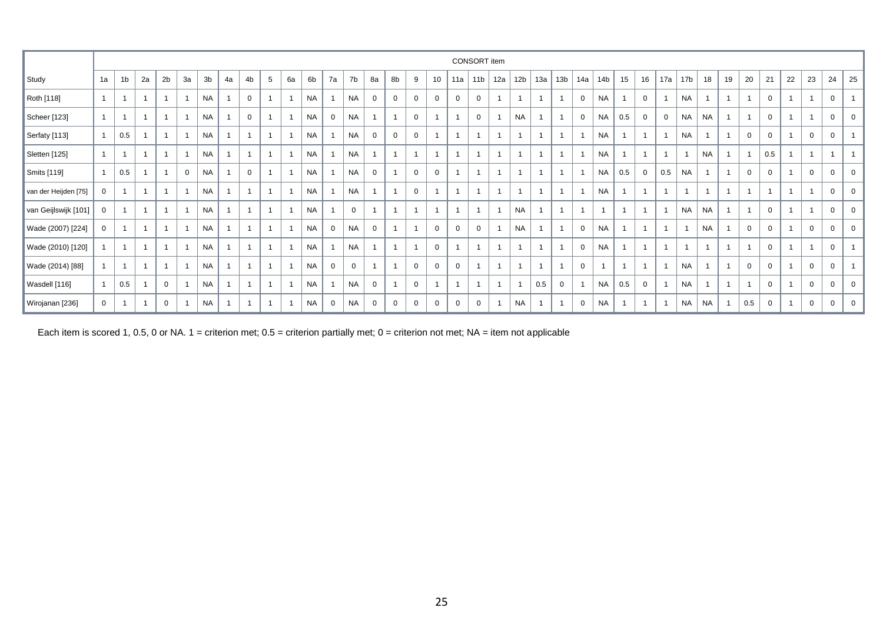|                      |              |                |                |                |                |           |                |              |   |                |           |             |             |                |              |                |                |                | CONSORT item    |                |                 |     |                 |                |                 |     |                |                |              |           |                |             |                |                |                |              |                |
|----------------------|--------------|----------------|----------------|----------------|----------------|-----------|----------------|--------------|---|----------------|-----------|-------------|-------------|----------------|--------------|----------------|----------------|----------------|-----------------|----------------|-----------------|-----|-----------------|----------------|-----------------|-----|----------------|----------------|--------------|-----------|----------------|-------------|----------------|----------------|----------------|--------------|----------------|
| Study                | 1a           | 1 <sub>b</sub> | 2a             | 2 <sub>b</sub> | За             | 3b        | 4a             | 4b           | 5 | 6a             | 6b        | 7a          | 7b          | 8a             | 8b           | 9              | 10             | 11a            | 11 <sub>b</sub> | 12a            | 12 <sub>b</sub> | 13a | 13 <sub>b</sub> | 14a            | 14 <sub>b</sub> | 15  | 16             | 17a            | 17 <b>b</b>  | 18        | 19             | 20          | 21             | 22             | 23             | 24           | 25             |
| Roth [118]           |              |                |                |                | $\overline{1}$ | <b>NA</b> |                | 0            |   |                | <b>NA</b> |             | <b>NA</b>   | $\mathbf 0$    | 0            | $\mathbf 0$    | $\mathbf 0$    | 0              | 0               | $\mathbf{1}$   |                 |     | $\overline{1}$  | $\overline{0}$ | <b>NA</b>       |     | $\mathbf 0$    |                | <b>NA</b>    |           |                |             | $\mathbf 0$    | $\overline{1}$ |                | 0            |                |
| Scheer [123]         |              |                | $\overline{1}$ |                |                | <b>NA</b> |                | $\mathbf{0}$ |   |                | <b>NA</b> | 0           | <b>NA</b>   | 1              | $\mathbf{1}$ | $\mathbf 0$    | $\mathbf{1}$   |                | $\mathbf 0$     | $\overline{1}$ | <b>NA</b>       |     | $\overline{1}$  | $\overline{0}$ | <b>NA</b>       | 0.5 | $\mathbf 0$    | $\overline{0}$ | <b>NA</b>    | <b>NA</b> |                |             | $\overline{0}$ | $\overline{1}$ |                | 0            | $\mathbf 0$    |
| Serfaty [113]        |              | 0.5            |                |                | $\overline{1}$ | <b>NA</b> | $\overline{1}$ | $\mathbf{1}$ |   |                | <b>NA</b> |             | <b>NA</b>   | $\mathbf 0$    | $\mathbf{0}$ | $\mathbf 0$    | $\overline{1}$ |                | $\overline{1}$  | $\overline{1}$ |                 |     |                 |                | <b>NA</b>       |     | $\overline{1}$ | $\overline{1}$ | <b>NA</b>    |           |                | $\mathbf 0$ | $\mathbf 0$    | $\overline{1}$ | $\mathbf 0$    | $\mathbf 0$  |                |
| Sletten [125]        |              |                | $\overline{1}$ |                | $\overline{1}$ | <b>NA</b> |                | $\mathbf{1}$ |   |                | <b>NA</b> |             | <b>NA</b>   | $\overline{1}$ | 1            |                | $\mathbf{1}$   |                |                 | $\overline{1}$ |                 |     | $\overline{1}$  |                | <b>NA</b>       |     | $\overline{1}$ | $\mathbf{1}$   | $\mathbf{1}$ | <b>NA</b> |                |             | 0.5            | $\overline{1}$ | $\overline{1}$ |              | $\mathbf{1}$   |
| Smits [119]          |              | 0.5            |                |                | $\mathbf{0}$   | <b>NA</b> |                | $\mathbf{0}$ |   | $\overline{1}$ | <b>NA</b> |             | <b>NA</b>   | $\mathbf 0$    |              | $\mathbf 0$    | $\mathbf 0$    |                | $\overline{1}$  | $\overline{1}$ |                 |     | $\overline{1}$  |                | <b>NA</b>       | 0.5 | $\mathbf 0$    | 0.5            | <b>NA</b>    |           | $\overline{1}$ | $\Omega$    | $\mathbf 0$    | $\overline{1}$ | $\mathbf 0$    | 0            | $\mathbf 0$    |
| van der Heijden [75] | 0            |                |                |                | $\mathbf 1$    | <b>NA</b> | -1             | $\mathbf{1}$ |   |                | <b>NA</b> |             | <b>NA</b>   | 1              |              | $\mathbf 0$    | 1              |                | -1              | $\overline{1}$ |                 |     | $\mathbf{1}$    | -1             | <b>NA</b>       |     | $\overline{1}$ | $\mathbf{1}$   | $\mathbf{1}$ |           | $\overline{1}$ |             |                | $\mathbf{1}$   |                | $\mathbf 0$  | $\mathbf 0$    |
| van Geijlswijk [101] | $\mathbf{0}$ |                | -1             |                | $\overline{1}$ | <b>NA</b> |                | $\mathbf{1}$ |   |                | <b>NA</b> |             | $\mathbf 0$ | 1              |              |                | $\overline{1}$ |                | $\overline{1}$  | $\overline{1}$ | <b>NA</b>       |     | $\overline{1}$  | $\overline{1}$ |                 |     | $\overline{1}$ |                | <b>NA</b>    | <b>NA</b> |                |             | $\mathbf 0$    | $\overline{1}$ |                | $\mathbf 0$  | $\mathbf 0$    |
| Wade (2007) [224]    | $\mathbf{0}$ |                | -1             |                | $\overline{1}$ | <b>NA</b> | $\overline{1}$ | $\mathbf{1}$ |   |                | <b>NA</b> | 0           | <b>NA</b>   | $\mathbf 0$    |              |                | $\mathbf 0$    | $\mathbf 0$    | $\mathbf 0$     | $\overline{1}$ | <b>NA</b>       |     | $\overline{1}$  | $\mathbf 0$    | <b>NA</b>       |     | $\overline{1}$ | $\overline{1}$ | $\mathbf{1}$ | <b>NA</b> |                | $\Omega$    | $\mathbf 0$    | $\overline{1}$ | $\mathbf 0$    | $\mathbf 0$  | $\mathbf 0$    |
| Wade (2010) [120]    |              | $\overline{1}$ | $\overline{1}$ |                | $\overline{1}$ | <b>NA</b> | $\overline{1}$ | $\mathbf{1}$ |   | $\overline{1}$ | <b>NA</b> |             | <b>NA</b>   | 1              | $\mathbf{1}$ |                | $\mathbf 0$    |                | $\overline{1}$  | $\overline{1}$ |                 |     | $\overline{1}$  | $\mathbf 0$    | <b>NA</b>       |     | $\overline{1}$ | $\overline{1}$ | $\mathbf{1}$ |           | $\overline{1}$ |             | $\mathbf 0$    | $\overline{1}$ |                | $\mathbf 0$  | $\overline{1}$ |
| Wade (2014) [88]     |              | -1             | $\overline{1}$ |                |                | <b>NA</b> |                | $\mathbf{1}$ |   |                | <b>NA</b> | 0           | $\mathbf 0$ | $\mathbf{1}$   |              | $\mathbf 0$    | $\mathbf 0$    | $\mathbf 0$    |                 | $\overline{1}$ |                 |     | $\overline{1}$  | $\overline{0}$ |                 |     | $\overline{1}$ | $\mathbf{1}$   | <b>NA</b>    |           |                | $\mathbf 0$ | $\mathbf 0$    | $\overline{1}$ | $\mathbf 0$    | $\mathbf 0$  | $\mathbf{1}$   |
| Wasdell [116]        |              | 0.5            |                | $\mathbf 0$    |                | <b>NA</b> | $\overline{1}$ | $\mathbf{1}$ |   |                | <b>NA</b> |             | <b>NA</b>   | $\overline{0}$ |              | $\overline{0}$ | $\mathbf 1$    | $\overline{1}$ | $\overline{1}$  | $\overline{1}$ |                 | 0.5 | $\mathbf 0$     |                | <b>NA</b>       | 0.5 | $\mathbf 0$    |                | <b>NA</b>    |           | $\overline{1}$ | -1          | $\overline{0}$ | $\overline{1}$ | $\overline{0}$ | $\mathbf{0}$ | $\mathbf 0$    |
| Wirojanan [236]      | $\mathbf{0}$ |                |                | 0              |                | <b>NA</b> | $\overline{1}$ |              |   |                | <b>NA</b> | $\mathbf 0$ | <b>NA</b>   | 0              | $\mathbf{0}$ | $\mathbf{0}$   | $\mathbf 0$    | $\mathbf 0$    | $\mathbf{0}$    |                | <b>NA</b>       |     | -1              | $\overline{0}$ | <b>NA</b>       |     |                | $\overline{ }$ | <b>NA</b>    | <b>NA</b> |                | 0.5         | $\mathbf{0}$   |                | 0              | $\mathbf{0}$ | 0              |

Each item is scored 1, 0.5, 0 or NA. 1 = criterion met; 0.5 = criterion partially met; 0 = criterion not met; NA = item not applicable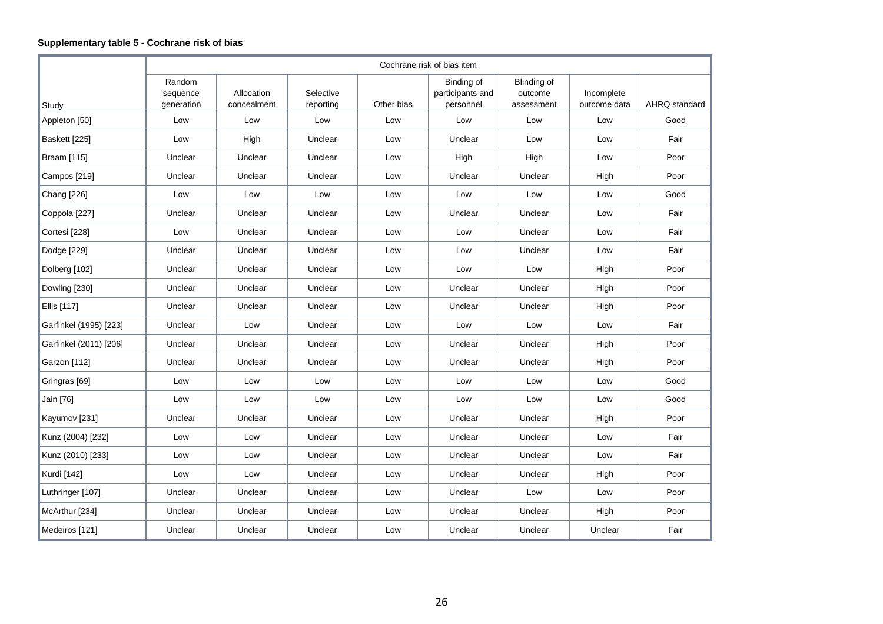# **Supplementary table 5 - Cochrane risk of bias**

|                        |                                  |                           |                        |            | Cochrane risk of bias item                  |                                      |                            |               |
|------------------------|----------------------------------|---------------------------|------------------------|------------|---------------------------------------------|--------------------------------------|----------------------------|---------------|
| Study                  | Random<br>sequence<br>generation | Allocation<br>concealment | Selective<br>reporting | Other bias | Binding of<br>participants and<br>personnel | Blinding of<br>outcome<br>assessment | Incomplete<br>outcome data | AHRQ standard |
| Appleton [50]          | Low                              | Low                       | Low                    | Low        | Low                                         | Low                                  | Low                        | Good          |
| Baskett [225]          | Low                              | High                      | Unclear                | Low        | Unclear                                     | Low                                  | Low                        | Fair          |
| Braam [115]            | Unclear                          | Unclear                   | Unclear                | Low        | High                                        | High                                 | Low                        | Poor          |
| Campos [219]           | Unclear                          | Unclear                   | Unclear                | Low        | Unclear                                     | Unclear                              | High                       | Poor          |
| Chang [226]            | Low                              | Low                       | Low                    | Low        | Low                                         | Low                                  | Low                        | Good          |
| Coppola [227]          | Unclear                          | Unclear                   | Unclear                | Low        | Unclear                                     | Unclear                              | Low                        | Fair          |
| Cortesi [228]          | Low                              | Unclear                   | Unclear                | Low        | Low                                         | Unclear                              | Low                        | Fair          |
| Dodge [229]            | Unclear                          | Unclear                   | Unclear                | Low        | Low                                         | Unclear                              | Low                        | Fair          |
| Dolberg [102]          | Unclear                          | Unclear                   | Unclear                | Low        | Low                                         | Low                                  | High                       | Poor          |
| Dowling [230]          | Unclear                          | Unclear                   | Unclear                | Low        | Unclear                                     | Unclear                              | High                       | Poor          |
| Ellis [117]            | Unclear                          | Unclear                   | Unclear                | Low        | Unclear                                     | Unclear                              | High                       | Poor          |
| Garfinkel (1995) [223] | Unclear                          | Low                       | Unclear                | Low        | Low                                         | Low                                  | Low                        | Fair          |
| Garfinkel (2011) [206] | Unclear                          | Unclear                   | Unclear                | Low        | Unclear                                     | Unclear                              | High                       | Poor          |
| Garzon [112]           | Unclear                          | Unclear                   | Unclear                | Low        | Unclear                                     | Unclear                              | High                       | Poor          |
| Gringras [69]          | Low                              | Low                       | Low                    | Low        | Low                                         | Low                                  | Low                        | Good          |
| Jain [76]              | Low                              | Low                       | Low                    | Low        | Low                                         | Low                                  | Low                        | Good          |
| Kayumov [231]          | Unclear                          | Unclear                   | Unclear                | Low        | Unclear                                     | Unclear                              | High                       | Poor          |
| Kunz (2004) [232]      | Low                              | Low                       | Unclear                | Low        | Unclear                                     | Unclear                              | Low                        | Fair          |
| Kunz (2010) [233]      | Low                              | Low                       | Unclear                | Low        | Unclear                                     | Unclear                              | Low                        | Fair          |
| Kurdi [142]            | Low                              | Low                       | Unclear                | Low        | Unclear                                     | Unclear                              | High                       | Poor          |
| Luthringer [107]       | Unclear                          | Unclear                   | Unclear                | Low        | Unclear                                     | Low                                  | Low                        | Poor          |
| McArthur [234]         | Unclear                          | Unclear                   | Unclear                | Low        | Unclear                                     | Unclear                              | High                       | Poor          |
| Medeiros [121]         | Unclear                          | Unclear                   | Unclear                | Low        | Unclear                                     | Unclear                              | Unclear                    | Fair          |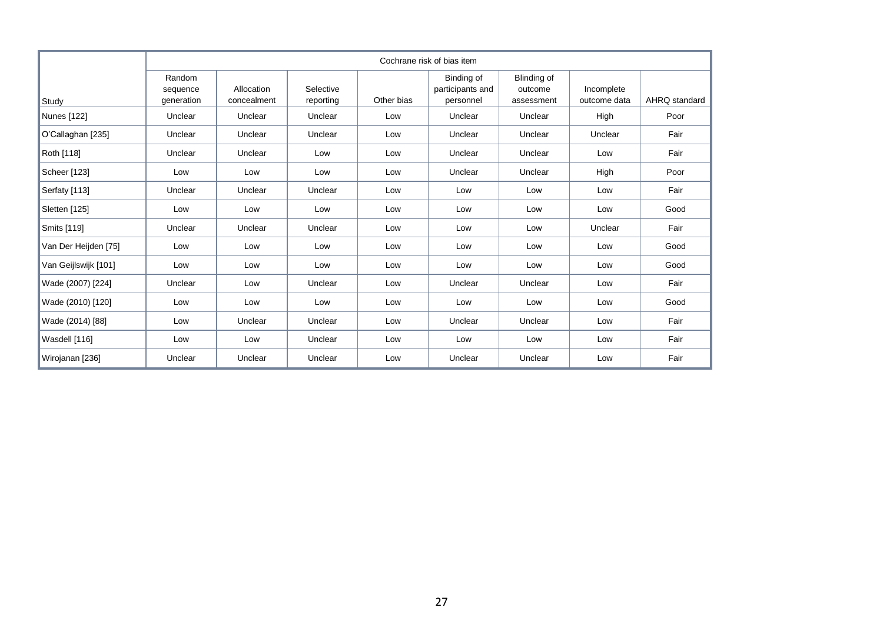|                      |                                  |                           |                        |            | Cochrane risk of bias item                  |                                             |                            |               |
|----------------------|----------------------------------|---------------------------|------------------------|------------|---------------------------------------------|---------------------------------------------|----------------------------|---------------|
| Study                | Random<br>sequence<br>generation | Allocation<br>concealment | Selective<br>reporting | Other bias | Binding of<br>participants and<br>personnel | <b>Blinding of</b><br>outcome<br>assessment | Incomplete<br>outcome data | AHRQ standard |
| Nunes [122]          | Unclear                          | Unclear                   | Unclear                | Low        | Unclear                                     | Unclear                                     | High                       | Poor          |
| O'Callaghan [235]    | Unclear                          | Unclear                   | Unclear                | Low        | Unclear                                     | Unclear                                     | Unclear                    | Fair          |
| Roth [118]           | Unclear                          | Unclear                   | Low                    | Low        | Unclear                                     | Unclear                                     | Low                        | Fair          |
| Scheer [123]         | Low                              | Low                       | Low                    | Low        | Unclear                                     | Unclear                                     | High                       | Poor          |
| Serfaty [113]        | Unclear                          | Unclear                   | Unclear                | Low        | Low                                         | Low                                         | Low                        | Fair          |
| Sletten [125]        | Low                              | Low                       | Low                    | Low        | Low                                         | Low                                         | Low                        | Good          |
| Smits [119]          | Unclear                          | Unclear                   | Unclear                | Low        | Low                                         | Low                                         | Unclear                    | Fair          |
| Van Der Heijden [75] | Low                              | Low                       | Low                    | Low        | Low                                         | Low                                         | Low                        | Good          |
| Van Geijlswijk [101] | Low                              | Low                       | Low                    | Low        | Low                                         | Low                                         | Low                        | Good          |
| Wade (2007) [224]    | Unclear                          | Low                       | Unclear                | Low        | Unclear                                     | Unclear                                     | Low                        | Fair          |
| Wade (2010) [120]    | Low                              | Low                       | Low                    | Low        | Low                                         | Low                                         | Low                        | Good          |
| Wade (2014) [88]     | Low                              | Unclear                   | Unclear                | Low        | Unclear                                     | Unclear                                     | Low                        | Fair          |
| Wasdell [116]        | Low                              | Low                       | Unclear                | Low        | Low                                         | Low                                         | Low                        | Fair          |
| Wirojanan [236]      | Unclear                          | Unclear                   | Unclear                | Low        | Unclear                                     | Unclear                                     | Low                        | Fair          |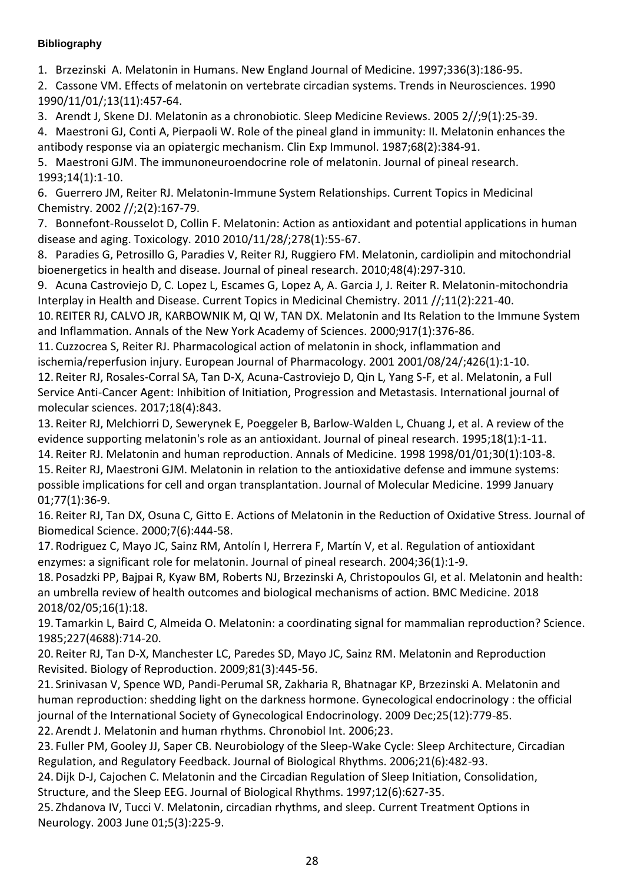# **Bibliography**

1. Brzezinski A. Melatonin in Humans. New England Journal of Medicine. 1997;336(3):186-95.

2. Cassone VM. Effects of melatonin on vertebrate circadian systems. Trends in Neurosciences. 1990 1990/11/01/;13(11):457-64.

3. Arendt J, Skene DJ. Melatonin as a chronobiotic. Sleep Medicine Reviews. 2005 2//;9(1):25-39.

4. Maestroni GJ, Conti A, Pierpaoli W. Role of the pineal gland in immunity: II. Melatonin enhances the antibody response via an opiatergic mechanism. Clin Exp Immunol. 1987;68(2):384-91.

5. Maestroni GJM. The immunoneuroendocrine role of melatonin. Journal of pineal research. 1993;14(1):1-10.

6. Guerrero JM, Reiter RJ. Melatonin-Immune System Relationships. Current Topics in Medicinal Chemistry. 2002 //;2(2):167-79.

7. Bonnefont-Rousselot D, Collin F. Melatonin: Action as antioxidant and potential applications in human disease and aging. Toxicology. 2010 2010/11/28/;278(1):55-67.

8. Paradies G, Petrosillo G, Paradies V, Reiter RJ, Ruggiero FM. Melatonin, cardiolipin and mitochondrial bioenergetics in health and disease. Journal of pineal research. 2010;48(4):297-310.

9. Acuna Castroviejo D, C. Lopez L, Escames G, Lopez A, A. Garcia J, J. Reiter R. Melatonin-mitochondria Interplay in Health and Disease. Current Topics in Medicinal Chemistry. 2011 //;11(2):221-40.

10. REITER RJ, CALVO JR, KARBOWNIK M, QI W, TAN DX. Melatonin and Its Relation to the Immune System and Inflammation. Annals of the New York Academy of Sciences. 2000;917(1):376-86.

11. Cuzzocrea S, Reiter RJ. Pharmacological action of melatonin in shock, inflammation and

ischemia/reperfusion injury. European Journal of Pharmacology. 2001 2001/08/24/;426(1):1-10. 12. Reiter RJ, Rosales-Corral SA, Tan D-X, Acuna-Castroviejo D, Qin L, Yang S-F, et al. Melatonin, a Full Service Anti-Cancer Agent: Inhibition of Initiation, Progression and Metastasis. International journal of molecular sciences. 2017;18(4):843.

13. Reiter RJ, Melchiorri D, Sewerynek E, Poeggeler B, Barlow‐Walden L, Chuang J, et al. A review of the evidence supporting melatonin's role as an antioxidant. Journal of pineal research. 1995;18(1):1-11.

14. Reiter RJ. Melatonin and human reproduction. Annals of Medicine. 1998 1998/01/01;30(1):103-8.

15. Reiter RJ, Maestroni GJM. Melatonin in relation to the antioxidative defense and immune systems: possible implications for cell and organ transplantation. Journal of Molecular Medicine. 1999 January 01;77(1):36-9.

16. Reiter RJ, Tan DX, Osuna C, Gitto E. Actions of Melatonin in the Reduction of Oxidative Stress. Journal of Biomedical Science. 2000;7(6):444-58.

17. Rodriguez C, Mayo JC, Sainz RM, Antolín I, Herrera F, Martín V, et al. Regulation of antioxidant enzymes: a significant role for melatonin. Journal of pineal research. 2004;36(1):1-9.

18. Posadzki PP, Bajpai R, Kyaw BM, Roberts NJ, Brzezinski A, Christopoulos GI, et al. Melatonin and health: an umbrella review of health outcomes and biological mechanisms of action. BMC Medicine. 2018 2018/02/05;16(1):18.

19. Tamarkin L, Baird C, Almeida O. Melatonin: a coordinating signal for mammalian reproduction? Science. 1985;227(4688):714-20.

20. Reiter RJ, Tan D-X, Manchester LC, Paredes SD, Mayo JC, Sainz RM. Melatonin and Reproduction Revisited. Biology of Reproduction. 2009;81(3):445-56.

21. Srinivasan V, Spence WD, Pandi-Perumal SR, Zakharia R, Bhatnagar KP, Brzezinski A. Melatonin and human reproduction: shedding light on the darkness hormone. Gynecological endocrinology : the official journal of the International Society of Gynecological Endocrinology. 2009 Dec;25(12):779-85. 22. Arendt J. Melatonin and human rhythms. Chronobiol Int. 2006;23.

23. Fuller PM, Gooley JJ, Saper CB. Neurobiology of the Sleep-Wake Cycle: Sleep Architecture, Circadian Regulation, and Regulatory Feedback. Journal of Biological Rhythms. 2006;21(6):482-93.

24.Dijk D-J, Cajochen C. Melatonin and the Circadian Regulation of Sleep Initiation, Consolidation, Structure, and the Sleep EEG. Journal of Biological Rhythms. 1997;12(6):627-35.

25. Zhdanova IV, Tucci V. Melatonin, circadian rhythms, and sleep. Current Treatment Options in Neurology. 2003 June 01;5(3):225-9.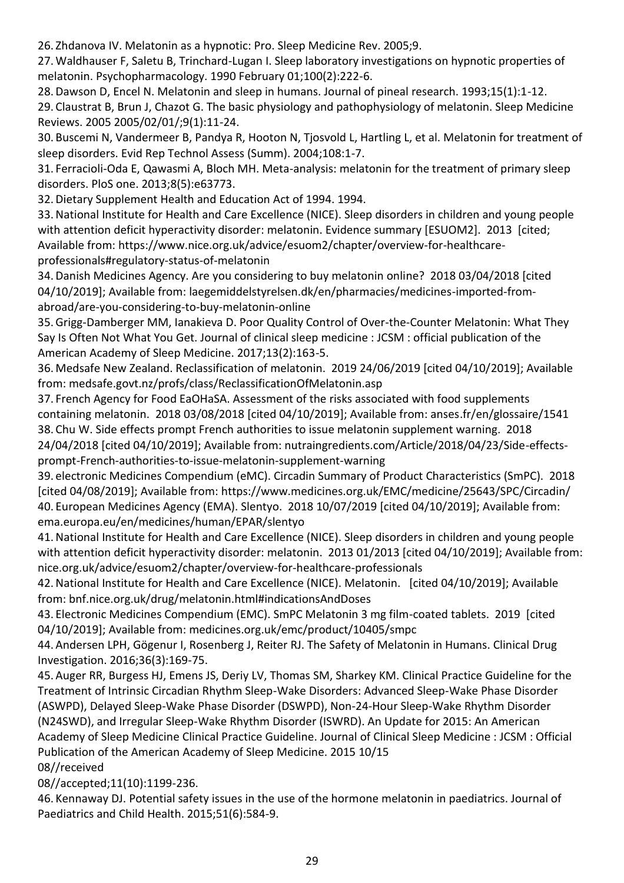26. Zhdanova IV. Melatonin as a hypnotic: Pro. Sleep Medicine Rev. 2005;9.

27.Waldhauser F, Saletu B, Trinchard-Lugan I. Sleep laboratory investigations on hypnotic properties of melatonin. Psychopharmacology. 1990 February 01;100(2):222-6.

28.Dawson D, Encel N. Melatonin and sleep in humans. Journal of pineal research. 1993;15(1):1-12. 29. Claustrat B, Brun J, Chazot G. The basic physiology and pathophysiology of melatonin. Sleep Medicine Reviews. 2005 2005/02/01/;9(1):11-24.

30. Buscemi N, Vandermeer B, Pandya R, Hooton N, Tjosvold L, Hartling L, et al. Melatonin for treatment of sleep disorders. Evid Rep Technol Assess (Summ). 2004;108:1-7.

31. Ferracioli-Oda E, Qawasmi A, Bloch MH. Meta-analysis: melatonin for the treatment of primary sleep disorders. PloS one. 2013;8(5):e63773.

32.Dietary Supplement Health and Education Act of 1994. 1994.

33.National Institute for Health and Care Excellence (NICE). Sleep disorders in children and young people with attention deficit hyperactivity disorder: melatonin. Evidence summary [ESUOM2]. 2013 [cited; Available from: https://www.nice.org.uk/advice/esuom2/chapter/overview-for-healthcareprofessionals#regulatory-status-of-melatonin

34.Danish Medicines Agency. Are you considering to buy melatonin online? 2018 03/04/2018 [cited 04/10/2019]; Available from: laegemiddelstyrelsen.dk/en/pharmacies/medicines-imported-fromabroad/are-you-considering-to-buy-melatonin-online

35.Grigg-Damberger MM, Ianakieva D. Poor Quality Control of Over-the-Counter Melatonin: What They Say Is Often Not What You Get. Journal of clinical sleep medicine : JCSM : official publication of the American Academy of Sleep Medicine. 2017;13(2):163-5.

36. Medsafe New Zealand. Reclassification of melatonin. 2019 24/06/2019 [cited 04/10/2019]; Available from: medsafe.govt.nz/profs/class/ReclassificationOfMelatonin.asp

37. French Agency for Food EaOHaSA. Assessment of the risks associated with food supplements containing melatonin. 2018 03/08/2018 [cited 04/10/2019]; Available from: anses.fr/en/glossaire/1541 38. Chu W. Side effects prompt French authorities to issue melatonin supplement warning. 2018 24/04/2018 [cited 04/10/2019]; Available from: nutraingredients.com/Article/2018/04/23/Side-effectsprompt-French-authorities-to-issue-melatonin-supplement-warning

39. electronic Medicines Compendium (eMC). Circadin Summary of Product Characteristics (SmPC). 2018 [cited 04/08/2019]; Available from: https://www.medicines.org.uk/EMC/medicine/25643/SPC/Circadin/ 40. European Medicines Agency (EMA). Slentyo. 2018 10/07/2019 [cited 04/10/2019]; Available from: ema.europa.eu/en/medicines/human/EPAR/slentyo

41.National Institute for Health and Care Excellence (NICE). Sleep disorders in children and young people with attention deficit hyperactivity disorder: melatonin. 2013 01/2013 [cited 04/10/2019]; Available from: nice.org.uk/advice/esuom2/chapter/overview-for-healthcare-professionals

42.National Institute for Health and Care Excellence (NICE). Melatonin. [cited 04/10/2019]; Available from: bnf.nice.org.uk/drug/melatonin.html#indicationsAndDoses

43. Electronic Medicines Compendium (EMC). SmPC Melatonin 3 mg film-coated tablets. 2019 [cited 04/10/2019]; Available from: medicines.org.uk/emc/product/10405/smpc

44. Andersen LPH, Gögenur I, Rosenberg J, Reiter RJ. The Safety of Melatonin in Humans. Clinical Drug Investigation. 2016;36(3):169-75.

45. Auger RR, Burgess HJ, Emens JS, Deriy LV, Thomas SM, Sharkey KM. Clinical Practice Guideline for the Treatment of Intrinsic Circadian Rhythm Sleep-Wake Disorders: Advanced Sleep-Wake Phase Disorder (ASWPD), Delayed Sleep-Wake Phase Disorder (DSWPD), Non-24-Hour Sleep-Wake Rhythm Disorder (N24SWD), and Irregular Sleep-Wake Rhythm Disorder (ISWRD). An Update for 2015: An American Academy of Sleep Medicine Clinical Practice Guideline. Journal of Clinical Sleep Medicine : JCSM : Official Publication of the American Academy of Sleep Medicine. 2015 10/15 08//received

08//accepted;11(10):1199-236.

46. Kennaway DJ. Potential safety issues in the use of the hormone melatonin in paediatrics. Journal of Paediatrics and Child Health. 2015;51(6):584-9.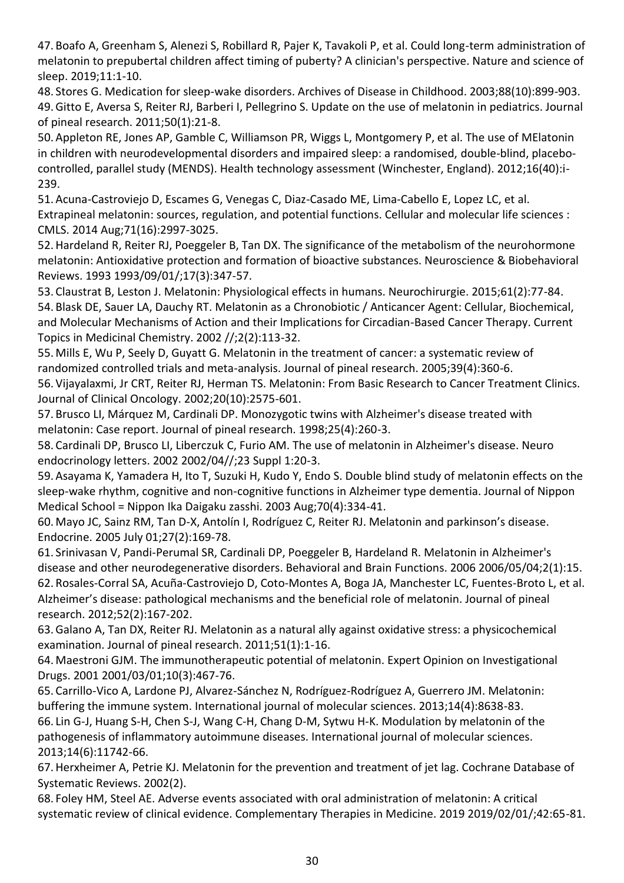47. Boafo A, Greenham S, Alenezi S, Robillard R, Pajer K, Tavakoli P, et al. Could long-term administration of melatonin to prepubertal children affect timing of puberty? A clinician's perspective. Nature and science of sleep. 2019;11:1-10.

48. Stores G. Medication for sleep-wake disorders. Archives of Disease in Childhood. 2003;88(10):899-903. 49.Gitto E, Aversa S, Reiter RJ, Barberi I, Pellegrino S. Update on the use of melatonin in pediatrics. Journal of pineal research. 2011;50(1):21-8.

50. Appleton RE, Jones AP, Gamble C, Williamson PR, Wiggs L, Montgomery P, et al. The use of MElatonin in children with neurodevelopmental disorders and impaired sleep: a randomised, double-blind, placebocontrolled, parallel study (MENDS). Health technology assessment (Winchester, England). 2012;16(40):i-239.

51. Acuna-Castroviejo D, Escames G, Venegas C, Diaz-Casado ME, Lima-Cabello E, Lopez LC, et al. Extrapineal melatonin: sources, regulation, and potential functions. Cellular and molecular life sciences : CMLS. 2014 Aug;71(16):2997-3025.

52.Hardeland R, Reiter RJ, Poeggeler B, Tan DX. The significance of the metabolism of the neurohormone melatonin: Antioxidative protection and formation of bioactive substances. Neuroscience & Biobehavioral Reviews. 1993 1993/09/01/;17(3):347-57.

53. Claustrat B, Leston J. Melatonin: Physiological effects in humans. Neurochirurgie. 2015;61(2):77-84. 54. Blask DE, Sauer LA, Dauchy RT. Melatonin as a Chronobiotic / Anticancer Agent: Cellular, Biochemical, and Molecular Mechanisms of Action and their Implications for Circadian-Based Cancer Therapy. Current Topics in Medicinal Chemistry. 2002 //;2(2):113-32.

55. Mills E, Wu P, Seely D, Guyatt G. Melatonin in the treatment of cancer: a systematic review of randomized controlled trials and meta-analysis. Journal of pineal research. 2005;39(4):360-6.

56. Vijayalaxmi, Jr CRT, Reiter RJ, Herman TS. Melatonin: From Basic Research to Cancer Treatment Clinics. Journal of Clinical Oncology. 2002;20(10):2575-601.

57. Brusco LI, Márquez M, Cardinali DP. Monozygotic twins with Alzheimer's disease treated with melatonin: Case report. Journal of pineal research. 1998;25(4):260-3.

58. Cardinali DP, Brusco LI, Liberczuk C, Furio AM. The use of melatonin in Alzheimer's disease. Neuro endocrinology letters. 2002 2002/04//;23 Suppl 1:20-3.

59. Asayama K, Yamadera H, Ito T, Suzuki H, Kudo Y, Endo S. Double blind study of melatonin effects on the sleep-wake rhythm, cognitive and non-cognitive functions in Alzheimer type dementia. Journal of Nippon Medical School = Nippon Ika Daigaku zasshi. 2003 Aug;70(4):334-41.

60. Mayo JC, Sainz RM, Tan D-X, Antolín I, Rodríguez C, Reiter RJ. Melatonin and parkinson's disease. Endocrine. 2005 July 01;27(2):169-78.

61. Srinivasan V, Pandi-Perumal SR, Cardinali DP, Poeggeler B, Hardeland R. Melatonin in Alzheimer's disease and other neurodegenerative disorders. Behavioral and Brain Functions. 2006 2006/05/04;2(1):15. 62. Rosales-Corral SA, Acuña-Castroviejo D, Coto-Montes A, Boga JA, Manchester LC, Fuentes-Broto L, et al. Alzheimer's disease: pathological mechanisms and the beneficial role of melatonin. Journal of pineal research. 2012;52(2):167-202.

63.Galano A, Tan DX, Reiter RJ. Melatonin as a natural ally against oxidative stress: a physicochemical examination. Journal of pineal research. 2011;51(1):1-16.

64. Maestroni GJM. The immunotherapeutic potential of melatonin. Expert Opinion on Investigational Drugs. 2001 2001/03/01;10(3):467-76.

65. Carrillo-Vico A, Lardone PJ, Alvarez-Sánchez N, Rodríguez-Rodríguez A, Guerrero JM. Melatonin: buffering the immune system. International journal of molecular sciences. 2013;14(4):8638-83.

66. Lin G-J, Huang S-H, Chen S-J, Wang C-H, Chang D-M, Sytwu H-K. Modulation by melatonin of the pathogenesis of inflammatory autoimmune diseases. International journal of molecular sciences. 2013;14(6):11742-66.

67.Herxheimer A, Petrie KJ. Melatonin for the prevention and treatment of jet lag. Cochrane Database of Systematic Reviews. 2002(2).

68. Foley HM, Steel AE. Adverse events associated with oral administration of melatonin: A critical systematic review of clinical evidence. Complementary Therapies in Medicine. 2019 2019/02/01/;42:65-81.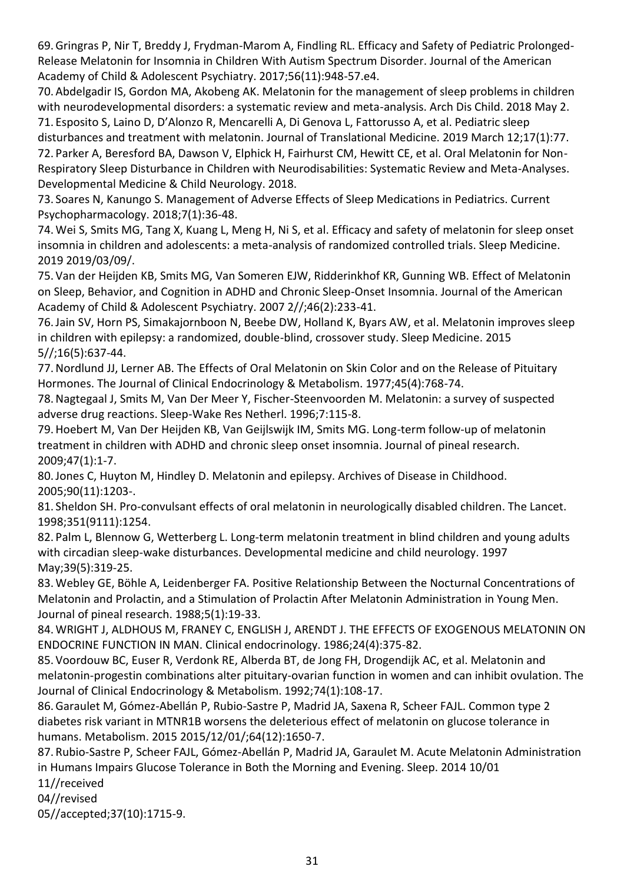69.Gringras P, Nir T, Breddy J, Frydman-Marom A, Findling RL. Efficacy and Safety of Pediatric Prolonged-Release Melatonin for Insomnia in Children With Autism Spectrum Disorder. Journal of the American Academy of Child & Adolescent Psychiatry. 2017;56(11):948-57.e4.

70. Abdelgadir IS, Gordon MA, Akobeng AK. Melatonin for the management of sleep problems in children with neurodevelopmental disorders: a systematic review and meta-analysis. Arch Dis Child. 2018 May 2. 71. Esposito S, Laino D, D'Alonzo R, Mencarelli A, Di Genova L, Fattorusso A, et al. Pediatric sleep

disturbances and treatment with melatonin. Journal of Translational Medicine. 2019 March 12;17(1):77. 72. Parker A, Beresford BA, Dawson V, Elphick H, Fairhurst CM, Hewitt CE, et al. Oral Melatonin for Non-

Respiratory Sleep Disturbance in Children with Neurodisabilities: Systematic Review and Meta-Analyses. Developmental Medicine & Child Neurology. 2018.

73. Soares N, Kanungo S. Management of Adverse Effects of Sleep Medications in Pediatrics. Current Psychopharmacology. 2018;7(1):36-48.

74.Wei S, Smits MG, Tang X, Kuang L, Meng H, Ni S, et al. Efficacy and safety of melatonin for sleep onset insomnia in children and adolescents: a meta-analysis of randomized controlled trials. Sleep Medicine. 2019 2019/03/09/.

75. Van der Heijden KB, Smits MG, Van Someren EJW, Ridderinkhof KR, Gunning WB. Effect of Melatonin on Sleep, Behavior, and Cognition in ADHD and Chronic Sleep-Onset Insomnia. Journal of the American Academy of Child & Adolescent Psychiatry. 2007 2//;46(2):233-41.

76.Jain SV, Horn PS, Simakajornboon N, Beebe DW, Holland K, Byars AW, et al. Melatonin improves sleep in children with epilepsy: a randomized, double-blind, crossover study. Sleep Medicine. 2015 5//;16(5):637-44.

77.Nordlund JJ, Lerner AB. The Effects of Oral Melatonin on Skin Color and on the Release of Pituitary Hormones. The Journal of Clinical Endocrinology & Metabolism. 1977;45(4):768-74.

78.Nagtegaal J, Smits M, Van Der Meer Y, Fischer-Steenvoorden M. Melatonin: a survey of suspected adverse drug reactions. Sleep-Wake Res Netherl. 1996;7:115-8.

79.Hoebert M, Van Der Heijden KB, Van Geijlswijk IM, Smits MG. Long-term follow-up of melatonin treatment in children with ADHD and chronic sleep onset insomnia. Journal of pineal research. 2009;47(1):1-7.

80.Jones C, Huyton M, Hindley D. Melatonin and epilepsy. Archives of Disease in Childhood. 2005;90(11):1203-.

81. Sheldon SH. Pro-convulsant effects of oral melatonin in neurologically disabled children. The Lancet. 1998;351(9111):1254.

82. Palm L, Blennow G, Wetterberg L. Long-term melatonin treatment in blind children and young adults with circadian sleep-wake disturbances. Developmental medicine and child neurology. 1997 May;39(5):319-25.

83.Webley GE, Böhle A, Leidenberger FA. Positive Relationship Between the Nocturnal Concentrations of Melatonin and Prolactin, and a Stimulation of Prolactin After Melatonin Administration in Young Men. Journal of pineal research. 1988;5(1):19-33.

84.WRIGHT J, ALDHOUS M, FRANEY C, ENGLISH J, ARENDT J. THE EFFECTS OF EXOGENOUS MELATONIN ON ENDOCRINE FUNCTION IN MAN. Clinical endocrinology. 1986;24(4):375-82.

85. Voordouw BC, Euser R, Verdonk RE, Alberda BT, de Jong FH, Drogendijk AC, et al. Melatonin and melatonin-progestin combinations alter pituitary-ovarian function in women and can inhibit ovulation. The Journal of Clinical Endocrinology & Metabolism. 1992;74(1):108-17.

86.Garaulet M, Gómez-Abellán P, Rubio-Sastre P, Madrid JA, Saxena R, Scheer FAJL. Common type 2 diabetes risk variant in MTNR1B worsens the deleterious effect of melatonin on glucose tolerance in humans. Metabolism. 2015 2015/12/01/;64(12):1650-7.

87. Rubio-Sastre P, Scheer FAJL, Gómez-Abellán P, Madrid JA, Garaulet M. Acute Melatonin Administration in Humans Impairs Glucose Tolerance in Both the Morning and Evening. Sleep. 2014 10/01

11//received

04//revised

05//accepted;37(10):1715-9.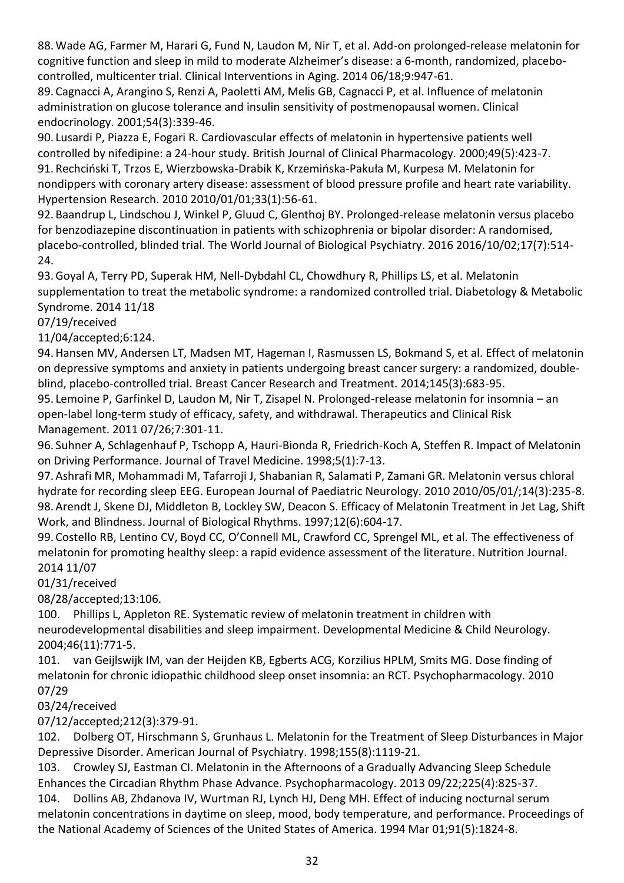88.Wade AG, Farmer M, Harari G, Fund N, Laudon M, Nir T, et al. Add-on prolonged-release melatonin for cognitive function and sleep in mild to moderate Alzheimer's disease: a 6-month, randomized, placebocontrolled, multicenter trial. Clinical Interventions in Aging. 2014 06/18;9:947-61.

89. Cagnacci A, Arangino S, Renzi A, Paoletti AM, Melis GB, Cagnacci P, et al. Influence of melatonin administration on glucose tolerance and insulin sensitivity of postmenopausal women. Clinical endocrinology. 2001;54(3):339-46.

90. Lusardi P, Piazza E, Fogari R. Cardiovascular effects of melatonin in hypertensive patients well controlled by nifedipine: a 24-hour study. British Journal of Clinical Pharmacology. 2000;49(5):423-7. 91. Rechciński T, Trzos E, Wierzbowska-Drabik K, Krzemińska-Pakuła M, Kurpesa M. Melatonin for nondippers with coronary artery disease: assessment of blood pressure profile and heart rate variability. Hypertension Research. 2010 2010/01/01;33(1):56-61.

92. Baandrup L, Lindschou J, Winkel P, Gluud C, Glenthoj BY. Prolonged-release melatonin versus placebo for benzodiazepine discontinuation in patients with schizophrenia or bipolar disorder: A randomised, placebo-controlled, blinded trial. The World Journal of Biological Psychiatry. 2016 2016/10/02;17(7):514- 24.

93.Goyal A, Terry PD, Superak HM, Nell-Dybdahl CL, Chowdhury R, Phillips LS, et al. Melatonin supplementation to treat the metabolic syndrome: a randomized controlled trial. Diabetology & Metabolic Syndrome. 2014 11/18

07/19/received

11/04/accepted;6:124.

94.Hansen MV, Andersen LT, Madsen MT, Hageman I, Rasmussen LS, Bokmand S, et al. Effect of melatonin on depressive symptoms and anxiety in patients undergoing breast cancer surgery: a randomized, doubleblind, placebo-controlled trial. Breast Cancer Research and Treatment. 2014;145(3):683-95.

95. Lemoine P, Garfinkel D, Laudon M, Nir T, Zisapel N. Prolonged-release melatonin for insomnia – an open-label long-term study of efficacy, safety, and withdrawal. Therapeutics and Clinical Risk Management. 2011 07/26;7:301-11.

96. Suhner A, Schlagenhauf P, Tschopp A, Hauri-Bionda R, Friedrich-Koch A, Steffen R. Impact of Melatonin on Driving Performance. Journal of Travel Medicine. 1998;5(1):7-13.

97. Ashrafi MR, Mohammadi M, Tafarroji J, Shabanian R, Salamati P, Zamani GR. Melatonin versus chloral hydrate for recording sleep EEG. European Journal of Paediatric Neurology. 2010 2010/05/01/;14(3):235-8. 98. Arendt J, Skene DJ, Middleton B, Lockley SW, Deacon S. Efficacy of Melatonin Treatment in Jet Lag, Shift Work, and Blindness. Journal of Biological Rhythms. 1997;12(6):604-17.

99. Costello RB, Lentino CV, Boyd CC, O'Connell ML, Crawford CC, Sprengel ML, et al. The effectiveness of melatonin for promoting healthy sleep: a rapid evidence assessment of the literature. Nutrition Journal. 2014 11/07

01/31/received

08/28/accepted;13:106.

100. Phillips L, Appleton RE. Systematic review of melatonin treatment in children with neurodevelopmental disabilities and sleep impairment. Developmental Medicine & Child Neurology. 2004;46(11):771-5.

101. van Geijlswijk IM, van der Heijden KB, Egberts ACG, Korzilius HPLM, Smits MG. Dose finding of melatonin for chronic idiopathic childhood sleep onset insomnia: an RCT. Psychopharmacology. 2010 07/29

03/24/received

07/12/accepted;212(3):379-91.

102. Dolberg OT, Hirschmann S, Grunhaus L. Melatonin for the Treatment of Sleep Disturbances in Major Depressive Disorder. American Journal of Psychiatry. 1998;155(8):1119-21.

103. Crowley SJ, Eastman CI. Melatonin in the Afternoons of a Gradually Advancing Sleep Schedule Enhances the Circadian Rhythm Phase Advance. Psychopharmacology. 2013 09/22;225(4):825-37.

104. Dollins AB, Zhdanova IV, Wurtman RJ, Lynch HJ, Deng MH. Effect of inducing nocturnal serum melatonin concentrations in daytime on sleep, mood, body temperature, and performance. Proceedings of the National Academy of Sciences of the United States of America. 1994 Mar 01;91(5):1824-8.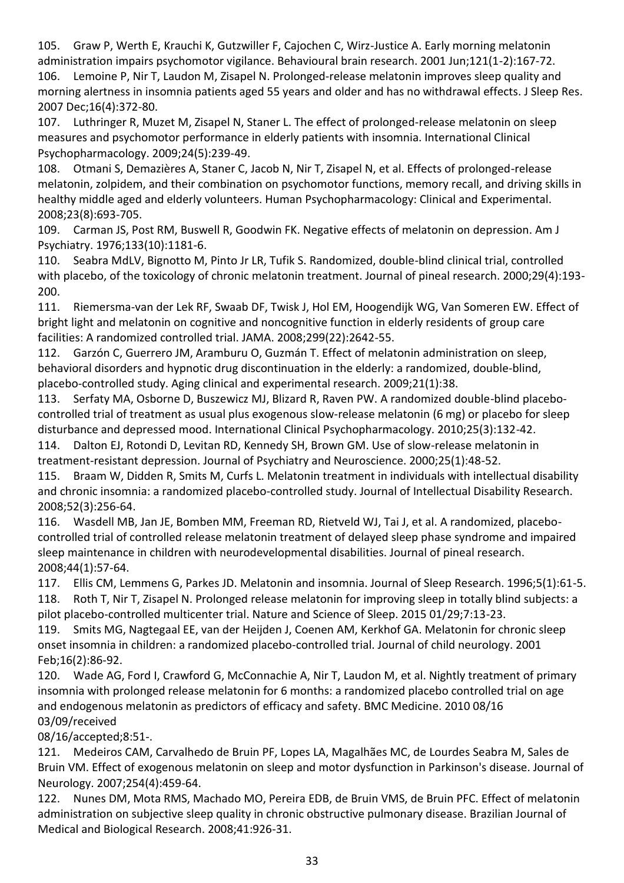105. Graw P, Werth E, Krauchi K, Gutzwiller F, Cajochen C, Wirz-Justice A. Early morning melatonin administration impairs psychomotor vigilance. Behavioural brain research. 2001 Jun;121(1-2):167-72. 106. Lemoine P, Nir T, Laudon M, Zisapel N. Prolonged-release melatonin improves sleep quality and morning alertness in insomnia patients aged 55 years and older and has no withdrawal effects. J Sleep Res. 2007 Dec;16(4):372-80.

107. Luthringer R, Muzet M, Zisapel N, Staner L. The effect of prolonged-release melatonin on sleep measures and psychomotor performance in elderly patients with insomnia. International Clinical Psychopharmacology. 2009;24(5):239-49.

108. Otmani S, Demazières A, Staner C, Jacob N, Nir T, Zisapel N, et al. Effects of prolonged-release melatonin, zolpidem, and their combination on psychomotor functions, memory recall, and driving skills in healthy middle aged and elderly volunteers. Human Psychopharmacology: Clinical and Experimental. 2008;23(8):693-705.

109. Carman JS, Post RM, Buswell R, Goodwin FK. Negative effects of melatonin on depression. Am J Psychiatry. 1976;133(10):1181-6.

110. Seabra MdLV, Bignotto M, Pinto Jr LR, Tufik S. Randomized, double-blind clinical trial, controlled with placebo, of the toxicology of chronic melatonin treatment. Journal of pineal research. 2000;29(4):193- 200.

111. Riemersma-van der Lek RF, Swaab DF, Twisk J, Hol EM, Hoogendijk WG, Van Someren EW. Effect of bright light and melatonin on cognitive and noncognitive function in elderly residents of group care facilities: A randomized controlled trial. JAMA. 2008;299(22):2642-55.

112. Garzón C, Guerrero JM, Aramburu O, Guzmán T. Effect of melatonin administration on sleep, behavioral disorders and hypnotic drug discontinuation in the elderly: a randomized, double-blind, placebo-controlled study. Aging clinical and experimental research. 2009;21(1):38.

113. Serfaty MA, Osborne D, Buszewicz MJ, Blizard R, Raven PW. A randomized double-blind placebocontrolled trial of treatment as usual plus exogenous slow-release melatonin (6 mg) or placebo for sleep disturbance and depressed mood. International Clinical Psychopharmacology. 2010;25(3):132-42.

114. Dalton EJ, Rotondi D, Levitan RD, Kennedy SH, Brown GM. Use of slow-release melatonin in treatment-resistant depression. Journal of Psychiatry and Neuroscience. 2000;25(1):48-52.

115. Braam W, Didden R, Smits M, Curfs L. Melatonin treatment in individuals with intellectual disability and chronic insomnia: a randomized placebo-controlled study. Journal of Intellectual Disability Research. 2008;52(3):256-64.

116. Wasdell MB, Jan JE, Bomben MM, Freeman RD, Rietveld WJ, Tai J, et al. A randomized, placebocontrolled trial of controlled release melatonin treatment of delayed sleep phase syndrome and impaired sleep maintenance in children with neurodevelopmental disabilities. Journal of pineal research. 2008;44(1):57-64.

117. Ellis CM, Lemmens G, Parkes JD. Melatonin and insomnia. Journal of Sleep Research. 1996;5(1):61-5. 118. Roth T, Nir T, Zisapel N. Prolonged release melatonin for improving sleep in totally blind subjects: a pilot placebo-controlled multicenter trial. Nature and Science of Sleep. 2015 01/29;7:13-23.

119. Smits MG, Nagtegaal EE, van der Heijden J, Coenen AM, Kerkhof GA. Melatonin for chronic sleep onset insomnia in children: a randomized placebo-controlled trial. Journal of child neurology. 2001 Feb;16(2):86-92.

120. Wade AG, Ford I, Crawford G, McConnachie A, Nir T, Laudon M, et al. Nightly treatment of primary insomnia with prolonged release melatonin for 6 months: a randomized placebo controlled trial on age and endogenous melatonin as predictors of efficacy and safety. BMC Medicine. 2010 08/16 03/09/received

08/16/accepted;8:51-.

121. Medeiros CAM, Carvalhedo de Bruin PF, Lopes LA, Magalhães MC, de Lourdes Seabra M, Sales de Bruin VM. Effect of exogenous melatonin on sleep and motor dysfunction in Parkinson's disease. Journal of Neurology. 2007;254(4):459-64.

122. Nunes DM, Mota RMS, Machado MO, Pereira EDB, de Bruin VMS, de Bruin PFC. Effect of melatonin administration on subjective sleep quality in chronic obstructive pulmonary disease. Brazilian Journal of Medical and Biological Research. 2008;41:926-31.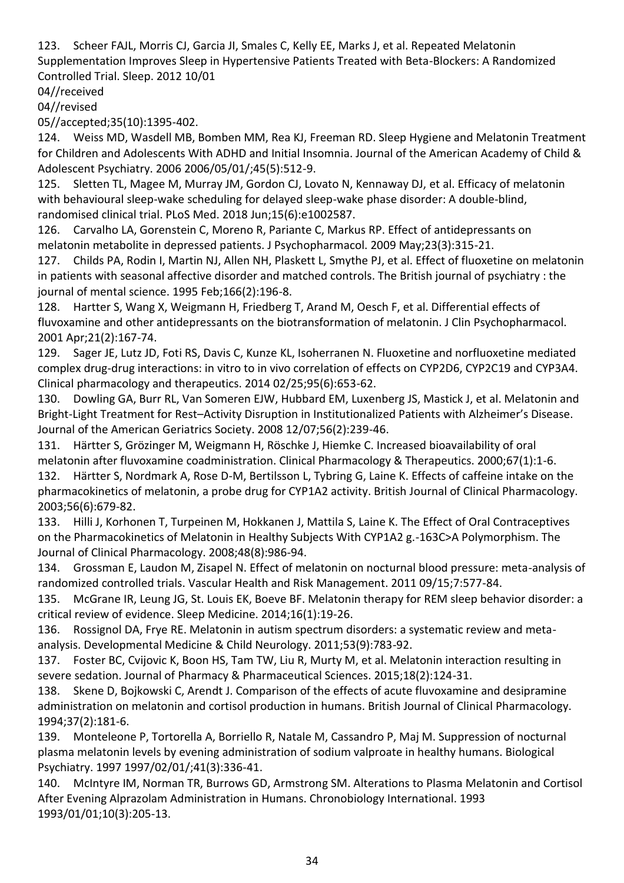123. Scheer FAJL, Morris CJ, Garcia JI, Smales C, Kelly EE, Marks J, et al. Repeated Melatonin Supplementation Improves Sleep in Hypertensive Patients Treated with Beta-Blockers: A Randomized Controlled Trial. Sleep. 2012 10/01

04//received

04//revised

05//accepted;35(10):1395-402.

124. Weiss MD, Wasdell MB, Bomben MM, Rea KJ, Freeman RD. Sleep Hygiene and Melatonin Treatment for Children and Adolescents With ADHD and Initial Insomnia. Journal of the American Academy of Child & Adolescent Psychiatry. 2006 2006/05/01/;45(5):512-9.

125. Sletten TL, Magee M, Murray JM, Gordon CJ, Lovato N, Kennaway DJ, et al. Efficacy of melatonin with behavioural sleep-wake scheduling for delayed sleep-wake phase disorder: A double-blind, randomised clinical trial. PLoS Med. 2018 Jun;15(6):e1002587.

126. Carvalho LA, Gorenstein C, Moreno R, Pariante C, Markus RP. Effect of antidepressants on melatonin metabolite in depressed patients. J Psychopharmacol. 2009 May;23(3):315-21.

127. Childs PA, Rodin I, Martin NJ, Allen NH, Plaskett L, Smythe PJ, et al. Effect of fluoxetine on melatonin in patients with seasonal affective disorder and matched controls. The British journal of psychiatry : the journal of mental science. 1995 Feb;166(2):196-8.

128. Hartter S, Wang X, Weigmann H, Friedberg T, Arand M, Oesch F, et al. Differential effects of fluvoxamine and other antidepressants on the biotransformation of melatonin. J Clin Psychopharmacol. 2001 Apr;21(2):167-74.

129. Sager JE, Lutz JD, Foti RS, Davis C, Kunze KL, Isoherranen N. Fluoxetine and norfluoxetine mediated complex drug-drug interactions: in vitro to in vivo correlation of effects on CYP2D6, CYP2C19 and CYP3A4. Clinical pharmacology and therapeutics. 2014 02/25;95(6):653-62.

130. Dowling GA, Burr RL, Van Someren EJW, Hubbard EM, Luxenberg JS, Mastick J, et al. Melatonin and Bright-Light Treatment for Rest–Activity Disruption in Institutionalized Patients with Alzheimer's Disease. Journal of the American Geriatrics Society. 2008 12/07;56(2):239-46.

131. Härtter S, Grözinger M, Weigmann H, Röschke J, Hiemke C. Increased bioavailability of oral melatonin after fluvoxamine coadministration. Clinical Pharmacology & Therapeutics. 2000;67(1):1-6. 132. Härtter S, Nordmark A, Rose D-M, Bertilsson L, Tybring G, Laine K. Effects of caffeine intake on the

pharmacokinetics of melatonin, a probe drug for CYP1A2 activity. British Journal of Clinical Pharmacology. 2003;56(6):679-82.

133. Hilli J, Korhonen T, Turpeinen M, Hokkanen J, Mattila S, Laine K. The Effect of Oral Contraceptives on the Pharmacokinetics of Melatonin in Healthy Subjects With CYP1A2 g.-163C>A Polymorphism. The Journal of Clinical Pharmacology. 2008;48(8):986-94.

134. Grossman E, Laudon M, Zisapel N. Effect of melatonin on nocturnal blood pressure: meta-analysis of randomized controlled trials. Vascular Health and Risk Management. 2011 09/15;7:577-84.

135. McGrane IR, Leung JG, St. Louis EK, Boeve BF. Melatonin therapy for REM sleep behavior disorder: a critical review of evidence. Sleep Medicine. 2014;16(1):19-26.

136. Rossignol DA, Frye RE. Melatonin in autism spectrum disorders: a systematic review and metaanalysis. Developmental Medicine & Child Neurology. 2011;53(9):783-92.

137. Foster BC, Cvijovic K, Boon HS, Tam TW, Liu R, Murty M, et al. Melatonin interaction resulting in severe sedation. Journal of Pharmacy & Pharmaceutical Sciences. 2015;18(2):124-31.

138. Skene D, Bojkowski C, Arendt J. Comparison of the effects of acute fluvoxamine and desipramine administration on melatonin and cortisol production in humans. British Journal of Clinical Pharmacology. 1994;37(2):181-6.

139. Monteleone P, Tortorella A, Borriello R, Natale M, Cassandro P, Maj M. Suppression of nocturnal plasma melatonin levels by evening administration of sodium valproate in healthy humans. Biological Psychiatry. 1997 1997/02/01/;41(3):336-41.

140. McIntyre IM, Norman TR, Burrows GD, Armstrong SM. Alterations to Plasma Melatonin and Cortisol After Evening Alprazolam Administration in Humans. Chronobiology International. 1993 1993/01/01;10(3):205-13.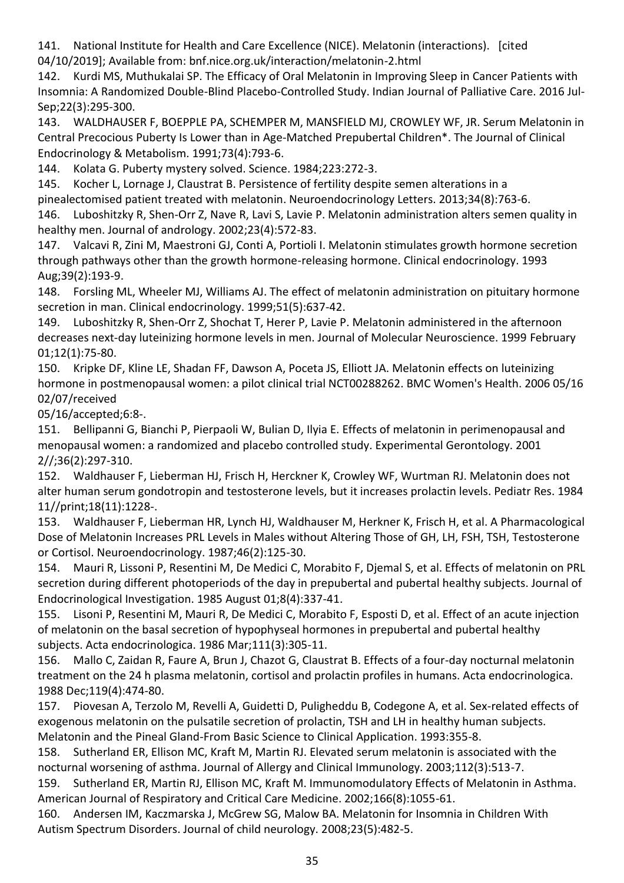141. National Institute for Health and Care Excellence (NICE). Melatonin (interactions). [cited 04/10/2019]; Available from: bnf.nice.org.uk/interaction/melatonin-2.html

142. Kurdi MS, Muthukalai SP. The Efficacy of Oral Melatonin in Improving Sleep in Cancer Patients with Insomnia: A Randomized Double-Blind Placebo-Controlled Study. Indian Journal of Palliative Care. 2016 Jul-Sep;22(3):295-300.

143. WALDHAUSER F, BOEPPLE PA, SCHEMPER M, MANSFIELD MJ, CROWLEY WF, JR. Serum Melatonin in Central Precocious Puberty Is Lower than in Age-Matched Prepubertal Children\*. The Journal of Clinical Endocrinology & Metabolism. 1991;73(4):793-6.

144. Kolata G. Puberty mystery solved. Science. 1984;223:272-3.

145. Kocher L, Lornage J, Claustrat B. Persistence of fertility despite semen alterations in a

pinealectomised patient treated with melatonin. Neuroendocrinology Letters. 2013;34(8):763-6.

146. Luboshitzky R, Shen-Orr Z, Nave R, Lavi S, Lavie P. Melatonin administration alters semen quality in healthy men. Journal of andrology. 2002;23(4):572-83.

147. Valcavi R, Zini M, Maestroni GJ, Conti A, Portioli I. Melatonin stimulates growth hormone secretion through pathways other than the growth hormone-releasing hormone. Clinical endocrinology. 1993 Aug;39(2):193-9.

148. Forsling ML, Wheeler MJ, Williams AJ. The effect of melatonin administration on pituitary hormone secretion in man. Clinical endocrinology. 1999;51(5):637-42.

149. Luboshitzky R, Shen-Orr Z, Shochat T, Herer P, Lavie P. Melatonin administered in the afternoon decreases next-day luteinizing hormone levels in men. Journal of Molecular Neuroscience. 1999 February 01;12(1):75-80.

150. Kripke DF, Kline LE, Shadan FF, Dawson A, Poceta JS, Elliott JA. Melatonin effects on luteinizing hormone in postmenopausal women: a pilot clinical trial NCT00288262. BMC Women's Health. 2006 05/16 02/07/received

05/16/accepted;6:8-.

151. Bellipanni G, Bianchi P, Pierpaoli W, Bulian D, Ilyia E. Effects of melatonin in perimenopausal and menopausal women: a randomized and placebo controlled study. Experimental Gerontology. 2001 2//;36(2):297-310.

152. Waldhauser F, Lieberman HJ, Frisch H, Herckner K, Crowley WF, Wurtman RJ. Melatonin does not alter human serum gondotropin and testosterone levels, but it increases prolactin levels. Pediatr Res. 1984 11//print;18(11):1228-.

153. Waldhauser F, Lieberman HR, Lynch HJ, Waldhauser M, Herkner K, Frisch H, et al. A Pharmacological Dose of Melatonin Increases PRL Levels in Males without Altering Those of GH, LH, FSH, TSH, Testosterone or Cortisol. Neuroendocrinology. 1987;46(2):125-30.

154. Mauri R, Lissoni P, Resentini M, De Medici C, Morabito F, Djemal S, et al. Effects of melatonin on PRL secretion during different photoperiods of the day in prepubertal and pubertal healthy subjects. Journal of Endocrinological Investigation. 1985 August 01;8(4):337-41.

155. Lisoni P, Resentini M, Mauri R, De Medici C, Morabito F, Esposti D, et al. Effect of an acute injection of melatonin on the basal secretion of hypophyseal hormones in prepubertal and pubertal healthy subjects. Acta endocrinologica. 1986 Mar;111(3):305-11.

156. Mallo C, Zaidan R, Faure A, Brun J, Chazot G, Claustrat B. Effects of a four-day nocturnal melatonin treatment on the 24 h plasma melatonin, cortisol and prolactin profiles in humans. Acta endocrinologica. 1988 Dec;119(4):474-80.

157. Piovesan A, Terzolo M, Revelli A, Guidetti D, Puligheddu B, Codegone A, et al. Sex-related effects of exogenous melatonin on the pulsatile secretion of prolactin, TSH and LH in healthy human subjects. Melatonin and the Pineal Gland-From Basic Science to Clinical Application. 1993:355-8.

158. Sutherland ER, Ellison MC, Kraft M, Martin RJ. Elevated serum melatonin is associated with the nocturnal worsening of asthma. Journal of Allergy and Clinical Immunology. 2003;112(3):513-7.

159. Sutherland ER, Martin RJ, Ellison MC, Kraft M. Immunomodulatory Effects of Melatonin in Asthma. American Journal of Respiratory and Critical Care Medicine. 2002;166(8):1055-61.

160. Andersen IM, Kaczmarska J, McGrew SG, Malow BA. Melatonin for Insomnia in Children With Autism Spectrum Disorders. Journal of child neurology. 2008;23(5):482-5.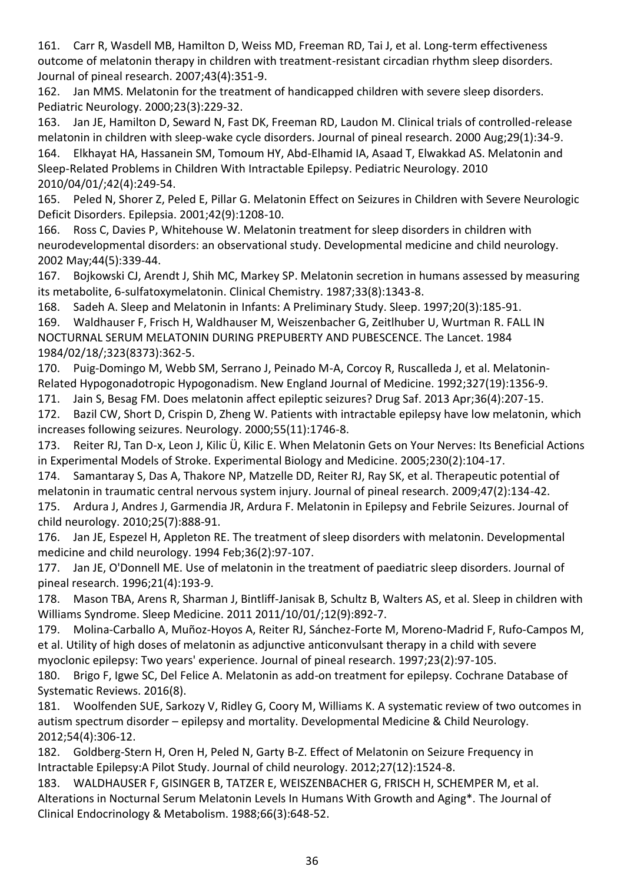161. Carr R, Wasdell MB, Hamilton D, Weiss MD, Freeman RD, Tai J, et al. Long-term effectiveness outcome of melatonin therapy in children with treatment-resistant circadian rhythm sleep disorders. Journal of pineal research. 2007;43(4):351-9.

162. Jan MMS. Melatonin for the treatment of handicapped children with severe sleep disorders. Pediatric Neurology. 2000;23(3):229-32.

163. Jan JE, Hamilton D, Seward N, Fast DK, Freeman RD, Laudon M. Clinical trials of controlled-release melatonin in children with sleep-wake cycle disorders. Journal of pineal research. 2000 Aug;29(1):34-9.

164. Elkhayat HA, Hassanein SM, Tomoum HY, Abd-Elhamid IA, Asaad T, Elwakkad AS. Melatonin and Sleep-Related Problems in Children With Intractable Epilepsy. Pediatric Neurology. 2010 2010/04/01/;42(4):249-54.

165. Peled N, Shorer Z, Peled E, Pillar G. Melatonin Effect on Seizures in Children with Severe Neurologic Deficit Disorders. Epilepsia. 2001;42(9):1208-10.

166. Ross C, Davies P, Whitehouse W. Melatonin treatment for sleep disorders in children with neurodevelopmental disorders: an observational study. Developmental medicine and child neurology. 2002 May;44(5):339-44.

167. Bojkowski CJ, Arendt J, Shih MC, Markey SP. Melatonin secretion in humans assessed by measuring its metabolite, 6-sulfatoxymelatonin. Clinical Chemistry. 1987;33(8):1343-8.

168. Sadeh A. Sleep and Melatonin in Infants: A Preliminary Study. Sleep. 1997;20(3):185-91.

169. Waldhauser F, Frisch H, Waldhauser M, Weiszenbacher G, Zeitlhuber U, Wurtman R. FALL IN NOCTURNAL SERUM MELATONIN DURING PREPUBERTY AND PUBESCENCE. The Lancet. 1984 1984/02/18/;323(8373):362-5.

170. Puig-Domingo M, Webb SM, Serrano J, Peinado M-A, Corcoy R, Ruscalleda J, et al. Melatonin-Related Hypogonadotropic Hypogonadism. New England Journal of Medicine. 1992;327(19):1356-9.

171. Jain S, Besag FM. Does melatonin affect epileptic seizures? Drug Saf. 2013 Apr;36(4):207-15.

172. Bazil CW, Short D, Crispin D, Zheng W. Patients with intractable epilepsy have low melatonin, which increases following seizures. Neurology. 2000;55(11):1746-8.

173. Reiter RJ, Tan D-x, Leon J, Kilic Ü, Kilic E. When Melatonin Gets on Your Nerves: Its Beneficial Actions in Experimental Models of Stroke. Experimental Biology and Medicine. 2005;230(2):104-17.

174. Samantaray S, Das A, Thakore NP, Matzelle DD, Reiter RJ, Ray SK, et al. Therapeutic potential of melatonin in traumatic central nervous system injury. Journal of pineal research. 2009;47(2):134-42.

175. Ardura J, Andres J, Garmendia JR, Ardura F. Melatonin in Epilepsy and Febrile Seizures. Journal of child neurology. 2010;25(7):888-91.

176. Jan JE, Espezel H, Appleton RE. The treatment of sleep disorders with melatonin. Developmental medicine and child neurology. 1994 Feb;36(2):97-107.

177. Jan JE, O'Donnell ME. Use of melatonin in the treatment of paediatric sleep disorders. Journal of pineal research. 1996;21(4):193-9.

178. Mason TBA, Arens R, Sharman J, Bintliff-Janisak B, Schultz B, Walters AS, et al. Sleep in children with Williams Syndrome. Sleep Medicine. 2011 2011/10/01/;12(9):892-7.

179. Molina-Carballo A, Muñoz-Hoyos A, Reiter RJ, Sánchez-Forte M, Moreno-Madrid F, Rufo-Campos M, et al. Utility of high doses of melatonin as adjunctive anticonvulsant therapy in a child with severe myoclonic epilepsy: Two years' experience. Journal of pineal research. 1997;23(2):97-105.

180. Brigo F, Igwe SC, Del Felice A. Melatonin as add-on treatment for epilepsy. Cochrane Database of Systematic Reviews. 2016(8).

181. Woolfenden SUE, Sarkozy V, Ridley G, Coory M, Williams K. A systematic review of two outcomes in autism spectrum disorder – epilepsy and mortality. Developmental Medicine & Child Neurology. 2012;54(4):306-12.

182. Goldberg-Stern H, Oren H, Peled N, Garty B-Z. Effect of Melatonin on Seizure Frequency in Intractable Epilepsy:A Pilot Study. Journal of child neurology. 2012;27(12):1524-8.

183. WALDHAUSER F, GISINGER B, TATZER E, WEISZENBACHER G, FRISCH H, SCHEMPER M, et al. Alterations in Nocturnal Serum Melatonin Levels In Humans With Growth and Aging\*. The Journal of Clinical Endocrinology & Metabolism. 1988;66(3):648-52.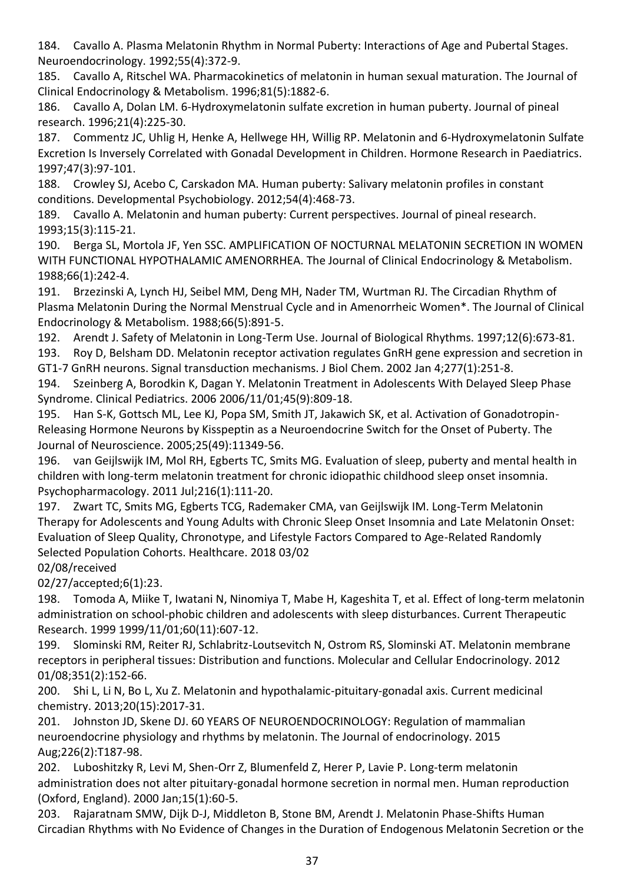184. Cavallo A. Plasma Melatonin Rhythm in Normal Puberty: Interactions of Age and Pubertal Stages. Neuroendocrinology. 1992;55(4):372-9.

185. Cavallo A, Ritschel WA. Pharmacokinetics of melatonin in human sexual maturation. The Journal of Clinical Endocrinology & Metabolism. 1996;81(5):1882-6.

186. Cavallo A, Dolan LM. 6‐Hydroxymelatonin sulfate excretion in human puberty. Journal of pineal research. 1996;21(4):225-30.

187. Commentz JC, Uhlig H, Henke A, Hellwege HH, Willig RP. Melatonin and 6-Hydroxymelatonin Sulfate Excretion Is Inversely Correlated with Gonadal Development in Children. Hormone Research in Paediatrics. 1997;47(3):97-101.

188. Crowley SJ, Acebo C, Carskadon MA. Human puberty: Salivary melatonin profiles in constant conditions. Developmental Psychobiology. 2012;54(4):468-73.

189. Cavallo A. Melatonin and human puberty: Current perspectives. Journal of pineal research. 1993;15(3):115-21.

190. Berga SL, Mortola JF, Yen SSC. AMPLIFICATION OF NOCTURNAL MELATONIN SECRETION IN WOMEN WITH FUNCTIONAL HYPOTHALAMIC AMENORRHEA. The Journal of Clinical Endocrinology & Metabolism. 1988;66(1):242-4.

191. Brzezinski A, Lynch HJ, Seibel MM, Deng MH, Nader TM, Wurtman RJ. The Circadian Rhythm of Plasma Melatonin During the Normal Menstrual Cycle and in Amenorrheic Women\*. The Journal of Clinical Endocrinology & Metabolism. 1988;66(5):891-5.

192. Arendt J. Safety of Melatonin in Long-Term Use. Journal of Biological Rhythms. 1997;12(6):673-81.

193. Roy D, Belsham DD. Melatonin receptor activation regulates GnRH gene expression and secretion in GT1-7 GnRH neurons. Signal transduction mechanisms. J Biol Chem. 2002 Jan 4;277(1):251-8.

194. Szeinberg A, Borodkin K, Dagan Y. Melatonin Treatment in Adolescents With Delayed Sleep Phase Syndrome. Clinical Pediatrics. 2006 2006/11/01;45(9):809-18.

195. Han S-K, Gottsch ML, Lee KJ, Popa SM, Smith JT, Jakawich SK, et al. Activation of Gonadotropin-Releasing Hormone Neurons by Kisspeptin as a Neuroendocrine Switch for the Onset of Puberty. The Journal of Neuroscience. 2005;25(49):11349-56.

196. van Geijlswijk IM, Mol RH, Egberts TC, Smits MG. Evaluation of sleep, puberty and mental health in children with long-term melatonin treatment for chronic idiopathic childhood sleep onset insomnia. Psychopharmacology. 2011 Jul;216(1):111-20.

197. Zwart TC, Smits MG, Egberts TCG, Rademaker CMA, van Geijlswijk IM. Long-Term Melatonin Therapy for Adolescents and Young Adults with Chronic Sleep Onset Insomnia and Late Melatonin Onset: Evaluation of Sleep Quality, Chronotype, and Lifestyle Factors Compared to Age-Related Randomly Selected Population Cohorts. Healthcare. 2018 03/02

02/08/received

02/27/accepted;6(1):23.

198. Tomoda A, Miike T, Iwatani N, Ninomiya T, Mabe H, Kageshita T, et al. Effect of long-term melatonin administration on school-phobic children and adolescents with sleep disturbances. Current Therapeutic Research. 1999 1999/11/01;60(11):607-12.

199. Slominski RM, Reiter RJ, Schlabritz-Loutsevitch N, Ostrom RS, Slominski AT. Melatonin membrane receptors in peripheral tissues: Distribution and functions. Molecular and Cellular Endocrinology. 2012 01/08;351(2):152-66.

200. Shi L, Li N, Bo L, Xu Z. Melatonin and hypothalamic-pituitary-gonadal axis. Current medicinal chemistry. 2013;20(15):2017-31.

201. Johnston JD, Skene DJ. 60 YEARS OF NEUROENDOCRINOLOGY: Regulation of mammalian neuroendocrine physiology and rhythms by melatonin. The Journal of endocrinology. 2015 Aug;226(2):T187-98.

202. Luboshitzky R, Levi M, Shen-Orr Z, Blumenfeld Z, Herer P, Lavie P. Long-term melatonin administration does not alter pituitary-gonadal hormone secretion in normal men. Human reproduction (Oxford, England). 2000 Jan;15(1):60-5.

203. Rajaratnam SMW, Dijk D-J, Middleton B, Stone BM, Arendt J. Melatonin Phase-Shifts Human Circadian Rhythms with No Evidence of Changes in the Duration of Endogenous Melatonin Secretion or the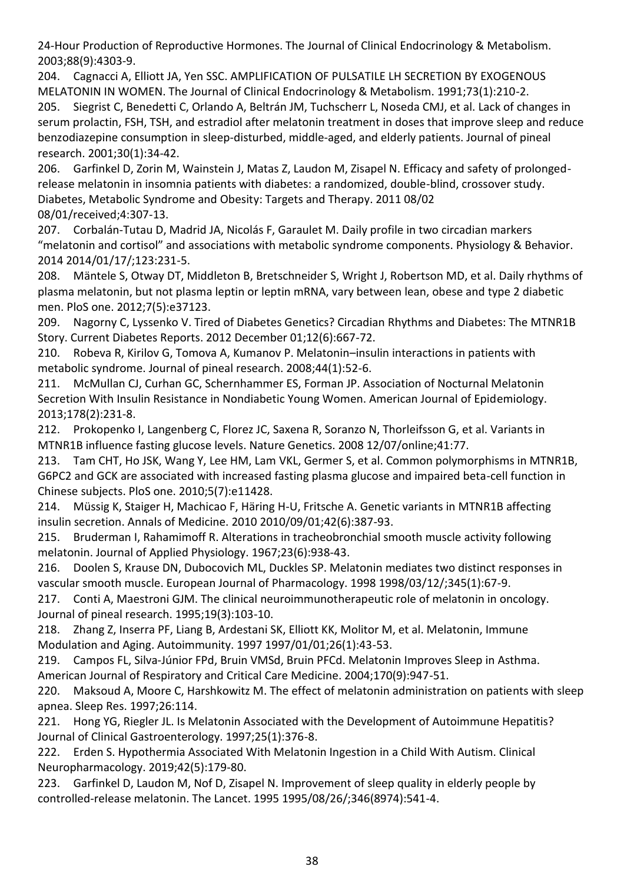24-Hour Production of Reproductive Hormones. The Journal of Clinical Endocrinology & Metabolism. 2003;88(9):4303-9.

204. Cagnacci A, Elliott JA, Yen SSC. AMPLIFICATION OF PULSATILE LH SECRETION BY EXOGENOUS MELATONIN IN WOMEN. The Journal of Clinical Endocrinology & Metabolism. 1991;73(1):210-2.

205. Siegrist C, Benedetti C, Orlando A, Beltrán JM, Tuchscherr L, Noseda CMJ, et al. Lack of changes in serum prolactin, FSH, TSH, and estradiol after melatonin treatment in doses that improve sleep and reduce benzodiazepine consumption in sleep‐disturbed, middle‐aged, and elderly patients. Journal of pineal research. 2001;30(1):34-42.

206. Garfinkel D, Zorin M, Wainstein J, Matas Z, Laudon M, Zisapel N. Efficacy and safety of prolongedrelease melatonin in insomnia patients with diabetes: a randomized, double-blind, crossover study. Diabetes, Metabolic Syndrome and Obesity: Targets and Therapy. 2011 08/02 08/01/received;4:307-13.

207. Corbalán-Tutau D, Madrid JA, Nicolás F, Garaulet M. Daily profile in two circadian markers "melatonin and cortisol" and associations with metabolic syndrome components. Physiology & Behavior. 2014 2014/01/17/;123:231-5.

208. Mäntele S, Otway DT, Middleton B, Bretschneider S, Wright J, Robertson MD, et al. Daily rhythms of plasma melatonin, but not plasma leptin or leptin mRNA, vary between lean, obese and type 2 diabetic men. PloS one. 2012;7(5):e37123.

209. Nagorny C, Lyssenko V. Tired of Diabetes Genetics? Circadian Rhythms and Diabetes: The MTNR1B Story. Current Diabetes Reports. 2012 December 01;12(6):667-72.

210. Robeva R, Kirilov G, Tomova A, Kumanov P. Melatonin–insulin interactions in patients with metabolic syndrome. Journal of pineal research. 2008;44(1):52-6.

211. McMullan CJ, Curhan GC, Schernhammer ES, Forman JP. Association of Nocturnal Melatonin Secretion With Insulin Resistance in Nondiabetic Young Women. American Journal of Epidemiology. 2013;178(2):231-8.

212. Prokopenko I, Langenberg C, Florez JC, Saxena R, Soranzo N, Thorleifsson G, et al. Variants in MTNR1B influence fasting glucose levels. Nature Genetics. 2008 12/07/online;41:77.

213. Tam CHT, Ho JSK, Wang Y, Lee HM, Lam VKL, Germer S, et al. Common polymorphisms in MTNR1B, G6PC2 and GCK are associated with increased fasting plasma glucose and impaired beta-cell function in Chinese subjects. PloS one. 2010;5(7):e11428.

214. Müssig K, Staiger H, Machicao F, Häring H-U, Fritsche A. Genetic variants in MTNR1B affecting insulin secretion. Annals of Medicine. 2010 2010/09/01;42(6):387-93.

215. Bruderman I, Rahamimoff R. Alterations in tracheobronchial smooth muscle activity following melatonin. Journal of Applied Physiology. 1967;23(6):938-43.

216. Doolen S, Krause DN, Dubocovich ML, Duckles SP. Melatonin mediates two distinct responses in vascular smooth muscle. European Journal of Pharmacology. 1998 1998/03/12/;345(1):67-9.

217. Conti A, Maestroni GJM. The clinical neuroimmunotherapeutic role of melatonin in oncology. Journal of pineal research. 1995;19(3):103-10.

218. Zhang Z, Inserra PF, Liang B, Ardestani SK, Elliott KK, Molitor M, et al. Melatonin, Immune Modulation and Aging. Autoimmunity. 1997 1997/01/01;26(1):43-53.

219. Campos FL, Silva-Júnior FPd, Bruin VMSd, Bruin PFCd. Melatonin Improves Sleep in Asthma. American Journal of Respiratory and Critical Care Medicine. 2004;170(9):947-51.

220. Maksoud A, Moore C, Harshkowitz M. The effect of melatonin administration on patients with sleep apnea. Sleep Res. 1997;26:114.

221. Hong YG, Riegler JL. Is Melatonin Associated with the Development of Autoimmune Hepatitis? Journal of Clinical Gastroenterology. 1997;25(1):376-8.

222. Erden S. Hypothermia Associated With Melatonin Ingestion in a Child With Autism. Clinical Neuropharmacology. 2019;42(5):179-80.

223. Garfinkel D, Laudon M, Nof D, Zisapel N. Improvement of sleep quality in elderly people by controlled-release melatonin. The Lancet. 1995 1995/08/26/;346(8974):541-4.